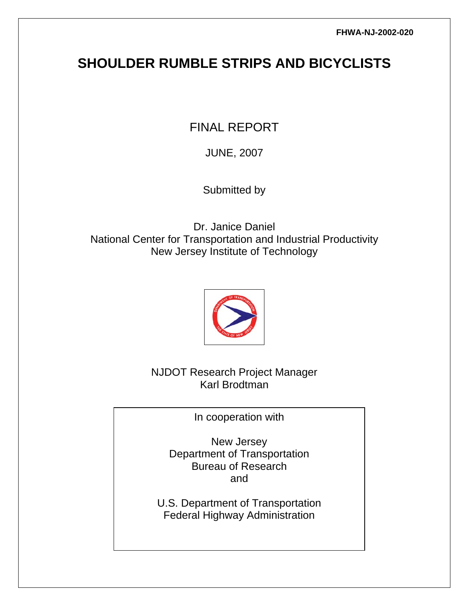# **SHOULDER RUMBLE STRIPS AND BICYCLISTS**

FINAL REPORT

JUNE, 2007

Submitted by

Dr. Janice Daniel National Center for Transportation and Industrial Productivity New Jersey Institute of Technology



NJDOT Research Project Manager Karl Brodtman

In cooperation with

New Jersey Department of Transportation Bureau of Research and

U.S. Department of Transportation Federal Highway Administration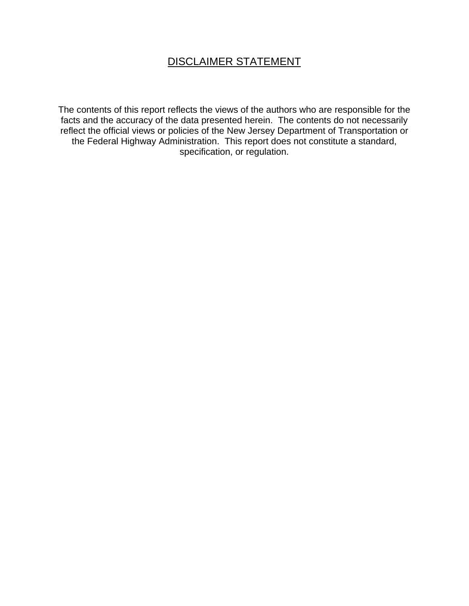## DISCLAIMER STATEMENT

The contents of this report reflects the views of the authors who are responsible for the facts and the accuracy of the data presented herein. The contents do not necessarily reflect the official views or policies of the New Jersey Department of Transportation or the Federal Highway Administration. This report does not constitute a standard, specification, or regulation.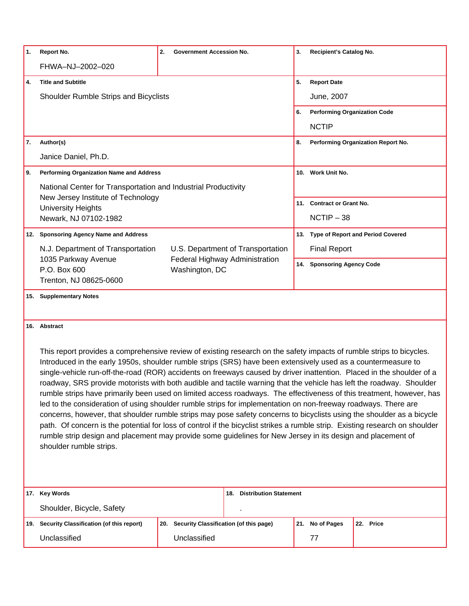| 1.   | <b>Report No.</b>                                                                                                                                                                                                                                                                                                                                                                                                                                                                                                                                                                                                                                                                                                                                                                                                                                                                                                                                                                                                                                                                                                                                   | 2.<br><b>Government Accession No.</b>            |                            | 3. | Recipient's Catalog No.             |                                       |
|------|-----------------------------------------------------------------------------------------------------------------------------------------------------------------------------------------------------------------------------------------------------------------------------------------------------------------------------------------------------------------------------------------------------------------------------------------------------------------------------------------------------------------------------------------------------------------------------------------------------------------------------------------------------------------------------------------------------------------------------------------------------------------------------------------------------------------------------------------------------------------------------------------------------------------------------------------------------------------------------------------------------------------------------------------------------------------------------------------------------------------------------------------------------|--------------------------------------------------|----------------------------|----|-------------------------------------|---------------------------------------|
|      | FHWA-NJ-2002-020                                                                                                                                                                                                                                                                                                                                                                                                                                                                                                                                                                                                                                                                                                                                                                                                                                                                                                                                                                                                                                                                                                                                    |                                                  |                            |    |                                     |                                       |
| 4.   | <b>Title and Subtitle</b>                                                                                                                                                                                                                                                                                                                                                                                                                                                                                                                                                                                                                                                                                                                                                                                                                                                                                                                                                                                                                                                                                                                           |                                                  |                            | 5. | <b>Report Date</b>                  |                                       |
|      | Shoulder Rumble Strips and Bicyclists                                                                                                                                                                                                                                                                                                                                                                                                                                                                                                                                                                                                                                                                                                                                                                                                                                                                                                                                                                                                                                                                                                               |                                                  |                            |    | June, 2007                          |                                       |
|      |                                                                                                                                                                                                                                                                                                                                                                                                                                                                                                                                                                                                                                                                                                                                                                                                                                                                                                                                                                                                                                                                                                                                                     |                                                  |                            | 6. | <b>Performing Organization Code</b> |                                       |
|      |                                                                                                                                                                                                                                                                                                                                                                                                                                                                                                                                                                                                                                                                                                                                                                                                                                                                                                                                                                                                                                                                                                                                                     |                                                  |                            |    | <b>NCTIP</b>                        |                                       |
| 7.   | Author(s)                                                                                                                                                                                                                                                                                                                                                                                                                                                                                                                                                                                                                                                                                                                                                                                                                                                                                                                                                                                                                                                                                                                                           |                                                  |                            | 8. |                                     | Performing Organization Report No.    |
|      | Janice Daniel, Ph.D.                                                                                                                                                                                                                                                                                                                                                                                                                                                                                                                                                                                                                                                                                                                                                                                                                                                                                                                                                                                                                                                                                                                                |                                                  |                            |    |                                     |                                       |
| I 9. | <b>Performing Organization Name and Address</b>                                                                                                                                                                                                                                                                                                                                                                                                                                                                                                                                                                                                                                                                                                                                                                                                                                                                                                                                                                                                                                                                                                     |                                                  |                            |    | 10. Work Unit No.                   |                                       |
|      | National Center for Transportation and Industrial Productivity                                                                                                                                                                                                                                                                                                                                                                                                                                                                                                                                                                                                                                                                                                                                                                                                                                                                                                                                                                                                                                                                                      |                                                  |                            |    |                                     |                                       |
|      | New Jersey Institute of Technology<br><b>University Heights</b>                                                                                                                                                                                                                                                                                                                                                                                                                                                                                                                                                                                                                                                                                                                                                                                                                                                                                                                                                                                                                                                                                     |                                                  |                            |    | 11. Contract or Grant No.           |                                       |
|      | Newark, NJ 07102-1982                                                                                                                                                                                                                                                                                                                                                                                                                                                                                                                                                                                                                                                                                                                                                                                                                                                                                                                                                                                                                                                                                                                               |                                                  |                            |    | $NCTIP - 38$                        |                                       |
|      | 12. Sponsoring Agency Name and Address                                                                                                                                                                                                                                                                                                                                                                                                                                                                                                                                                                                                                                                                                                                                                                                                                                                                                                                                                                                                                                                                                                              |                                                  |                            |    |                                     | 13. Type of Report and Period Covered |
|      | U.S. Department of Transportation<br>N.J. Department of Transportation                                                                                                                                                                                                                                                                                                                                                                                                                                                                                                                                                                                                                                                                                                                                                                                                                                                                                                                                                                                                                                                                              |                                                  |                            |    | <b>Final Report</b>                 |                                       |
|      | 1035 Parkway Avenue<br>P.O. Box 600                                                                                                                                                                                                                                                                                                                                                                                                                                                                                                                                                                                                                                                                                                                                                                                                                                                                                                                                                                                                                                                                                                                 | Federal Highway Administration<br>Washington, DC |                            |    | 14. Sponsoring Agency Code          |                                       |
|      | Trenton, NJ 08625-0600                                                                                                                                                                                                                                                                                                                                                                                                                                                                                                                                                                                                                                                                                                                                                                                                                                                                                                                                                                                                                                                                                                                              |                                                  |                            |    |                                     |                                       |
|      | 15. Supplementary Notes                                                                                                                                                                                                                                                                                                                                                                                                                                                                                                                                                                                                                                                                                                                                                                                                                                                                                                                                                                                                                                                                                                                             |                                                  |                            |    |                                     |                                       |
|      | 16. Abstract<br>This report provides a comprehensive review of existing research on the safety impacts of rumble strips to bicycles.<br>Introduced in the early 1950s, shoulder rumble strips (SRS) have been extensively used as a countermeasure to<br>single-vehicle run-off-the-road (ROR) accidents on freeways caused by driver inattention. Placed in the shoulder of a<br>roadway, SRS provide motorists with both audible and tactile warning that the vehicle has left the roadway. Shoulder<br>rumble strips have primarily been used on limited access roadways. The effectiveness of this treatment, however, has<br>led to the consideration of using shoulder rumble strips for implementation on non-freeway roadways. There are<br>concerns, however, that shoulder rumble strips may pose safety concerns to bicyclists using the shoulder as a bicycle<br>path. Of concern is the potential for loss of control if the bicyclist strikes a rumble strip. Existing research on shoulder<br>rumble strip design and placement may provide some guidelines for New Jersey in its design and placement of<br>shoulder rumble strips. |                                                  |                            |    |                                     |                                       |
| 17.  | <b>Key Words</b>                                                                                                                                                                                                                                                                                                                                                                                                                                                                                                                                                                                                                                                                                                                                                                                                                                                                                                                                                                                                                                                                                                                                    |                                                  | 18. Distribution Statement |    |                                     |                                       |
|      | Shoulder, Bicycle, Safety                                                                                                                                                                                                                                                                                                                                                                                                                                                                                                                                                                                                                                                                                                                                                                                                                                                                                                                                                                                                                                                                                                                           |                                                  |                            |    |                                     |                                       |
| 19.  | Security Classification (of this report)                                                                                                                                                                                                                                                                                                                                                                                                                                                                                                                                                                                                                                                                                                                                                                                                                                                                                                                                                                                                                                                                                                            | 20. Security Classification (of this page)       |                            |    | 21. No of Pages                     | 22. Price                             |
|      | Unclassified                                                                                                                                                                                                                                                                                                                                                                                                                                                                                                                                                                                                                                                                                                                                                                                                                                                                                                                                                                                                                                                                                                                                        | Unclassified                                     |                            |    | 77                                  |                                       |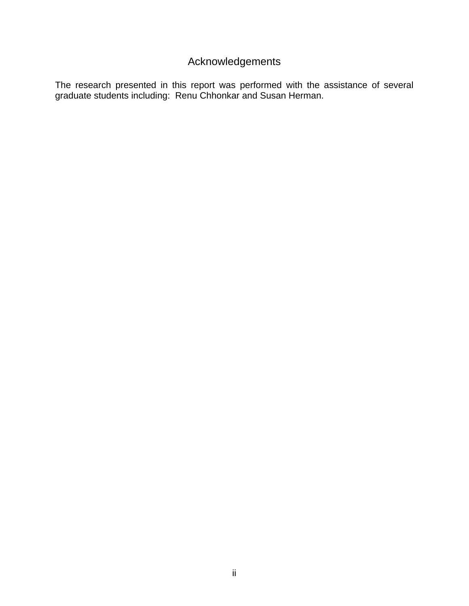## Acknowledgements

The research presented in this report was performed with the assistance of several graduate students including: Renu Chhonkar and Susan Herman.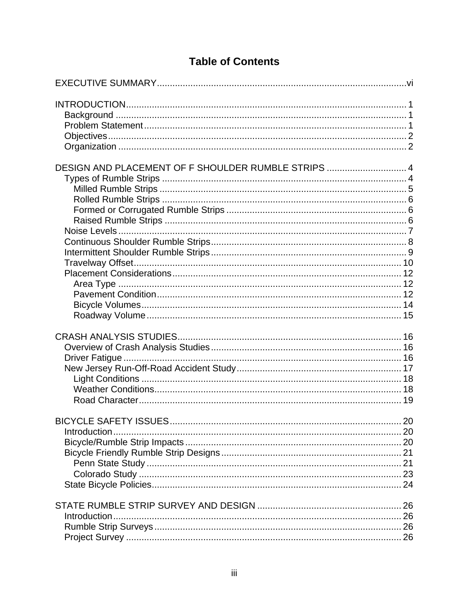| DESIGN AND PLACEMENT OF F SHOULDER RUMBLE STRIPS  4 |  |
|-----------------------------------------------------|--|
|                                                     |  |
| Introduction.                                       |  |
|                                                     |  |

# **Table of Contents**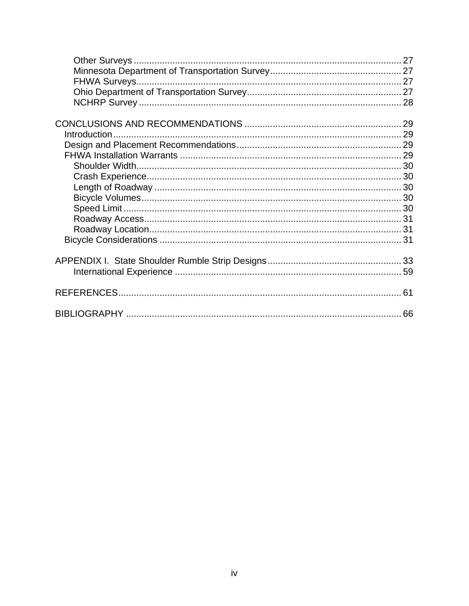| 66 |
|----|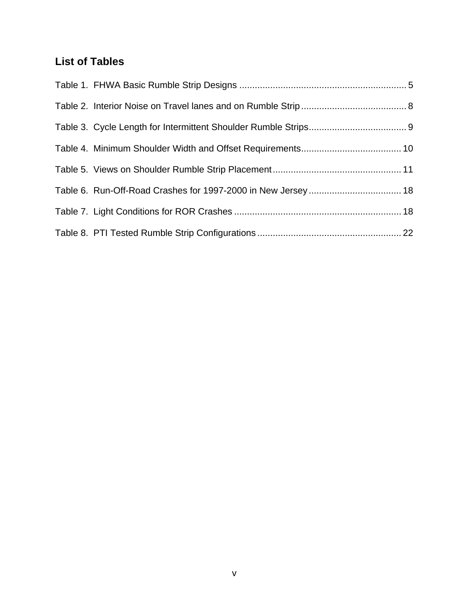## **List of Tables**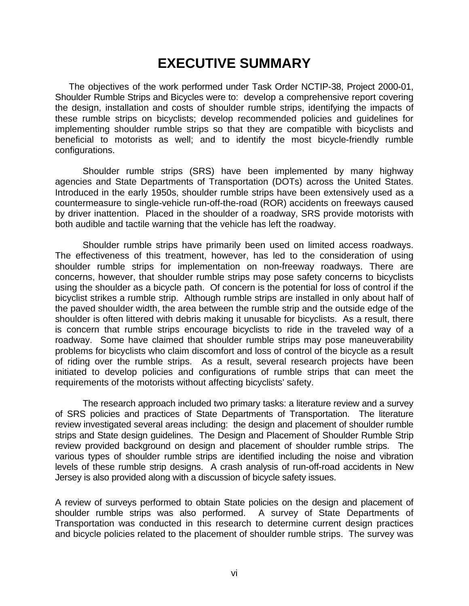# **EXECUTIVE SUMMARY**

<span id="page-7-0"></span>The objectives of the work performed under Task Order NCTIP-38, Project 2000-01, Shoulder Rumble Strips and Bicycles were to: develop a comprehensive report covering the design, installation and costs of shoulder rumble strips, identifying the impacts of these rumble strips on bicyclists; develop recommended policies and guidelines for implementing shoulder rumble strips so that they are compatible with bicyclists and beneficial to motorists as well; and to identify the most bicycle-friendly rumble configurations.

Shoulder rumble strips (SRS) have been implemented by many highway agencies and State Departments of Transportation (DOTs) across the United States. Introduced in the early 1950s, shoulder rumble strips have been extensively used as a countermeasure to single-vehicle run-off-the-road (ROR) accidents on freeways caused by driver inattention. Placed in the shoulder of a roadway, SRS provide motorists with both audible and tactile warning that the vehicle has left the roadway.

Shoulder rumble strips have primarily been used on limited access roadways. The effectiveness of this treatment, however, has led to the consideration of using shoulder rumble strips for implementation on non-freeway roadways. There are concerns, however, that shoulder rumble strips may pose safety concerns to bicyclists using the shoulder as a bicycle path. Of concern is the potential for loss of control if the bicyclist strikes a rumble strip. Although rumble strips are installed in only about half of the paved shoulder width, the area between the rumble strip and the outside edge of the shoulder is often littered with debris making it unusable for bicyclists. As a result, there is concern that rumble strips encourage bicyclists to ride in the traveled way of a roadway. Some have claimed that shoulder rumble strips may pose maneuverability problems for bicyclists who claim discomfort and loss of control of the bicycle as a result of riding over the rumble strips. As a result, several research projects have been initiated to develop policies and configurations of rumble strips that can meet the requirements of the motorists without affecting bicyclists' safety.

The research approach included two primary tasks: a literature review and a survey of SRS policies and practices of State Departments of Transportation. The literature review investigated several areas including: the design and placement of shoulder rumble strips and State design guidelines. The Design and Placement of Shoulder Rumble Strip review provided background on design and placement of shoulder rumble strips. The various types of shoulder rumble strips are identified including the noise and vibration levels of these rumble strip designs. A crash analysis of run-off-road accidents in New Jersey is also provided along with a discussion of bicycle safety issues.

A review of surveys performed to obtain State policies on the design and placement of shoulder rumble strips was also performed. A survey of State Departments of Transportation was conducted in this research to determine current design practices and bicycle policies related to the placement of shoulder rumble strips. The survey was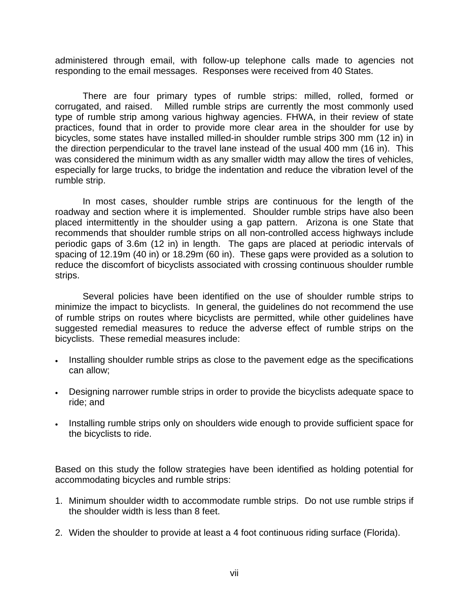administered through email, with follow-up telephone calls made to agencies not responding to the email messages. Responses were received from 40 States.

There are four primary types of rumble strips: milled, rolled, formed or corrugated, and raised. Milled rumble strips are currently the most commonly used type of rumble strip among various highway agencies. FHWA, in their review of state practices, found that in order to provide more clear area in the shoulder for use by bicycles, some states have installed milled-in shoulder rumble strips 300 mm (12 in) in the direction perpendicular to the travel lane instead of the usual 400 mm (16 in). This was considered the minimum width as any smaller width may allow the tires of vehicles, especially for large trucks, to bridge the indentation and reduce the vibration level of the rumble strip.

In most cases, shoulder rumble strips are continuous for the length of the roadway and section where it is implemented. Shoulder rumble strips have also been placed intermittently in the shoulder using a gap pattern. Arizona is one State that recommends that shoulder rumble strips on all non-controlled access highways include periodic gaps of 3.6m (12 in) in length. The gaps are placed at periodic intervals of spacing of 12.19m (40 in) or 18.29m (60 in). These gaps were provided as a solution to reduce the discomfort of bicyclists associated with crossing continuous shoulder rumble strips.

Several policies have been identified on the use of shoulder rumble strips to minimize the impact to bicyclists. In general, the guidelines do not recommend the use of rumble strips on routes where bicyclists are permitted, while other guidelines have suggested remedial measures to reduce the adverse effect of rumble strips on the bicyclists. These remedial measures include:

- Installing shoulder rumble strips as close to the pavement edge as the specifications can allow;
- Designing narrower rumble strips in order to provide the bicyclists adequate space to ride; and
- Installing rumble strips only on shoulders wide enough to provide sufficient space for the bicyclists to ride.

Based on this study the follow strategies have been identified as holding potential for accommodating bicycles and rumble strips:

- 1. Minimum shoulder width to accommodate rumble strips. Do not use rumble strips if the shoulder width is less than 8 feet.
- 2. Widen the shoulder to provide at least a 4 foot continuous riding surface (Florida).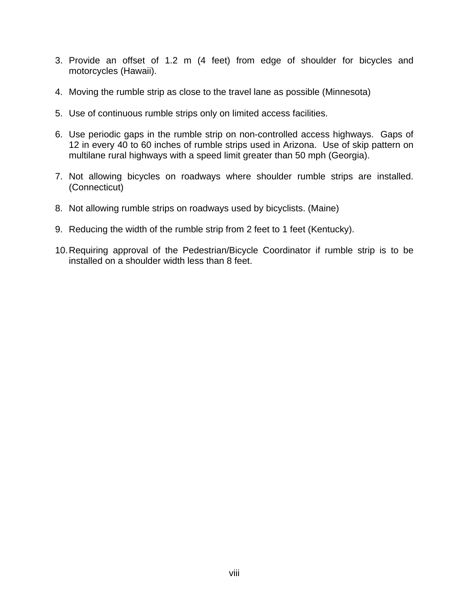- 3. Provide an offset of 1.2 m (4 feet) from edge of shoulder for bicycles and motorcycles (Hawaii).
- 4. Moving the rumble strip as close to the travel lane as possible (Minnesota)
- 5. Use of continuous rumble strips only on limited access facilities.
- 6. Use periodic gaps in the rumble strip on non-controlled access highways. Gaps of 12 in every 40 to 60 inches of rumble strips used in Arizona. Use of skip pattern on multilane rural highways with a speed limit greater than 50 mph (Georgia).
- 7. Not allowing bicycles on roadways where shoulder rumble strips are installed. (Connecticut)
- 8. Not allowing rumble strips on roadways used by bicyclists. (Maine)
- 9. Reducing the width of the rumble strip from 2 feet to 1 feet (Kentucky).
- 10. Requiring approval of the Pedestrian/Bicycle Coordinator if rumble strip is to be installed on a shoulder width less than 8 feet.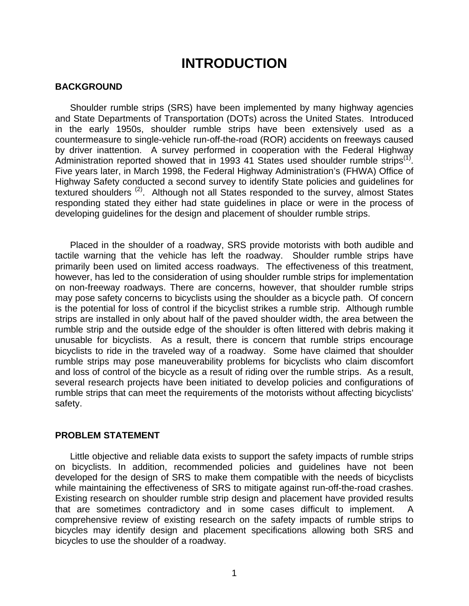## <span id="page-10-1"></span>**INTRODUCTION**

#### <span id="page-10-0"></span>**BACKGROUND**

Shoulder rumble strips (SRS) have been implemented by many highway agencies and State Departments of Transportation (DOTs) across the United States. Introduced in the early 1950s, shoulder rumble strips have been extensively used as a countermeasure to single-vehicle run-off-the-road (ROR) accidents on freeways caused by driver inattention. A survey performed in cooperation with the Federal Highway Administration reported showed that in 1993 41 States used shoulder rumble strips<sup>([1\)](#page-70-1)</sup>. Five years later, in March 1998, the Federal Highway Administration's (FHWA) Office of Highway Safety conducted a second survey to identify State policies and guidelines for textured shoulders<sup>([2\)](#page-70-2)</sup>. Although not all States responded to the survey, almost States responding stated they either had state guidelines in place or were in the process of developing guidelines for the design and placement of shoulder rumble strips.

<span id="page-10-2"></span>Placed in the shoulder of a roadway, SRS provide motorists with both audible and tactile warning that the vehicle has left the roadway. Shoulder rumble strips have primarily been used on limited access roadways. The effectiveness of this treatment, however, has led to the consideration of using shoulder rumble strips for implementation on non-freeway roadways. There are concerns, however, that shoulder rumble strips may pose safety concerns to bicyclists using the shoulder as a bicycle path. Of concern is the potential for loss of control if the bicyclist strikes a rumble strip. Although rumble strips are installed in only about half of the paved shoulder width, the area between the rumble strip and the outside edge of the shoulder is often littered with debris making it unusable for bicyclists. As a result, there is concern that rumble strips encourage bicyclists to ride in the traveled way of a roadway. Some have claimed that shoulder rumble strips may pose maneuverability problems for bicyclists who claim discomfort and loss of control of the bicycle as a result of riding over the rumble strips. As a result, several research projects have been initiated to develop policies and configurations of rumble strips that can meet the requirements of the motorists without affecting bicyclists' safety.

#### **PROBLEM STATEMENT**

Little objective and reliable data exists to support the safety impacts of rumble strips on bicyclists. In addition, recommended policies and guidelines have not been developed for the design of SRS to make them compatible with the needs of bicyclists while maintaining the effectiveness of SRS to mitigate against run-off-the-road crashes. Existing research on shoulder rumble strip design and placement have provided results that are sometimes contradictory and in some cases difficult to implement. A comprehensive review of existing research on the safety impacts of rumble strips to bicycles may identify design and placement specifications allowing both SRS and bicycles to use the shoulder of a roadway.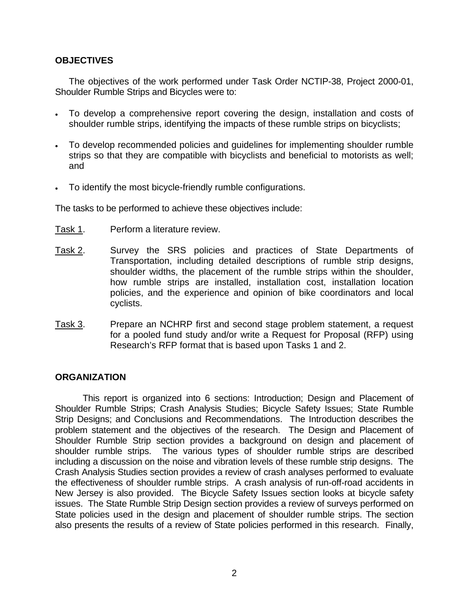## <span id="page-11-0"></span>**OBJECTIVES**

The objectives of the work performed under Task Order NCTIP-38, Project 2000-01, Shoulder Rumble Strips and Bicycles were to:

- To develop a comprehensive report covering the design, installation and costs of shoulder rumble strips, identifying the impacts of these rumble strips on bicyclists;
- To develop recommended policies and guidelines for implementing shoulder rumble strips so that they are compatible with bicyclists and beneficial to motorists as well; and
- To identify the most bicycle-friendly rumble configurations.

The tasks to be performed to achieve these objectives include:

- Task 1. Perform a literature review.
- Task 2. Survey the SRS policies and practices of State Departments of Transportation, including detailed descriptions of rumble strip designs, shoulder widths, the placement of the rumble strips within the shoulder, how rumble strips are installed, installation cost, installation location policies, and the experience and opinion of bike coordinators and local cyclists.
- Task 3. Prepare an NCHRP first and second stage problem statement, a request for a pooled fund study and/or write a Request for Proposal (RFP) using Research's RFP format that is based upon Tasks 1 and 2.

## **ORGANIZATION**

This report is organized into 6 sections: Introduction; Design and Placement of Shoulder Rumble Strips; Crash Analysis Studies; Bicycle Safety Issues; State Rumble Strip Designs; and Conclusions and Recommendations. The Introduction describes the problem statement and the objectives of the research. The Design and Placement of Shoulder Rumble Strip section provides a background on design and placement of shoulder rumble strips. The various types of shoulder rumble strips are described including a discussion on the noise and vibration levels of these rumble strip designs. The Crash Analysis Studies section provides a review of crash analyses performed to evaluate the effectiveness of shoulder rumble strips. A crash analysis of run-off-road accidents in New Jersey is also provided. The Bicycle Safety Issues section looks at bicycle safety issues. The State Rumble Strip Design section provides a review of surveys performed on State policies used in the design and placement of shoulder rumble strips. The section also presents the results of a review of State policies performed in this research. Finally,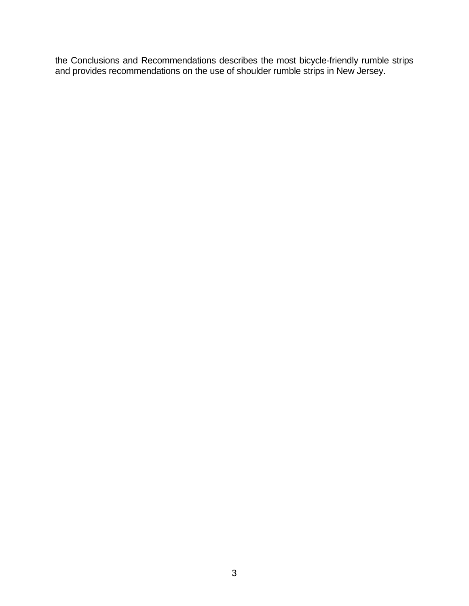the Conclusions and Recommendations describes the most bicycle-friendly rumble strips and provides recommendations on the use of shoulder rumble strips in New Jersey.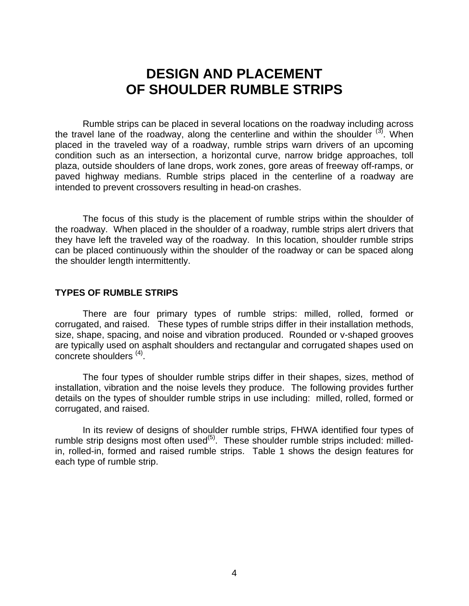## <span id="page-13-1"></span>**DESIGN AND PLACEMENT OF SHOULDER RUMBLE STRIPS**

<span id="page-13-0"></span>Rumble strips can be placed in several locations on the roadway including across the travel lane of the roadway, along the centerline and within the shoulder  $^{(3)}$  $^{(3)}$  $^{(3)}$ . When placed in the traveled way of a roadway, rumble strips warn drivers of an upcoming condition such as an intersection, a horizontal curve, narrow bridge approaches, toll plaza, outside shoulders of lane drops, work zones, gore areas of freeway off-ramps, or paved highway medians. Rumble strips placed in the centerline of a roadway are intended to prevent crossovers resulting in head-on crashes.

The focus of this study is the placement of rumble strips within the shoulder of the roadway. When placed in the shoulder of a roadway, rumble strips alert drivers that they have left the traveled way of the roadway. In this location, shoulder rumble strips can be placed continuously within the shoulder of the roadway or can be spaced along the shoulder length intermittently.

#### **TYPES OF RUMBLE STRIPS**

There are four primary types of rumble strips: milled, rolled, formed or corrugated, and raised. These types of rumble strips differ in their installation methods, size, shape, spacing, and noise and vibration produced. Rounded or v-shaped grooves are typically used on asphalt shoulders and rectangular and corrugated shapes used on concrete shoulders <sup>[\(4\)](#page-70-4)</sup>.

<span id="page-13-2"></span>The four types of shoulder rumble strips differ in their shapes, sizes, method of installation, vibration and the noise levels they produce. The following provides further details on the types of shoulder rumble strips in use including: milled, rolled, formed or corrugated, and raised.

In its review of designs of shoulder rumble strips, FHWA identified four types of rumble strip designs most often used<sup>([5\)](#page-14-1)</sup>. These shoulder rumble strips included: milledin, rolled-in, formed and raised rumble strips. Table 1 shows the design features for each type of rumble strip.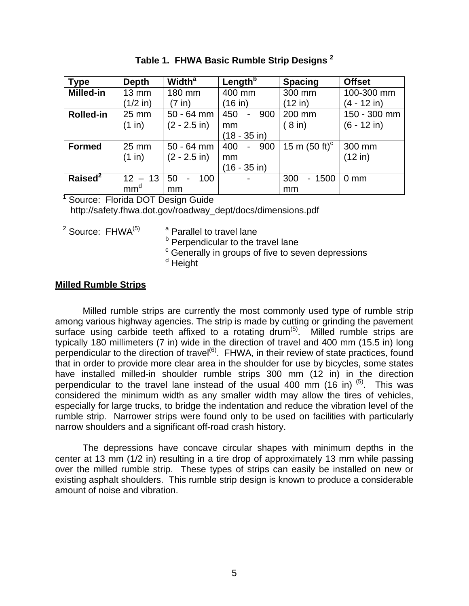<span id="page-14-0"></span>

| <b>Type</b>         | <b>Depth</b>    | <b>Width<sup>a</sup></b> | Length <sup>b</sup>                    | <b>Spacing</b>                 | <b>Offset</b>  |
|---------------------|-----------------|--------------------------|----------------------------------------|--------------------------------|----------------|
| <b>Milled-in</b>    | $13 \text{ mm}$ | 180 mm                   | 400 mm                                 | 300 mm                         | 100-300 mm     |
|                     | $(1/2$ in)      | $(7 \infty)$             | (16 in)                                | $(12$ in)                      | (4 - 12 in)    |
| <b>Rolled-in</b>    | 25 mm           | $50 - 64$ mm             | 450<br>900<br>$\overline{\phantom{0}}$ | 200 mm                         | 150 - 300 mm   |
|                     | (1 in)          | $(2 - 2.5)$ in)          | mm                                     | (8 in)                         | (6 - 12 in)    |
|                     |                 |                          | (18 - 35 in)                           |                                |                |
| <b>Formed</b>       | 25 mm           | $50 - 64$ mm             | 400<br>900<br>$\overline{\phantom{0}}$ | 15 m $(50 \text{ ft})^{\circ}$ | 300 mm         |
|                     | (1 in)          | $(2 - 2.5)$ in)          | mm                                     |                                | (12 in)        |
|                     |                 |                          | (16 - 35 in)                           |                                |                |
| Raised <sup>2</sup> | $12 - 13$       | 50<br>100                | $\blacksquare$                         | 300<br>$-1500$                 | $0 \text{ mm}$ |
|                     | mm <sup>d</sup> | mm                       |                                        | mm                             |                |

**Table 1. FHWA Basic Rumble Strip Designs 2**

<sup>1</sup> Source: Florida DOT Design Guide

http://safety.fhwa.dot.gov/roadway\_dept/docs/dimensions.pdf

 $2$  Source: FHWA $^{(5)}$  $^{(5)}$  $^{(5)}$  a

<sup>a</sup> Parallel to travel lane

<sup>b</sup> Perpendicular to the travel lane

<sup>c</sup> Generally in groups of five to seven depressions

<span id="page-14-2"></span><span id="page-14-1"></span><sup>d</sup> Height

## **Milled Rumble Strips**

Milled rumble strips are currently the most commonly used type of rumble strip among various highway agencies. The strip is made by cutting or grinding the pavement surface using carbide teeth affixed to a rotating drum<sup>([5\)](#page-70-5)</sup>. Milled rumble strips are typically 180 millimeters (7 in) wide in the direction of travel and 400 mm (15.5 in) long perpendicular to the direction of travel<sup>([6\)](#page-70-6)</sup>. FHWA, in their review of state practices, found that in order to provide more clear area in the shoulder for use by bicycles, some states have installed milled-in shoulder rumble strips 300 mm (12 in) in the direction perpendicular to the travel lane instead of the usual 400 mm (16 in)  $(5)$  $(5)$ . This was considered the minimum width as any smaller width may allow the tires of vehicles, especially for large trucks, to bridge the indentation and reduce the vibration level of the rumble strip. Narrower strips were found only to be used on facilities with particularly narrow shoulders and a significant off-road crash history.

The depressions have concave circular shapes with minimum depths in the center at 13 mm (1/2 in) resulting in a tire drop of approximately 13 mm while passing over the milled rumble strip. These types of strips can easily be installed on new or existing asphalt shoulders. This rumble strip design is known to produce a considerable amount of noise and vibration.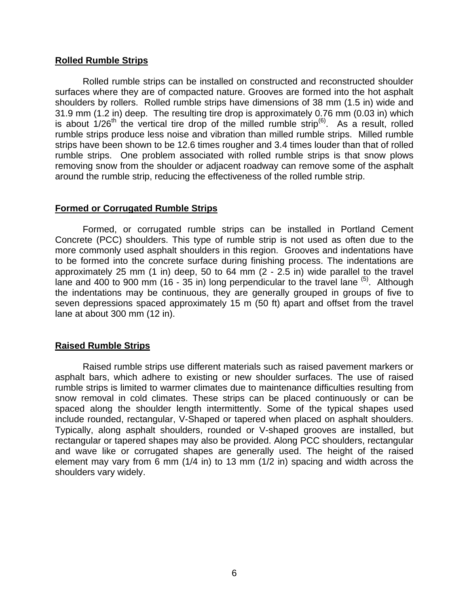#### <span id="page-15-0"></span>**Rolled Rumble Strips**

Rolled rumble strips can be installed on constructed and reconstructed shoulder surfaces where they are of compacted nature. Grooves are formed into the hot asphalt shoulders by rollers. Rolled rumble strips have dimensions of 38 mm (1.5 in) wide and 31.9 mm (1.2 in) deep. The resulting tire drop is approximately 0.76 mm (0.03 in) which is about  $1/26$ <sup>th</sup> the vertical tire drop of the milled rumble strip<sup>([6\)](#page-14-2)</sup>. As a result, rolled rumble strips produce less noise and vibration than milled rumble strips. Milled rumble strips have been shown to be 12.6 times rougher and 3.4 times louder than that of rolled rumble strips. One problem associated with rolled rumble strips is that snow plows removing snow from the shoulder or adjacent roadway can remove some of the asphalt around the rumble strip, reducing the effectiveness of the rolled rumble strip.

## **Formed or Corrugated Rumble Strips**

Formed, or corrugated rumble strips can be installed in Portland Cement Concrete (PCC) shoulders. This type of rumble strip is not used as often due to the more commonly used asphalt shoulders in this region. Grooves and indentations have to be formed into the concrete surface during finishing process. The indentations are approximately 25 mm (1 in) deep, 50 to 64 mm (2 - 2.5 in) wide parallel to the travel lane and 400 to 900 mm (16 - 35 in) long perpendicular to the travel lane  $(5)$ . Although the indentations may be continuous, they are generally grouped in groups of five to seven depressions spaced approximately 15 m (50 ft) apart and offset from the travel lane at about 300 mm (12 in).

## **Raised Rumble Strips**

Raised rumble strips use different materials such as raised pavement markers or asphalt bars, which adhere to existing or new shoulder surfaces. The use of raised rumble strips is limited to warmer climates due to maintenance difficulties resulting from snow removal in cold climates. These strips can be placed continuously or can be spaced along the shoulder length intermittently. Some of the typical shapes used include rounded, rectangular, V-Shaped or tapered when placed on asphalt shoulders. Typically, along asphalt shoulders, rounded or V-shaped grooves are installed, but rectangular or tapered shapes may also be provided. Along PCC shoulders, rectangular and wave like or corrugated shapes are generally used. The height of the raised element may vary from 6 mm (1/4 in) to 13 mm (1/2 in) spacing and width across the shoulders vary widely.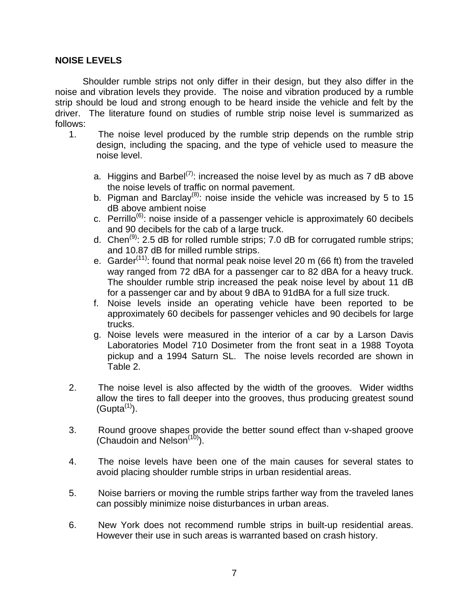### <span id="page-16-0"></span>**NOISE LEVELS**

Shoulder rumble strips not only differ in their design, but they also differ in the noise and vibration levels they provide. The noise and vibration produced by a rumble strip should be loud and strong enough to be heard inside the vehicle and felt by the driver. The literature found on studies of rumble strip noise level is summarized as follows:

- 1. The noise level produced by the rumble strip depends on the rumble strip design, including the spacing, and the type of vehicle used to measure the noise level.
	- a. Higgins and Barbel<sup>[\(7\)](#page-70-7)</sup>: increased the noise level by as much as 7 dB above the noise levels of traffic on normal pavement.
	- b. Pigman and Barclay<sup>[\(8\)](#page-70-8)</sup>: noise inside the vehicle was increased by 5 to 15 dB above ambient noise
	- c. Perrillo<sup>[\(6\)](#page-14-2)</sup>: noise inside of a passenger vehicle is approximately 60 decibels and 90 decibels for the cab of a large truck.
	- d. Chen<sup>([9\)](#page-70-9)</sup>: 2.5 dB for rolled rumble strips; 7.0 dB for corrugated rumble strips; and 10.87 dB for milled rumble strips.
	- e. Garder<sup>[\(11\)](#page-17-1)</sup>: found that normal peak noise level 20 m (66 ft) from the traveled way ranged from 72 dBA for a passenger car to 82 dBA for a heavy truck. The shoulder rumble strip increased the peak noise level by about 11 dB for a passenger car and by about 9 dBA to 91dBA for a full size truck.
	- f. Noise levels inside an operating vehicle have been reported to be approximately 60 decibels for passenger vehicles and 90 decibels for large trucks.
	- g. Noise levels were measured in the interior of a car by a Larson Davis Laboratories Model 710 Dosimeter from the front seat in a 1988 Toyota pickup and a 1994 Saturn SL. The noise levels recorded are shown in Table 2.
- 2. The noise level is also affected by the width of the grooves. Wider widths allow the tires to fall deeper into the grooves, thus producing greatest sound  $(Gupta<sup>(1)</sup>).$  $(Gupta<sup>(1)</sup>).$  $(Gupta<sup>(1)</sup>).$
- <span id="page-16-1"></span>3. Round groove shapes provide the better sound effect than v-shaped groove (Chaudoin and Nelson $(10)$ ).
- 4. The noise levels have been one of the main causes for several states to avoid placing shoulder rumble strips in urban residential areas.
- 5. Noise barriers or moving the rumble strips farther way from the traveled lanes can possibly minimize noise disturbances in urban areas.
- 6. New York does not recommend rumble strips in built-up residential areas. However their use in such areas is warranted based on crash history.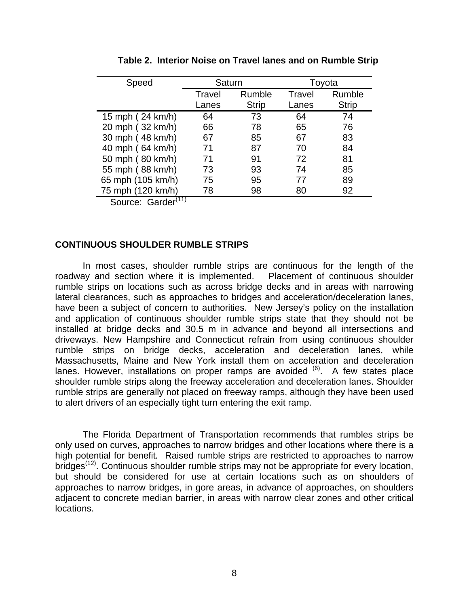<span id="page-17-0"></span>

| Speed                                  | Saturn |              | Toyota |              |
|----------------------------------------|--------|--------------|--------|--------------|
|                                        | Travel | Rumble       | Travel | Rumble       |
|                                        | Lanes  | <b>Strip</b> | Lanes  | <b>Strip</b> |
| 15 mph (24 km/h)                       | 64     | 73           | 64     | 74           |
| 20 mph (32 km/h)                       | 66     | 78           | 65     | 76           |
| 30 mph (48 km/h)                       | 67     | 85           | 67     | 83           |
| 40 mph (64 km/h)                       | 71     | 87           | 70     | 84           |
| 50 mph (80 km/h)                       | 71     | 91           | 72     | 81           |
| 55 mph (88 km/h)                       | 73     | 93           | 74     | 85           |
| 65 mph (105 km/h)                      | 75     | 95           | 77     | 89           |
| 75 mph (120 km/h)                      | 78     | 98           | 80     | 92           |
| $Conurax \cdot$ Cordor <sup>(11)</sup> |        |              |        |              |

**Table 2. Interior Noise on Travel lanes and on Rumble Strip** 

<span id="page-17-1"></span>Source: Garder

### **CONTINUOUS SHOULDER RUMBLE STRIPS**

In most cases, shoulder rumble strips are continuous for the length of the roadway and section where it is implemented. Placement of continuous shoulder rumble strips on locations such as across bridge decks and in areas with narrowing lateral clearances, such as approaches to bridges and acceleration/deceleration lanes, have been a subject of concern to authorities. New Jersey's policy on the installation and application of continuous shoulder rumble strips state that they should not be installed at bridge decks and 30.5 m in advance and beyond all intersections and driveways. New Hampshire and Connecticut refrain from using continuous shoulder rumble strips on bridge decks, acceleration and deceleration lanes, while Massachusetts, Maine and New York install them on acceleration and deceleration lanes. However, installations on proper ramps are avoided <sup>([6\)](#page-14-2)</sup>. A few states place shoulder rumble strips along the freeway acceleration and deceleration lanes. Shoulder rumble strips are generally not placed on freeway ramps, although they have been used to alert drivers of an especially tight turn entering the exit ramp.

The Florida Department of Transportation recommends that rumbles strips be only used on curves, approaches to narrow bridges and other locations where there is a high potential for benefit*.* Raised rumble strips are restricted to approaches to narrow bridges<sup>([12\)](#page-70-12)</sup>. Continuous shoulder rumble strips may not be appropriate for every location, but should be considered for use at certain locations such as on shoulders of approaches to narrow bridges, in gore areas, in advance of approaches, on shoulders adjacent to concrete median barrier, in areas with narrow clear zones and other critical locations.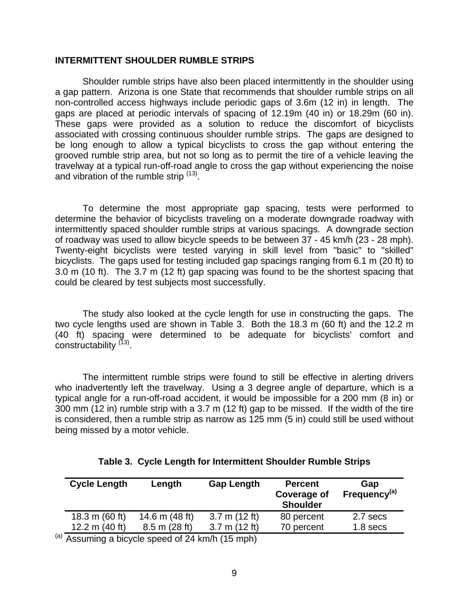#### <span id="page-18-0"></span>**INTERMITTENT SHOULDER RUMBLE STRIPS**

Shoulder rumble strips have also been placed intermittently in the shoulder using a gap pattern. Arizona is one State that recommends that shoulder rumble strips on all non-controlled access highways include periodic gaps of 3.6m (12 in) in length. The gaps are placed at periodic intervals of spacing of 12.19m (40 in) or 18.29m (60 in). These gaps were provided as a solution to reduce the discomfort of bicyclists associated with crossing continuous shoulder rumble strips. The gaps are designed to be long enough to allow a typical bicyclists to cross the gap without entering the grooved rumble strip area, but not so long as to permit the tire of a vehicle leaving the travelway at a typical run-off-road angle to cross the gap without experiencing the noise and vibration of the rumble strip <sup>[\(13\)](#page-70-13)</sup>.

<span id="page-18-1"></span>To determine the most appropriate gap spacing, tests were performed to determine the behavior of bicyclists traveling on a moderate downgrade roadway with intermittently spaced shoulder rumble strips at various spacings. A downgrade section of roadway was used to allow bicycle speeds to be between 37 - 45 km/h (23 - 28 mph). Twenty-eight bicyclists were tested varying in skill level from "basic" to "skilled" bicyclists. The gaps used for testing included gap spacings ranging from 6.1 m (20 ft) to 3.0 m (10 ft). The 3.7 m (12 ft) gap spacing was found to be the shortest spacing that could be cleared by test subjects most successfully.

The study also looked at the cycle length for use in constructing the gaps. The two cycle lengths used are shown in Table 3. Both the 18.3 m (60 ft) and the 12.2 m (40 ft) spacing were determined to be adequate for bicyclists' comfort and constructability<sup>[\(13\)](#page-18-1)</sup>.

The intermittent rumble strips were found to still be effective in alerting drivers who inadvertently left the travelway. Using a 3 degree angle of departure, which is a typical angle for a run-off-road accident, it would be impossible for a 200 mm (8 in) or 300 mm (12 in) rumble strip with a 3.7 m (12 ft) gap to be missed. If the width of the tire is considered, then a rumble strip as narrow as 125 mm (5 in) could still be used without being missed by a motor vehicle.

| <b>Cycle Length</b> | Length           | <b>Gap Length</b>       | <b>Percent</b><br><b>Coverage of</b><br><b>Shoulder</b> | Gap<br>Frequency <sup>(a)</sup> |
|---------------------|------------------|-------------------------|---------------------------------------------------------|---------------------------------|
| 18.3 m $(60 ft)$    | 14.6 m $(48 ft)$ | 3.7 m (12 ft)           | 80 percent                                              | 2.7 secs                        |
| 12.2 m $(40 ft)$    | $8.5$ m (28 ft)  | $3.7 \text{ m}$ (12 ft) | 70 percent                                              | $1.8$ secs                      |

#### **Table 3. Cycle Length for Intermittent Shoulder Rumble Strips**

(a) Assuming a bicycle speed of 24 km/h (15 mph)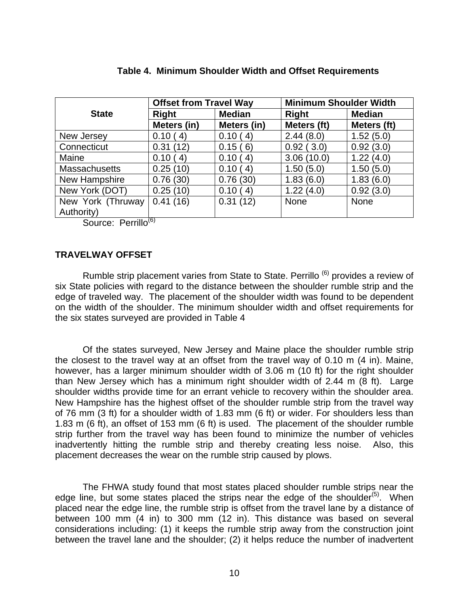<span id="page-19-0"></span>

|                      | <b>Offset from Travel Way</b> |               | <b>Minimum Shoulder Width</b> |               |
|----------------------|-------------------------------|---------------|-------------------------------|---------------|
| <b>State</b>         | <b>Right</b>                  | <b>Median</b> | <b>Right</b>                  | <b>Median</b> |
|                      | Meters (in)                   | Meters (in)   | Meters (ft)                   | Meters (ft)   |
| New Jersey           | 0.10(4)                       | 0.10(4)       | 2.44(8.0)                     | 1.52(5.0)     |
| Connecticut          | 0.31(12)                      | 0.15(6)       | 0.92(3.0)                     | 0.92(3.0)     |
| Maine                | 0.10(4)                       | 0.10(4)       | 3.06(10.0)                    | 1.22(4.0)     |
| <b>Massachusetts</b> | 0.25(10)                      | 0.10(4)       | 1.50(5.0)                     | 1.50(5.0)     |
| New Hampshire        | 0.76(30)                      | 0.76(30)      | 1.83(6.0)                     | 1.83(6.0)     |
| New York (DOT)       | 0.25(10)                      | 0.10(4)       | 1.22(4.0)                     | 0.92(3.0)     |
| New York (Thruway    | 0.41(16)                      | 0.31(12)      | None                          | <b>None</b>   |
| Authority)           |                               |               |                               |               |

#### **Table 4. Minimum Shoulder Width and Offset Requirements**

Source: Perrillo<sup>([6\)](#page-14-2)</sup>

### **TRAVELWAY OFFSET**

Rumble strip placement varies from State to State. Perrillo <sup>[\(6\)](#page-14-2)</sup> provides a review of six State policies with regard to the distance between the shoulder rumble strip and the edge of traveled way. The placement of the shoulder width was found to be dependent on the width of the shoulder. The minimum shoulder width and offset requirements for the six states surveyed are provided in Table 4

Of the states surveyed, New Jersey and Maine place the shoulder rumble strip the closest to the travel way at an offset from the travel way of 0.10 m (4 in). Maine, however, has a larger minimum shoulder width of 3.06 m (10 ft) for the right shoulder than New Jersey which has a minimum right shoulder width of 2.44 m (8 ft). Large shoulder widths provide time for an errant vehicle to recovery within the shoulder area. New Hampshire has the highest offset of the shoulder rumble strip from the travel way of 76 mm (3 ft) for a shoulder width of 1.83 mm (6 ft) or wider. For shoulders less than 1.83 m (6 ft), an offset of 153 mm (6 ft) is used. The placement of the shoulder rumble strip further from the travel way has been found to minimize the number of vehicles inadvertently hitting the rumble strip and thereby creating less noise. Also, this placement decreases the wear on the rumble strip caused by plows.

The FHWA study found that most states placed shoulder rumble strips near the edge line, but some states placed the strips near the edge of the shoulder<sup> $(5)$ </sup>. When placed near the edge line, the rumble strip is offset from the travel lane by a distance of between 100 mm (4 in) to 300 mm (12 in). This distance was based on several considerations including: (1) it keeps the rumble strip away from the construction joint between the travel lane and the shoulder; (2) it helps reduce the number of inadvertent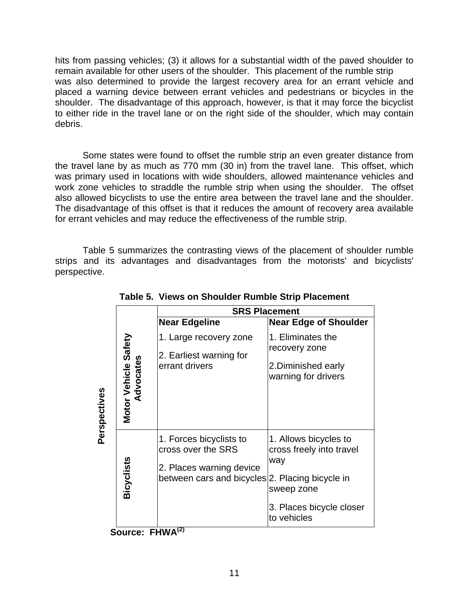hits from passing vehicles; (3) it allows for a substantial width of the paved shoulder to remain available for other users of the shoulder. This placement of the rumble strip was also determined to provide the largest recovery area for an errant vehicle and placed a warning device between errant vehicles and pedestrians or bicycles in the shoulder. The disadvantage of this approach, however, is that it may force the bicyclist to either ride in the travel lane or on the right side of the shoulder, which may contain debris.

Some states were found to offset the rumble strip an even greater distance from the travel lane by as much as 770 mm (30 in) from the travel lane. This offset, which was primary used in locations with wide shoulders, allowed maintenance vehicles and work zone vehicles to straddle the rumble strip when using the shoulder. The offset also allowed bicyclists to use the entire area between the travel lane and the shoulder. The disadvantage of this offset is that it reduces the amount of recovery area available for errant vehicles and may reduce the effectiveness of the rumble strip.

Table 5 summarizes the contrasting views of the placement of shoulder rumble strips and its advantages and disadvantages from the motorists' and bicyclists' perspective.

|              |                                   | <b>SRS Placement</b>                                                                                                         |                                                                                                                   |  |  |  |  |  |
|--------------|-----------------------------------|------------------------------------------------------------------------------------------------------------------------------|-------------------------------------------------------------------------------------------------------------------|--|--|--|--|--|
|              |                                   | <b>Near Edgeline</b>                                                                                                         | <b>Near Edge of Shoulder</b>                                                                                      |  |  |  |  |  |
|              |                                   | 1. Large recovery zone                                                                                                       | 1. Eliminates the                                                                                                 |  |  |  |  |  |
| Perspectives | Motor Vehicle Safety<br>Advocates | 2. Earliest warning for<br>errant drivers                                                                                    | recovery zone<br>2. Diminished early<br>warning for drivers                                                       |  |  |  |  |  |
|              | Bicyclists                        | 1. Forces bicyclists to<br>cross over the SRS<br>2. Places warning device<br>between cars and bicycles 2. Placing bicycle in | 1. Allows bicycles to<br>cross freely into travel<br>way<br>sweep zone<br>3. Places bicycle closer<br>to vehicles |  |  |  |  |  |

**Table 5. Views on Shoulder Rumble Strip Placement** 

**Source: FHWA([2\)](#page-10-2)**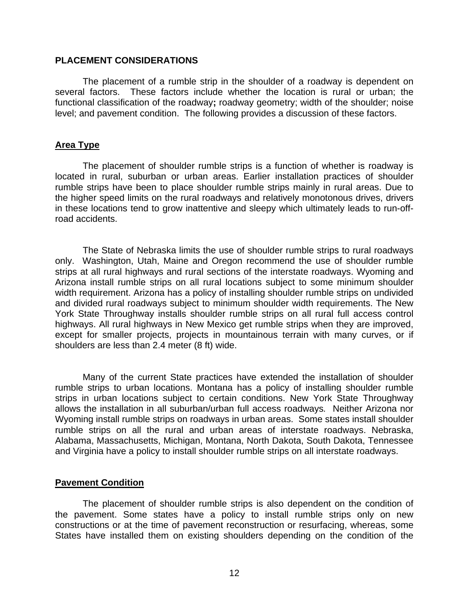#### <span id="page-21-0"></span>**PLACEMENT CONSIDERATIONS**

The placement of a rumble strip in the shoulder of a roadway is dependent on several factors. These factors include whether the location is rural or urban; the functional classification of the roadway**;** roadway geometry; width of the shoulder; noise level; and pavement condition. The following provides a discussion of these factors.

#### **Area Type**

The placement of shoulder rumble strips is a function of whether is roadway is located in rural, suburban or urban areas. Earlier installation practices of shoulder rumble strips have been to place shoulder rumble strips mainly in rural areas. Due to the higher speed limits on the rural roadways and relatively monotonous drives, drivers in these locations tend to grow inattentive and sleepy which ultimately leads to run-offroad accidents.

The State of Nebraska limits the use of shoulder rumble strips to rural roadways only. Washington, Utah, Maine and Oregon recommend the use of shoulder rumble strips at all rural highways and rural sections of the interstate roadways. Wyoming and Arizona install rumble strips on all rural locations subject to some minimum shoulder width requirement. Arizona has a policy of installing shoulder rumble strips on undivided and divided rural roadways subject to minimum shoulder width requirements. The New York State Throughway installs shoulder rumble strips on all rural full access control highways. All rural highways in New Mexico get rumble strips when they are improved, except for smaller projects, projects in mountainous terrain with many curves, or if shoulders are less than 2.4 meter (8 ft) wide.

Many of the current State practices have extended the installation of shoulder rumble strips to urban locations. Montana has a policy of installing shoulder rumble strips in urban locations subject to certain conditions. New York State Throughway allows the installation in all suburban/urban full access roadways*.* Neither Arizona nor Wyoming install rumble strips on roadways in urban areas. Some states install shoulder rumble strips on all the rural and urban areas of interstate roadways. Nebraska, Alabama, Massachusetts, Michigan, Montana, North Dakota, South Dakota, Tennessee and Virginia have a policy to install shoulder rumble strips on all interstate roadways.

#### **Pavement Condition**

The placement of shoulder rumble strips is also dependent on the condition of the pavement. Some states have a policy to install rumble strips only on new constructions or at the time of pavement reconstruction or resurfacing, whereas, some States have installed them on existing shoulders depending on the condition of the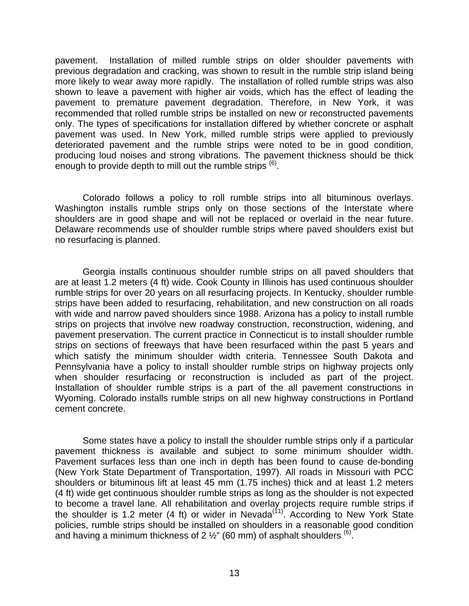pavement. Installation of milled rumble strips on older shoulder pavements with previous degradation and cracking, was shown to result in the rumble strip island being more likely to wear away more rapidly. The installation of rolled rumble strips was also shown to leave a pavement with higher air voids, which has the effect of leading the pavement to premature pavement degradation. Therefore, in New York, it was recommended that rolled rumble strips be installed on new or reconstructed pavements only. The types of specifications for installation differed by whether concrete or asphalt pavement was used. In New York, milled rumble strips were applied to previously deteriorated pavement and the rumble strips were noted to be in good condition, producing loud noises and strong vibrations. The pavement thickness should be thick enough to provide depth to mill out the rumble strips  $<sup>(6)</sup>$  $<sup>(6)</sup>$  $<sup>(6)</sup>$ .</sup>

Colorado follows a policy to roll rumble strips into all bituminous overlays. Washington installs rumble strips only on those sections of the Interstate where shoulders are in good shape and will not be replaced or overlaid in the near future. Delaware recommends use of shoulder rumble strips where paved shoulders exist but no resurfacing is planned.

Georgia installs continuous shoulder rumble strips on all paved shoulders that are at least 1.2 meters (4 ft) wide. Cook County in Illinois has used continuous shoulder rumble strips for over 20 years on all resurfacing projects. In Kentucky, shoulder rumble strips have been added to resurfacing, rehabilitation, and new construction on all roads with wide and narrow paved shoulders since 1988. Arizona has a policy to install rumble strips on projects that involve new roadway construction, reconstruction, widening, and pavement preservation. The current practice in Connecticut is to install shoulder rumble strips on sections of freeways that have been resurfaced within the past 5 years and which satisfy the minimum shoulder width criteria. Tennessee South Dakota and Pennsylvania have a policy to install shoulder rumble strips on highway projects only when shoulder resurfacing or reconstruction is included as part of the project. Installation of shoulder rumble strips is a part of the all pavement constructions in Wyoming. Colorado installs rumble strips on all new highway constructions in Portland cement concrete.

Some states have a policy to install the shoulder rumble strips only if a particular pavement thickness is available and subject to some minimum shoulder width. Pavement surfaces less than one inch in depth has been found to cause de-bonding (New York State Department of Transportation, 1997). All roads in Missouri with PCC shoulders or bituminous lift at least 45 mm (1.75 inches) thick and at least 1.2 meters (4 ft) wide get continuous shoulder rumble strips as long as the shoulder is not expected to become a travel lane. All rehabilitation and overlay projects require rumble strips if the shoulder is 1.2 meter (4 ft) or wider in Nevada<sup>(11)</sup>. According to New York State policies, rumble strips should be installed on shoulders in a reasonable good condition and having a minimum thickness of 2  $\frac{1}{2}$ " (60 mm) of asphalt shoulders <sup>([6\)](#page-14-2)</sup>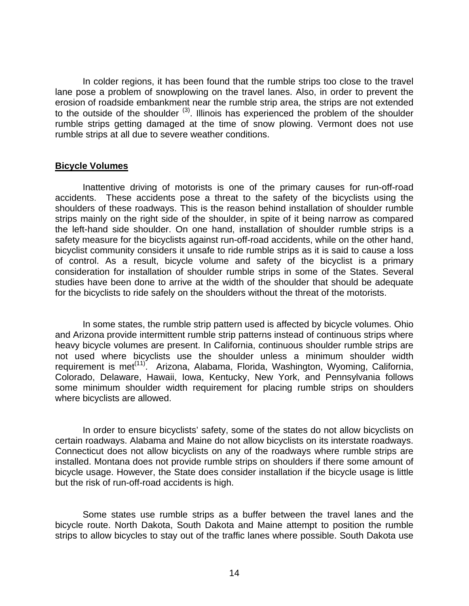<span id="page-23-0"></span>In colder regions, it has been found that the rumble strips too close to the travel lane pose a problem of snowplowing on the travel lanes. Also, in order to prevent the erosion of roadside embankment near the rumble strip area, the strips are not extended to the outside of the shoulder  $(3)$ . Illinois has experienced the problem of the shoulder rumble strips getting damaged at the time of snow plowing. Vermont does not use rumble strips at all due to severe weather conditions.

#### **Bicycle Volumes**

Inattentive driving of motorists is one of the primary causes for run-off-road accidents. These accidents pose a threat to the safety of the bicyclists using the shoulders of these roadways. This is the reason behind installation of shoulder rumble strips mainly on the right side of the shoulder, in spite of it being narrow as compared the left-hand side shoulder. On one hand, installation of shoulder rumble strips is a safety measure for the bicyclists against run-off-road accidents, while on the other hand, bicyclist community considers it unsafe to ride rumble strips as it is said to cause a loss of control. As a result, bicycle volume and safety of the bicyclist is a primary consideration for installation of shoulder rumble strips in some of the States. Several studies have been done to arrive at the width of the shoulder that should be adequate for the bicyclists to ride safely on the shoulders without the threat of the motorists.

In some states, the rumble strip pattern used is affected by bicycle volumes. Ohio and Arizona provide intermittent rumble strip patterns instead of continuous strips where heavy bicycle volumes are present. In California, continuous shoulder rumble strips are not used where bicyclists use the shoulder unless a minimum shoulder width requirement is met<sup>[\(11\)](#page-17-1)</sup>. Arizona, Alabama, Florida, Washington, Wyoming, California, Colorado, Delaware, Hawaii, Iowa, Kentucky, New York, and Pennsylvania follows some minimum shoulder width requirement for placing rumble strips on shoulders where bicyclists are allowed.

In order to ensure bicyclists' safety, some of the states do not allow bicyclists on certain roadways. Alabama and Maine do not allow bicyclists on its interstate roadways. Connecticut does not allow bicyclists on any of the roadways where rumble strips are installed. Montana does not provide rumble strips on shoulders if there some amount of bicycle usage. However, the State does consider installation if the bicycle usage is little but the risk of run-off-road accidents is high.

Some states use rumble strips as a buffer between the travel lanes and the bicycle route. North Dakota, South Dakota and Maine attempt to position the rumble strips to allow bicycles to stay out of the traffic lanes where possible. South Dakota use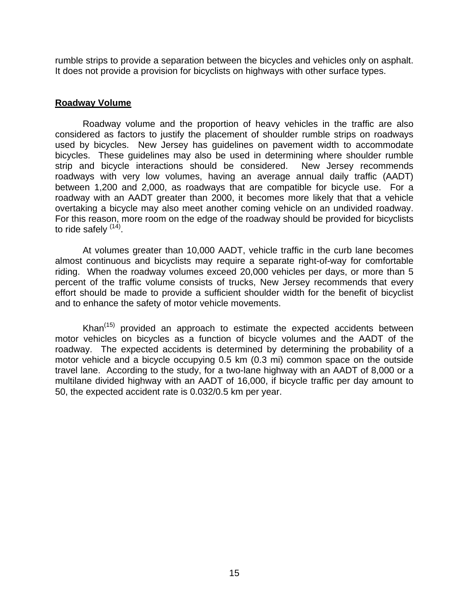<span id="page-24-0"></span>rumble strips to provide a separation between the bicycles and vehicles only on asphalt. It does not provide a provision for bicyclists on highways with other surface types.

## **Roadway Volume**

Roadway volume and the proportion of heavy vehicles in the traffic are also considered as factors to justify the placement of shoulder rumble strips on roadways used by bicycles. New Jersey has guidelines on pavement width to accommodate bicycles. These guidelines may also be used in determining where shoulder rumble strip and bicycle interactions should be considered. New Jersey recommends roadways with very low volumes, having an average annual daily traffic (AADT) between 1,200 and 2,000, as roadways that are compatible for bicycle use. For a roadway with an AADT greater than 2000, it becomes more likely that that a vehicle overtaking a bicycle may also meet another coming vehicle on an undivided roadway. For this reason, more room on the edge of the roadway should be provided for bicyclists to ride safely <sup>([14\)](#page-70-14)</sup>.

At volumes greater than 10,000 AADT, vehicle traffic in the curb lane becomes almost continuous and bicyclists may require a separate right-of-way for comfortable riding. When the roadway volumes exceed 20,000 vehicles per days, or more than 5 percent of the traffic volume consists of trucks, New Jersey recommends that every effort should be made to provide a sufficient shoulder width for the benefit of bicyclist and to enhance the safety of motor vehicle movements.

<span id="page-24-1"></span>Khan $<sup>(15)</sup>$  $<sup>(15)</sup>$  $<sup>(15)</sup>$  provided an approach to estimate the expected accidents between</sup> motor vehicles on bicycles as a function of bicycle volumes and the AADT of the roadway. The expected accidents is determined by determining the probability of a motor vehicle and a bicycle occupying 0.5 km (0.3 mi) common space on the outside travel lane. According to the study, for a two-lane highway with an AADT of 8,000 or a multilane divided highway with an AADT of 16,000, if bicycle traffic per day amount to 50, the expected accident rate is 0.032/0.5 km per year.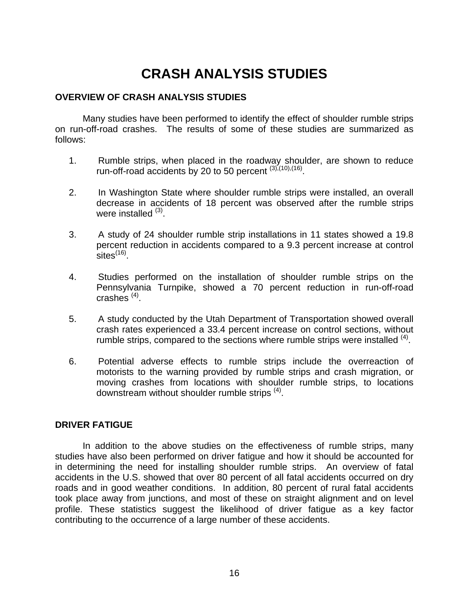# <span id="page-25-1"></span>**CRASH ANALYSIS STUDIES**

## <span id="page-25-0"></span>**OVERVIEW OF CRASH ANALYSIS STUDIES**

Many studies have been performed to identify the effect of shoulder rumble strips on run-off-road crashes. The results of some of these studies are summarized as follows:

- 1. Rumble strips, when placed in the roadway shoulder, are shown to reduce run-off-road accidents by 20 to 50 percent  $(3)$  $(3)$ ,  $(10)$ ,  $(16)$
- 2. In Washington State where shoulder rumble strips were installed, an overall decrease in accidents of 18 percent was observed after the rumble strips were installed  $(3)$ .
- 3. A study of 24 shoulder rumble strip installations in 11 states showed a 19.8 percent reduction in accidents compared to a 9.3 percent increase at control sites $^{(16)}$ .
- 4. Studies performed on the installation of shoulder rumble strips on the Pennsylvania Turnpike, showed a 70 percent reduction in run-off-road crashes  $(4)$ .
- 5. A study conducted by the Utah Department of Transportation showed overall crash rates experienced a 33.4 percent increase on control sections, without rumble strips, compared to the sections where rumble strips were installed  $(4)$ .
- 6. Potential adverse effects to rumble strips include the overreaction of motorists to the warning provided by rumble strips and crash migration, or moving crashes from locations with shoulder rumble strips, to locations downstream without shoulder rumble strips <sup>[\(4\)](#page-13-2)</sup>.

## **DRIVER FATIGUE**

In addition to the above studies on the effectiveness of rumble strips, many studies have also been performed on driver fatigue and how it should be accounted for in determining the need for installing shoulder rumble strips. An overview of fatal accidents in the U.S. showed that over 80 percent of all fatal accidents occurred on dry roads and in good weather conditions. In addition, 80 percent of rural fatal accidents took place away from junctions, and most of these on straight alignment and on level profile. These statistics suggest the likelihood of driver fatigue as a key factor contributing to the occurrence of a large number of these accidents.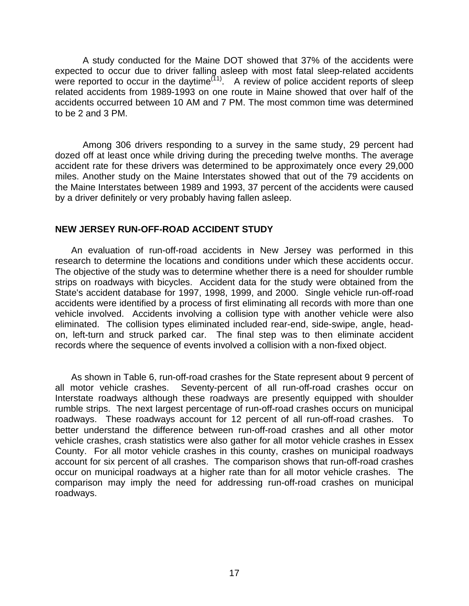<span id="page-26-0"></span>A study conducted for the Maine DOT showed that 37% of the accidents were expected to occur due to driver falling asleep with most fatal sleep-related accidents were reported to occur in the daytime<sup> $(11)$ </sup>. A review of police accident reports of sleep related accidents from 1989-1993 on one route in Maine showed that over half of the accidents occurred between 10 AM and 7 PM. The most common time was determined to be 2 and 3 PM.

Among 306 drivers responding to a survey in the same study, 29 percent had dozed off at least once while driving during the preceding twelve months. The average accident rate for these drivers was determined to be approximately once every 29,000 miles. Another study on the Maine Interstates showed that out of the 79 accidents on the Maine Interstates between 1989 and 1993, 37 percent of the accidents were caused by a driver definitely or very probably having fallen asleep.

#### **NEW JERSEY RUN-OFF-ROAD ACCIDENT STUDY**

An evaluation of run-off-road accidents in New Jersey was performed in this research to determine the locations and conditions under which these accidents occur. The objective of the study was to determine whether there is a need for shoulder rumble strips on roadways with bicycles. Accident data for the study were obtained from the State's accident database for 1997, 1998, 1999, and 2000. Single vehicle run-off-road accidents were identified by a process of first eliminating all records with more than one vehicle involved. Accidents involving a collision type with another vehicle were also eliminated. The collision types eliminated included rear-end, side-swipe, angle, headon, left-turn and struck parked car. The final step was to then eliminate accident records where the sequence of events involved a collision with a non-fixed object.

As shown in Table 6, run-off-road crashes for the State represent about 9 percent of all motor vehicle crashes. Seventy-percent of all run-off-road crashes occur on Interstate roadways although these roadways are presently equipped with shoulder rumble strips. The next largest percentage of run-off-road crashes occurs on municipal roadways. These roadways account for 12 percent of all run-off-road crashes. To better understand the difference between run-off-road crashes and all other motor vehicle crashes, crash statistics were also gather for all motor vehicle crashes in Essex County. For all motor vehicle crashes in this county, crashes on municipal roadways account for six percent of all crashes. The comparison shows that run-off-road crashes occur on municipal roadways at a higher rate than for all motor vehicle crashes. The comparison may imply the need for addressing run-off-road crashes on municipal roadways.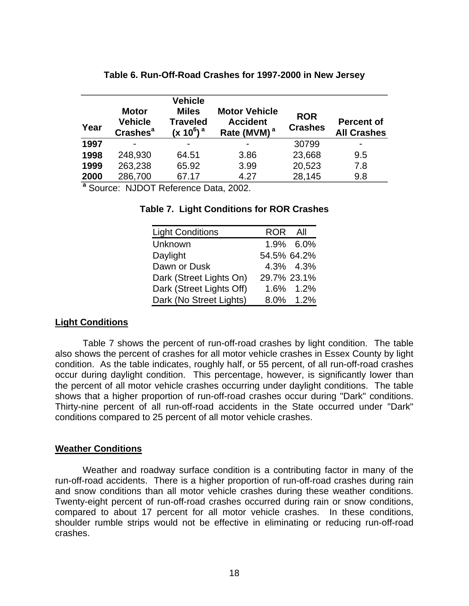<span id="page-27-0"></span>

| Year           | <b>Motor</b><br><b>Vehicle</b><br><b>Crashes<sup>a</sup></b> | <b>Vehicle</b><br><b>Miles</b><br><b>Traveled</b><br>$(x 10^6)$ <sup>a</sup> | <b>Motor Vehicle</b><br><b>Accident</b><br>Rate (MVM) <sup>a</sup> | <b>ROR</b><br><b>Crashes</b> | <b>Percent of</b><br><b>All Crashes</b> |
|----------------|--------------------------------------------------------------|------------------------------------------------------------------------------|--------------------------------------------------------------------|------------------------------|-----------------------------------------|
| 1997           |                                                              |                                                                              | $\blacksquare$                                                     | 30799                        |                                         |
| 1998           | 248,930                                                      | 64.51                                                                        | 3.86                                                               | 23,668                       | 9.5                                     |
| 1999           | 263,238                                                      | 65.92                                                                        | 3.99                                                               | 20,523                       | 7.8                                     |
| 2000<br>$\sim$ | 286,700                                                      | 67.17                                                                        | 4.27                                                               | 28,145                       | 9.8                                     |

## **Table 6. Run-Off-Road Crashes for 1997-2000 in New Jersey**

**<sup>a</sup>** Source: NJDOT Reference Data, 2002.

### **Table 7. Light Conditions for ROR Crashes**

| <b>Light Conditions</b>  | ROR All     |             |
|--------------------------|-------------|-------------|
| Unknown                  |             | 1.9% 6.0%   |
| Daylight                 | 54.5% 64.2% |             |
| Dawn or Dusk             |             | 4.3% 4.3%   |
| Dark (Street Lights On)  |             | 29.7% 23.1% |
| Dark (Street Lights Off) |             | 1.6% 1.2%   |
| Dark (No Street Lights)  |             | 8.0% 1.2%   |

## **Light Conditions**

Table 7 shows the percent of run-off-road crashes by light condition. The table also shows the percent of crashes for all motor vehicle crashes in Essex County by light condition. As the table indicates, roughly half, or 55 percent, of all run-off-road crashes occur during daylight condition. This percentage, however, is significantly lower than the percent of all motor vehicle crashes occurring under daylight conditions. The table shows that a higher proportion of run-off-road crashes occur during "Dark" conditions. Thirty-nine percent of all run-off-road accidents in the State occurred under "Dark" conditions compared to 25 percent of all motor vehicle crashes.

#### **Weather Conditions**

Weather and roadway surface condition is a contributing factor in many of the run-off-road accidents. There is a higher proportion of run-off-road crashes during rain and snow conditions than all motor vehicle crashes during these weather conditions. Twenty-eight percent of run-off-road crashes occurred during rain or snow conditions, compared to about 17 percent for all motor vehicle crashes. In these conditions, shoulder rumble strips would not be effective in eliminating or reducing run-off-road crashes.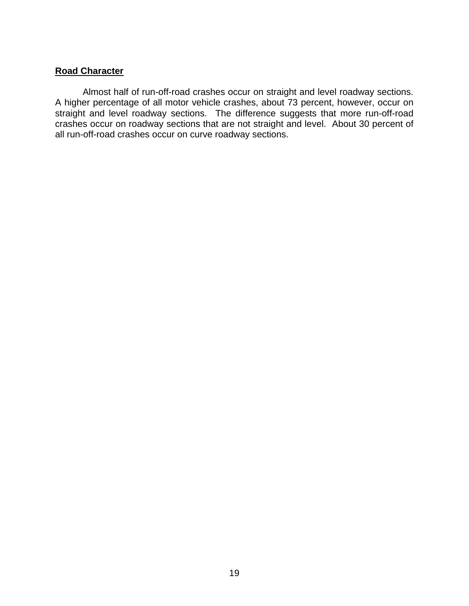## <span id="page-28-0"></span>**Road Character**

Almost half of run-off-road crashes occur on straight and level roadway sections. A higher percentage of all motor vehicle crashes, about 73 percent, however, occur on straight and level roadway sections. The difference suggests that more run-off-road crashes occur on roadway sections that are not straight and level. About 30 percent of all run-off-road crashes occur on curve roadway sections.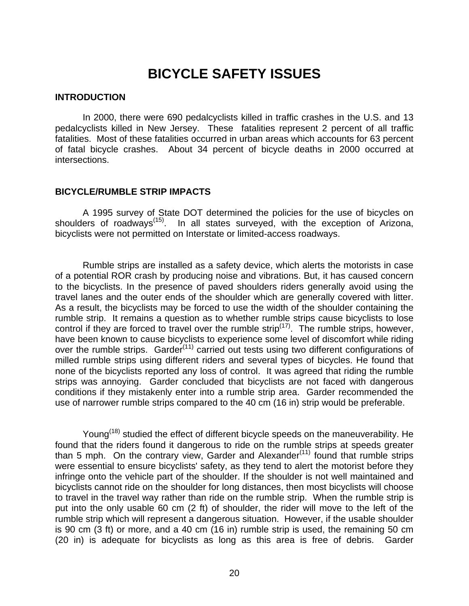# **BICYCLE SAFETY ISSUES**

#### <span id="page-29-0"></span>**INTRODUCTION**

In 2000, there were 690 pedalcyclists killed in traffic crashes in the U.S. and 13 pedalcyclists killed in New Jersey. These fatalities represent 2 percent of all traffic fatalities. Most of these fatalities occurred in urban areas which accounts for 63 percent of fatal bicycle crashes. About 34 percent of bicycle deaths in 2000 occurred at intersections.

#### **BICYCLE/RUMBLE STRIP IMPACTS**

A 1995 survey of State DOT determined the policies for the use of bicycles on shoulders of roadways<sup>([15\)](#page-24-1)</sup>. In all states surveyed, with the exception of Arizona, bicyclists were not permitted on Interstate or limited-access roadways.

Rumble strips are installed as a safety device, which alerts the motorists in case of a potential ROR crash by producing noise and vibrations. But, it has caused concern to the bicyclists. In the presence of paved shoulders riders generally avoid using the travel lanes and the outer ends of the shoulder which are generally covered with litter. As a result, the bicyclists may be forced to use the width of the shoulder containing the rumble strip. It remains a question as to whether rumble strips cause bicyclists to lose control if they are forced to travel over the rumble strip<sup> $(17)$  $(17)$ </sup>. The rumble strips, however, have been known to cause bicyclists to experience some level of discomfort while riding over the rumble strips. Garder<sup>[\(11\)](#page-17-1)</sup> carried out tests using two different configurations of milled rumble strips using different riders and several types of bicycles. He found that none of the bicyclists reported any loss of control. It was agreed that riding the rumble strips was annoying. Garder concluded that bicyclists are not faced with dangerous conditions if they mistakenly enter into a rumble strip area. Garder recommended the use of narrower rumble strips compared to the 40 cm (16 in) strip would be preferable.

Young<sup>([18\)](#page-70-18)</sup> studied the effect of different bicycle speeds on the maneuverability. He found that the riders found it dangerous to ride on the rumble strips at speeds greater than 5 mph. On the contrary view, Garder and Alexander<sup> $(11)$  $(11)$ </sup> found that rumble strips were essential to ensure bicyclists' safety, as they tend to alert the motorist before they infringe onto the vehicle part of the shoulder. If the shoulder is not well maintained and bicyclists cannot ride on the shoulder for long distances, then most bicyclists will choose to travel in the travel way rather than ride on the rumble strip. When the rumble strip is put into the only usable 60 cm (2 ft) of shoulder, the rider will move to the left of the rumble strip which will represent a dangerous situation. However, if the usable shoulder is 90 cm (3 ft) or more, and a 40 cm (16 in) rumble strip is used, the remaining 50 cm (20 in) is adequate for bicyclists as long as this area is free of debris. Garder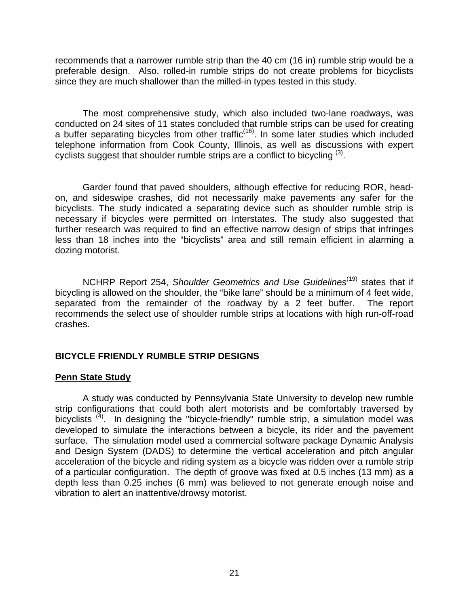<span id="page-30-0"></span>recommends that a narrower rumble strip than the 40 cm (16 in) rumble strip would be a preferable design. Also, rolled-in rumble strips do not create problems for bicyclists since they are much shallower than the milled-in types tested in this study.

The most comprehensive study, which also included two-lane roadways, was conducted on 24 sites of 11 states concluded that rumble strips can be used for creating a buffer separating bicycles from other traffic<sup> $(16)$ </sup>. In some later studies which included telephone information from Cook County, Illinois, as well as discussions with expert cyclists suggest that shoulder rumble strips are a conflict to bicycling  $(3)$ .

Garder found that paved shoulders, although effective for reducing ROR, headon, and sideswipe crashes, did not necessarily make pavements any safer for the bicyclists. The study indicated a separating device such as shoulder rumble strip is necessary if bicycles were permitted on Interstates. The study also suggested that further research was required to find an effective narrow design of strips that infringes less than 18 inches into the "bicyclists" area and still remain efficient in alarming a dozing motorist.

NCHRP Report 254, Shoulder Geometrics and Use Guidelines<sup>[\(19\)](#page-70-19)</sup> states that if bicycling is allowed on the shoulder, the "bike lane" should be a minimum of 4 feet wide, separated from the remainder of the roadway by a 2 feet buffer. The report recommends the select use of shoulder rumble strips at locations with high run-off-road crashes.

## **BICYCLE FRIENDLY RUMBLE STRIP DESIGNS**

## **Penn State Study**

A study was conducted by Pennsylvania State University to develop new rumble strip configurations that could both alert motorists and be comfortably traversed by bicyclists  $^{(4)}$  $^{(4)}$  $^{(4)}$ . In designing the "bicycle-friendly" rumble strip, a simulation model was developed to simulate the interactions between a bicycle, its rider and the pavement surface. The simulation model used a commercial software package Dynamic Analysis and Design System (DADS) to determine the vertical acceleration and pitch angular acceleration of the bicycle and riding system as a bicycle was ridden over a rumble strip of a particular configuration. The depth of groove was fixed at 0.5 inches (13 mm) as a depth less than 0.25 inches (6 mm) was believed to not generate enough noise and vibration to alert an inattentive/drowsy motorist.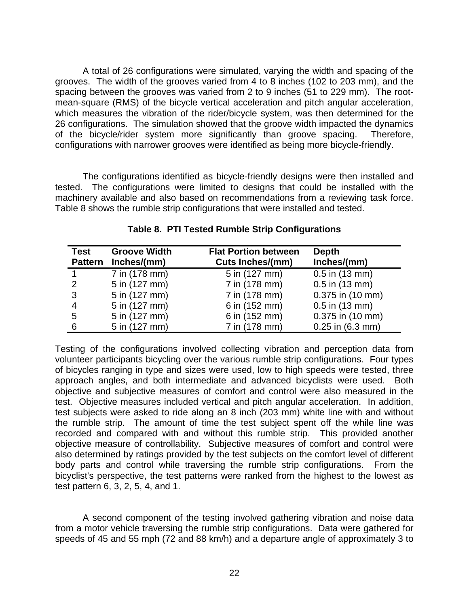A total of 26 configurations were simulated, varying the width and spacing of the grooves. The width of the grooves varied from 4 to 8 inches (102 to 203 mm), and the spacing between the grooves was varied from 2 to 9 inches (51 to 229 mm). The rootmean-square (RMS) of the bicycle vertical acceleration and pitch angular acceleration, which measures the vibration of the rider/bicycle system, was then determined for the 26 configurations. The simulation showed that the groove width impacted the dynamics of the bicycle/rider system more significantly than groove spacing. Therefore, configurations with narrower grooves were identified as being more bicycle-friendly.

The configurations identified as bicycle-friendly designs were then installed and tested. The configurations were limited to designs that could be installed with the machinery available and also based on recommendations from a reviewing task force. Table 8 shows the rumble strip configurations that were installed and tested.

| Test          | <b>Groove Width</b><br>Pattern Inches/(mm) | <b>Flat Portion between</b><br><b>Cuts Inches/(mm)</b> | <b>Depth</b><br>Inches/(mm) |
|---------------|--------------------------------------------|--------------------------------------------------------|-----------------------------|
|               | 7 in (178 mm)                              | 5 in (127 mm)                                          | $0.5$ in $(13$ mm)          |
| $\mathcal{P}$ | 5 in (127 mm)                              | 7 in (178 mm)                                          | $0.5$ in $(13$ mm)          |
| 3             | 5 in (127 mm)                              | 7 in (178 mm)                                          | 0.375 in (10 mm)            |
| 4             | 5 in (127 mm)                              | 6 in (152 mm)                                          | $0.5$ in $(13$ mm)          |
| 5             | 5 in (127 mm)                              | 6 in (152 mm)                                          | 0.375 in (10 mm)            |
| 6             | 5 in (127 mm)                              | 7 in (178 mm)                                          | $0.25$ in $(6.3$ mm)        |

**Table 8. PTI Tested Rumble Strip Configurations** 

Testing of the configurations involved collecting vibration and perception data from volunteer participants bicycling over the various rumble strip configurations. Four types of bicycles ranging in type and sizes were used, low to high speeds were tested, three approach angles, and both intermediate and advanced bicyclists were used. Both objective and subjective measures of comfort and control were also measured in the test. Objective measures included vertical and pitch angular acceleration. In addition, test subjects were asked to ride along an 8 inch (203 mm) white line with and without the rumble strip. The amount of time the test subject spent off the while line was recorded and compared with and without this rumble strip. This provided another objective measure of controllability. Subjective measures of comfort and control were also determined by ratings provided by the test subjects on the comfort level of different body parts and control while traversing the rumble strip configurations. From the bicyclist's perspective, the test patterns were ranked from the highest to the lowest as test pattern 6, 3, 2, 5, 4, and 1.

A second component of the testing involved gathering vibration and noise data from a motor vehicle traversing the rumble strip configurations. Data were gathered for speeds of 45 and 55 mph (72 and 88 km/h) and a departure angle of approximately 3 to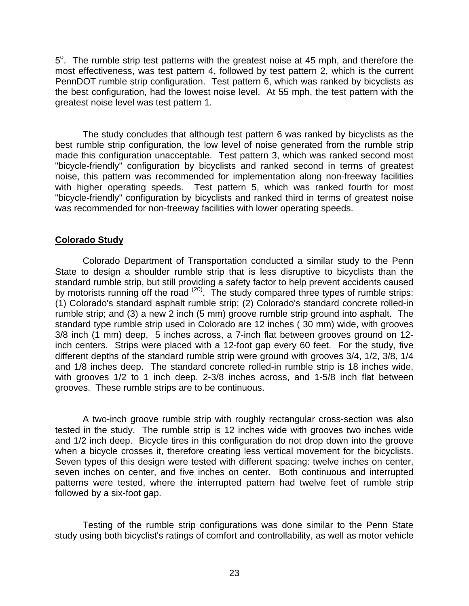<span id="page-32-0"></span> $5^\circ$ . The rumble strip test patterns with the greatest noise at 45 mph, and therefore the most effectiveness, was test pattern 4, followed by test pattern 2, which is the current PennDOT rumble strip configuration. Test pattern 6, which was ranked by bicyclists as the best configuration, had the lowest noise level. At 55 mph, the test pattern with the greatest noise level was test pattern 1.

The study concludes that although test pattern 6 was ranked by bicyclists as the best rumble strip configuration, the low level of noise generated from the rumble strip made this configuration unacceptable. Test pattern 3, which was ranked second most "bicycle-friendly" configuration by bicyclists and ranked second in terms of greatest noise, this pattern was recommended for implementation along non-freeway facilities with higher operating speeds. Test pattern 5, which was ranked fourth for most "bicycle-friendly" configuration by bicyclists and ranked third in terms of greatest noise was recommended for non-freeway facilities with lower operating speeds.

## **Colorado Study**

Colorado Department of Transportation conducted a similar study to the Penn State to design a shoulder rumble strip that is less disruptive to bicyclists than the standard rumble strip, but still providing a safety factor to help prevent accidents caused by motorists running off the road <sup>([20\)](#page-70-20)</sup>. The study compared three types of rumble strips: (1) Colorado's standard asphalt rumble strip; (2) Colorado's standard concrete rolled-in rumble strip; and (3) a new 2 inch (5 mm) groove rumble strip ground into asphalt. The standard type rumble strip used in Colorado are 12 inches ( 30 mm) wide, with grooves 3/8 inch (1 mm) deep, 5 inches across, a 7-inch flat between grooves ground on 12 inch centers. Strips were placed with a 12-foot gap every 60 feet. For the study, five different depths of the standard rumble strip were ground with grooves 3/4, 1/2, 3/8, 1/4 and 1/8 inches deep. The standard concrete rolled-in rumble strip is 18 inches wide, with grooves 1/2 to 1 inch deep. 2-3/8 inches across, and 1-5/8 inch flat between grooves. These rumble strips are to be continuous.

A two-inch groove rumble strip with roughly rectangular cross-section was also tested in the study. The rumble strip is 12 inches wide with grooves two inches wide and 1/2 inch deep. Bicycle tires in this configuration do not drop down into the groove when a bicycle crosses it, therefore creating less vertical movement for the bicyclists. Seven types of this design were tested with different spacing: twelve inches on center, seven inches on center, and five inches on center. Both continuous and interrupted patterns were tested, where the interrupted pattern had twelve feet of rumble strip followed by a six-foot gap.

Testing of the rumble strip configurations was done similar to the Penn State study using both bicyclist's ratings of comfort and controllability, as well as motor vehicle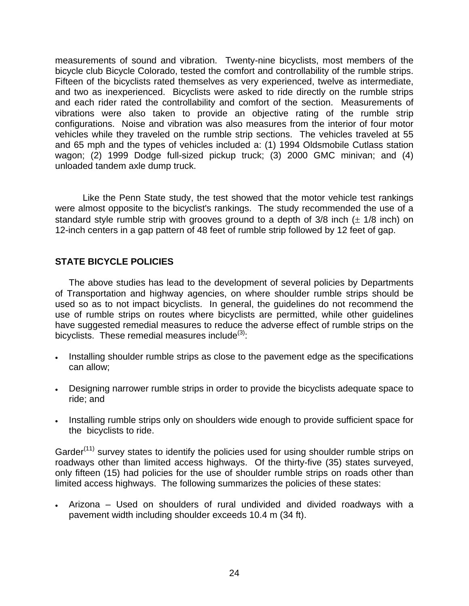<span id="page-33-0"></span>measurements of sound and vibration. Twenty-nine bicyclists, most members of the bicycle club Bicycle Colorado, tested the comfort and controllability of the rumble strips. Fifteen of the bicyclists rated themselves as very experienced, twelve as intermediate, and two as inexperienced. Bicyclists were asked to ride directly on the rumble strips and each rider rated the controllability and comfort of the section. Measurements of vibrations were also taken to provide an objective rating of the rumble strip configurations. Noise and vibration was also measures from the interior of four motor vehicles while they traveled on the rumble strip sections. The vehicles traveled at 55 and 65 mph and the types of vehicles included a: (1) 1994 Oldsmobile Cutlass station wagon; (2) 1999 Dodge full-sized pickup truck; (3) 2000 GMC minivan; and (4) unloaded tandem axle dump truck.

Like the Penn State study, the test showed that the motor vehicle test rankings were almost opposite to the bicyclist's rankings. The study recommended the use of a standard style rumble strip with grooves ground to a depth of  $3/8$  inch ( $\pm$  1/8 inch) on 12-inch centers in a gap pattern of 48 feet of rumble strip followed by 12 feet of gap.

## **STATE BICYCLE POLICIES**

The above studies has lead to the development of several policies by Departments of Transportation and highway agencies, on where shoulder rumble strips should be used so as to not impact bicyclists. In general, the guidelines do not recommend the use of rumble strips on routes where bicyclists are permitted, while other guidelines have suggested remedial measures to reduce the adverse effect of rumble strips on the bicyclists. These remedial measures include $(3)$  $(3)$ :

- Installing shoulder rumble strips as close to the pavement edge as the specifications can allow;
- Designing narrower rumble strips in order to provide the bicyclists adequate space to ride; and
- Installing rumble strips only on shoulders wide enough to provide sufficient space for the bicyclists to ride.

Garder<sup>([11\)](#page-17-1)</sup> survey states to identify the policies used for using shoulder rumble strips on roadways other than limited access highways. Of the thirty-five (35) states surveyed, only fifteen (15) had policies for the use of shoulder rumble strips on roads other than limited access highways. The following summarizes the policies of these states:

• Arizona – Used on shoulders of rural undivided and divided roadways with a pavement width including shoulder exceeds 10.4 m (34 ft).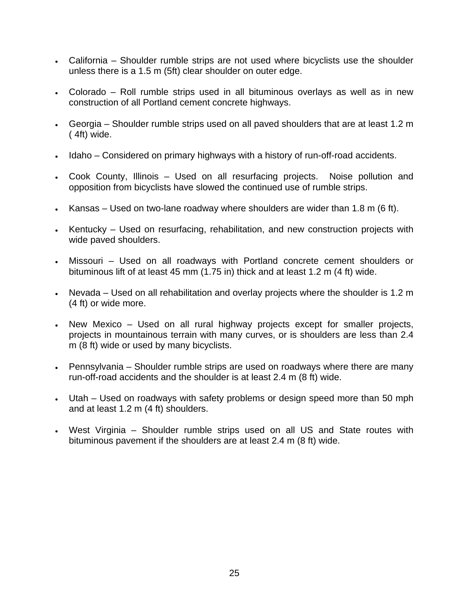- California Shoulder rumble strips are not used where bicyclists use the shoulder unless there is a 1.5 m (5ft) clear shoulder on outer edge.
- Colorado Roll rumble strips used in all bituminous overlays as well as in new construction of all Portland cement concrete highways.
- Georgia Shoulder rumble strips used on all paved shoulders that are at least 1.2 m ( 4ft) wide.
- Idaho Considered on primary highways with a history of run-off-road accidents.
- Cook County, Illinois Used on all resurfacing projects. Noise pollution and opposition from bicyclists have slowed the continued use of rumble strips.
- Kansas Used on two-lane roadway where shoulders are wider than 1.8 m (6 ft).
- Kentucky Used on resurfacing, rehabilitation, and new construction projects with wide paved shoulders.
- Missouri Used on all roadways with Portland concrete cement shoulders or bituminous lift of at least 45 mm (1.75 in) thick and at least 1.2 m (4 ft) wide.
- Nevada Used on all rehabilitation and overlay projects where the shoulder is 1.2 m (4 ft) or wide more.
- New Mexico Used on all rural highway projects except for smaller projects, projects in mountainous terrain with many curves, or is shoulders are less than 2.4 m (8 ft) wide or used by many bicyclists.
- Pennsylvania Shoulder rumble strips are used on roadways where there are many run-off-road accidents and the shoulder is at least 2.4 m (8 ft) wide.
- Utah Used on roadways with safety problems or design speed more than 50 mph and at least 1.2 m (4 ft) shoulders.
- West Virginia Shoulder rumble strips used on all US and State routes with bituminous pavement if the shoulders are at least 2.4 m (8 ft) wide.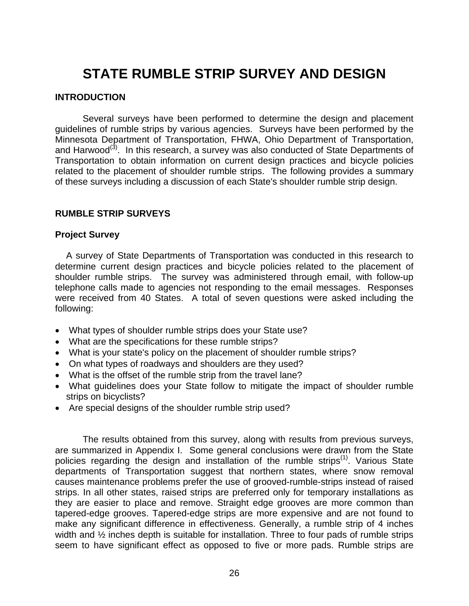# <span id="page-35-0"></span>**STATE RUMBLE STRIP SURVEY AND DESIGN**

### **INTRODUCTION**

Several surveys have been performed to determine the design and placement guidelines of rumble strips by various agencies. Surveys have been performed by the Minnesota Department of Transportation, FHWA, Ohio Department of Transportation, and Harwood<sup>[\(3\)](#page-13-1)</sup>. In this research, a survey was also conducted of State Departments of Transportation to obtain information on current design practices and bicycle policies related to the placement of shoulder rumble strips. The following provides a summary of these surveys including a discussion of each State's shoulder rumble strip design.

## **RUMBLE STRIP SURVEYS**

#### **Project Survey**

A survey of State Departments of Transportation was conducted in this research to determine current design practices and bicycle policies related to the placement of shoulder rumble strips. The survey was administered through email, with follow-up telephone calls made to agencies not responding to the email messages. Responses were received from 40 States. A total of seven questions were asked including the following:

- What types of shoulder rumble strips does your State use?
- What are the specifications for these rumble strips?
- What is your state's policy on the placement of shoulder rumble strips?
- On what types of roadways and shoulders are they used?
- What is the offset of the rumble strip from the travel lane?
- What guidelines does your State follow to mitigate the impact of shoulder rumble strips on bicyclists?
- Are special designs of the shoulder rumble strip used?

The results obtained from this survey, along with results from previous surveys, are summarized in Appendix I. Some general conclusions were drawn from the State policies regarding the design and installation of the rumble strips<sup>([1\)](#page-10-1)</sup>. Various State departments of Transportation suggest that northern states, where snow removal causes maintenance problems prefer the use of grooved-rumble-strips instead of raised strips. In all other states, raised strips are preferred only for temporary installations as they are easier to place and remove. Straight edge grooves are more common than tapered-edge grooves. Tapered-edge strips are more expensive and are not found to make any significant difference in effectiveness. Generally, a rumble strip of 4 inches width and  $\frac{1}{2}$  inches depth is suitable for installation. Three to four pads of rumble strips seem to have significant effect as opposed to five or more pads. Rumble strips are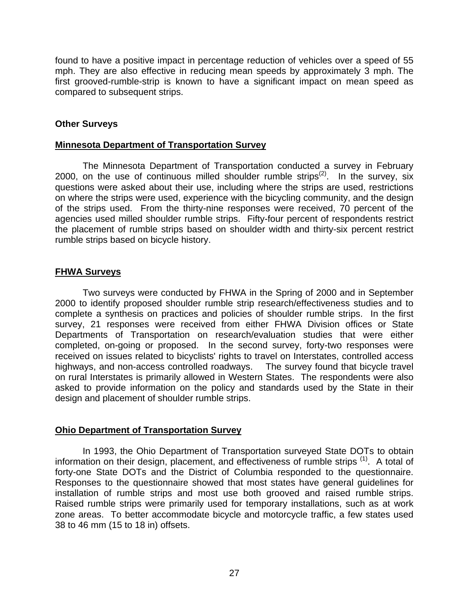found to have a positive impact in percentage reduction of vehicles over a speed of 55 mph. They are also effective in reducing mean speeds by approximately 3 mph. The first grooved-rumble-strip is known to have a significant impact on mean speed as compared to subsequent strips.

## **Other Surveys**

## **Minnesota Department of Transportation Survey**

The Minnesota Department of Transportation conducted a survey in February 2000, on the use of continuous milled shoulder rumble strips<sup>[\(2\)](#page-10-0)</sup>. In the survey, six questions were asked about their use, including where the strips are used, restrictions on where the strips were used, experience with the bicycling community, and the design of the strips used. From the thirty-nine responses were received, 70 percent of the agencies used milled shoulder rumble strips. Fifty-four percent of respondents restrict the placement of rumble strips based on shoulder width and thirty-six percent restrict rumble strips based on bicycle history.

## **FHWA Surveys**

Two surveys were conducted by FHWA in the Spring of 2000 and in September 2000 to identify proposed shoulder rumble strip research/effectiveness studies and to complete a synthesis on practices and policies of shoulder rumble strips. In the first survey, 21 responses were received from either FHWA Division offices or State Departments of Transportation on research/evaluation studies that were either completed, on-going or proposed. In the second survey, forty-two responses were received on issues related to bicyclists' rights to travel on Interstates, controlled access highways, and non-access controlled roadways. The survey found that bicycle travel on rural Interstates is primarily allowed in Western States. The respondents were also asked to provide information on the policy and standards used by the State in their design and placement of shoulder rumble strips.

## **Ohio Department of Transportation Survey**

In 1993, the Ohio Department of Transportation surveyed State DOTs to obtain information on their design, placement, and effectiveness of rumble strips <sup>([1\)](#page-10-1)</sup>. A total of forty-one State DOTs and the District of Columbia responded to the questionnaire. Responses to the questionnaire showed that most states have general guidelines for installation of rumble strips and most use both grooved and raised rumble strips. Raised rumble strips were primarily used for temporary installations, such as at work zone areas. To better accommodate bicycle and motorcycle traffic, a few states used 38 to 46 mm (15 to 18 in) offsets.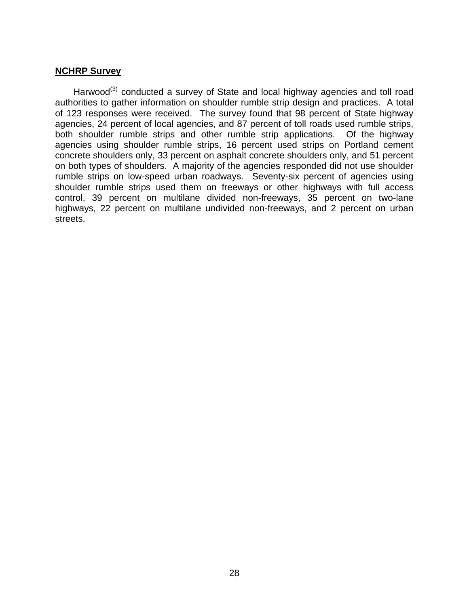## **NCHRP Survey**

Harwood<sup>[\(3\)](#page-13-0)</sup> conducted a survey of State and local highway agencies and toll road authorities to gather information on shoulder rumble strip design and practices. A total of 123 responses were received. The survey found that 98 percent of State highway agencies, 24 percent of local agencies, and 87 percent of toll roads used rumble strips, both shoulder rumble strips and other rumble strip applications. Of the highway agencies using shoulder rumble strips, 16 percent used strips on Portland cement concrete shoulders only, 33 percent on asphalt concrete shoulders only, and 51 percent on both types of shoulders. A majority of the agencies responded did not use shoulder rumble strips on low-speed urban roadways. Seventy-six percent of agencies using shoulder rumble strips used them on freeways or other highways with full access control, 39 percent on multilane divided non-freeways, 35 percent on two-lane highways, 22 percent on multilane undivided non-freeways, and 2 percent on urban streets.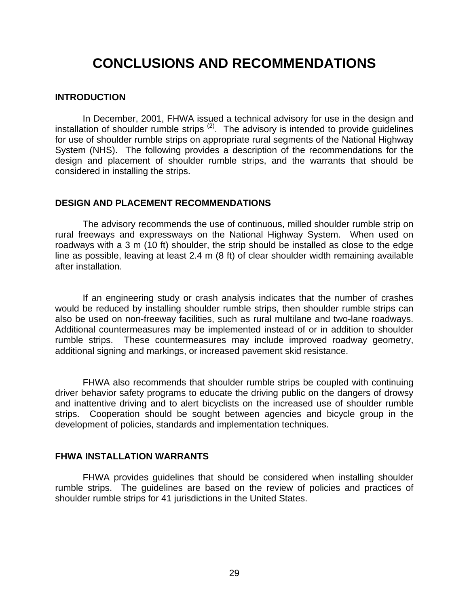# **CONCLUSIONS AND RECOMMENDATIONS**

#### **INTRODUCTION**

In December, 2001, FHWA issued a technical advisory for use in the design and installation of shoulder rumble strips  $(2)$ . The advisory is intended to provide guidelines for use of shoulder rumble strips on appropriate rural segments of the National Highway System (NHS). The following provides a description of the recommendations for the design and placement of shoulder rumble strips, and the warrants that should be considered in installing the strips.

#### **DESIGN AND PLACEMENT RECOMMENDATIONS**

The advisory recommends the use of continuous, milled shoulder rumble strip on rural freeways and expressways on the National Highway System. When used on roadways with a 3 m (10 ft) shoulder, the strip should be installed as close to the edge line as possible, leaving at least 2.4 m (8 ft) of clear shoulder width remaining available after installation.

If an engineering study or crash analysis indicates that the number of crashes would be reduced by installing shoulder rumble strips, then shoulder rumble strips can also be used on non-freeway facilities, such as rural multilane and two-lane roadways. Additional countermeasures may be implemented instead of or in addition to shoulder rumble strips. These countermeasures may include improved roadway geometry, additional signing and markings, or increased pavement skid resistance.

FHWA also recommends that shoulder rumble strips be coupled with continuing driver behavior safety programs to educate the driving public on the dangers of drowsy and inattentive driving and to alert bicyclists on the increased use of shoulder rumble strips. Cooperation should be sought between agencies and bicycle group in the development of policies, standards and implementation techniques.

## **FHWA INSTALLATION WARRANTS**

FHWA provides guidelines that should be considered when installing shoulder rumble strips. The guidelines are based on the review of policies and practices of shoulder rumble strips for 41 jurisdictions in the United States.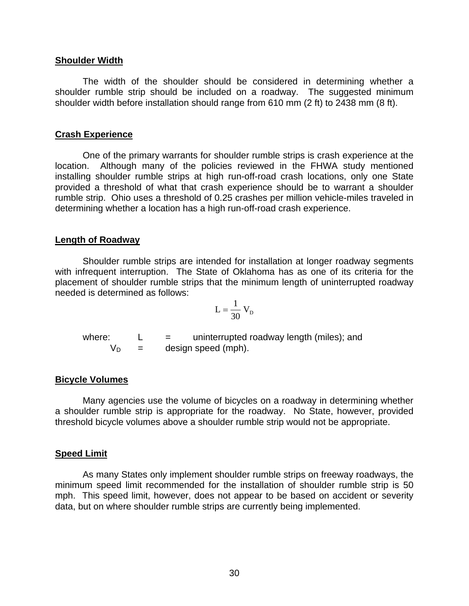#### **Shoulder Width**

The width of the shoulder should be considered in determining whether a shoulder rumble strip should be included on a roadway. The suggested minimum shoulder width before installation should range from 610 mm (2 ft) to 2438 mm (8 ft).

## **Crash Experience**

One of the primary warrants for shoulder rumble strips is crash experience at the location. Although many of the policies reviewed in the FHWA study mentioned installing shoulder rumble strips at high run-off-road crash locations, only one State provided a threshold of what that crash experience should be to warrant a shoulder rumble strip. Ohio uses a threshold of 0.25 crashes per million vehicle-miles traveled in determining whether a location has a high run-off-road crash experience.

## **Length of Roadway**

Shoulder rumble strips are intended for installation at longer roadway segments with infrequent interruption. The State of Oklahoma has as one of its criteria for the placement of shoulder rumble strips that the minimum length of uninterrupted roadway needed is determined as follows:

$$
L = \frac{1}{30} V_D
$$

where:  $L =$  uninterrupted roadway length (miles); and  $V_D$  = design speed (mph).

## **Bicycle Volumes**

Many agencies use the volume of bicycles on a roadway in determining whether a shoulder rumble strip is appropriate for the roadway. No State, however, provided threshold bicycle volumes above a shoulder rumble strip would not be appropriate.

## **Speed Limit**

As many States only implement shoulder rumble strips on freeway roadways, the minimum speed limit recommended for the installation of shoulder rumble strip is 50 mph. This speed limit, however, does not appear to be based on accident or severity data, but on where shoulder rumble strips are currently being implemented.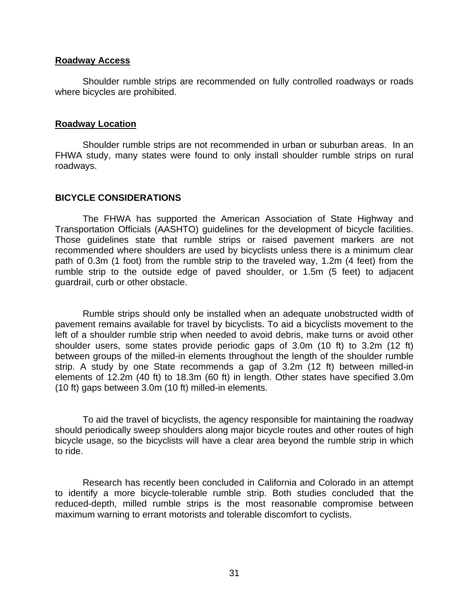#### **Roadway Access**

Shoulder rumble strips are recommended on fully controlled roadways or roads where bicycles are prohibited.

#### **Roadway Location**

Shoulder rumble strips are not recommended in urban or suburban areas. In an FHWA study, many states were found to only install shoulder rumble strips on rural roadways.

## **BICYCLE CONSIDERATIONS**

The FHWA has supported the American Association of State Highway and Transportation Officials (AASHTO) guidelines for the development of bicycle facilities. Those guidelines state that rumble strips or raised pavement markers are not recommended where shoulders are used by bicyclists unless there is a minimum clear path of 0.3m (1 foot) from the rumble strip to the traveled way, 1.2m (4 feet) from the rumble strip to the outside edge of paved shoulder, or 1.5m (5 feet) to adjacent guardrail, curb or other obstacle.

Rumble strips should only be installed when an adequate unobstructed width of pavement remains available for travel by bicyclists. To aid a bicyclists movement to the left of a shoulder rumble strip when needed to avoid debris, make turns or avoid other shoulder users, some states provide periodic gaps of 3.0m (10 ft) to 3.2m (12 ft) between groups of the milled-in elements throughout the length of the shoulder rumble strip. A study by one State recommends a gap of 3.2m (12 ft) between milled-in elements of 12.2m (40 ft) to 18.3m (60 ft) in length. Other states have specified 3.0m (10 ft) gaps between 3.0m (10 ft) milled-in elements.

To aid the travel of bicyclists, the agency responsible for maintaining the roadway should periodically sweep shoulders along major bicycle routes and other routes of high bicycle usage, so the bicyclists will have a clear area beyond the rumble strip in which to ride.

Research has recently been concluded in California and Colorado in an attempt to identify a more bicycle-tolerable rumble strip. Both studies concluded that the reduced-depth, milled rumble strips is the most reasonable compromise between maximum warning to errant motorists and tolerable discomfort to cyclists.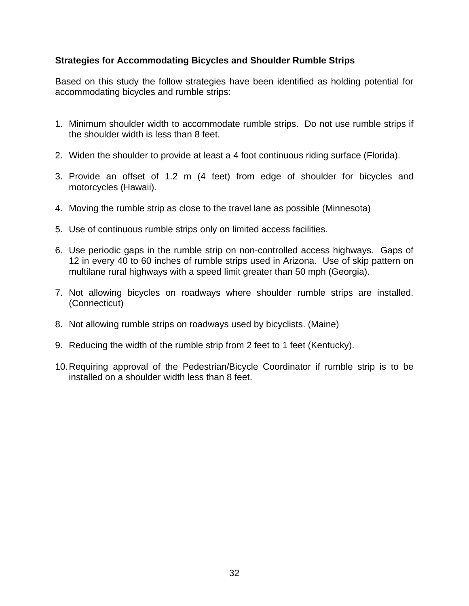# **Strategies for Accommodating Bicycles and Shoulder Rumble Strips**

Based on this study the follow strategies have been identified as holding potential for accommodating bicycles and rumble strips:

- 1. Minimum shoulder width to accommodate rumble strips. Do not use rumble strips if the shoulder width is less than 8 feet.
- 2. Widen the shoulder to provide at least a 4 foot continuous riding surface (Florida).
- 3. Provide an offset of 1.2 m (4 feet) from edge of shoulder for bicycles and motorcycles (Hawaii).
- 4. Moving the rumble strip as close to the travel lane as possible (Minnesota)
- 5. Use of continuous rumble strips only on limited access facilities.
- 6. Use periodic gaps in the rumble strip on non-controlled access highways. Gaps of 12 in every 40 to 60 inches of rumble strips used in Arizona. Use of skip pattern on multilane rural highways with a speed limit greater than 50 mph (Georgia).
- 7. Not allowing bicycles on roadways where shoulder rumble strips are installed. (Connecticut)
- 8. Not allowing rumble strips on roadways used by bicyclists. (Maine)
- 9. Reducing the width of the rumble strip from 2 feet to 1 feet (Kentucky).
- 10. Requiring approval of the Pedestrian/Bicycle Coordinator if rumble strip is to be installed on a shoulder width less than 8 feet.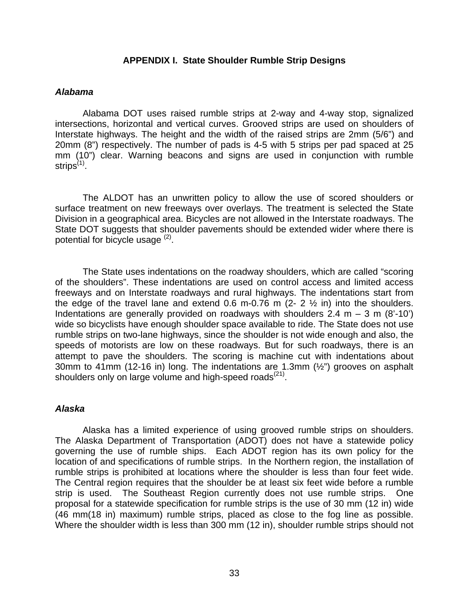## **APPENDIX I. State Shoulder Rumble Strip Designs**

#### *Alabama*

Alabama DOT uses raised rumble strips at 2-way and 4-way stop, signalized intersections, horizontal and vertical curves. Grooved strips are used on shoulders of Interstate highways. The height and the width of the raised strips are 2mm (5/6") and 20mm (8") respectively. The number of pads is 4-5 with 5 strips per pad spaced at 25 mm (10") clear. Warning beacons and signs are used in conjunction with rumble strips $(1)$  $(1)$ .

The ALDOT has an unwritten policy to allow the use of scored shoulders or surface treatment on new freeways over overlays. The treatment is selected the State Division in a geographical area. Bicycles are not allowed in the Interstate roadways. The State DOT suggests that shoulder pavements should be extended wider where there is potential for bicycle usage  $(2)$  $(2)$ .

The State uses indentations on the roadway shoulders, which are called "scoring of the shoulders". These indentations are used on control access and limited access freeways and on Interstate roadways and rural highways. The indentations start from the edge of the travel lane and extend 0.6 m-0.76 m  $(2 - 2 \frac{1}{2} \text{ in})$  into the shoulders. Indentations are generally provided on roadways with shoulders 2.4 m  $-$  3 m (8'-10') wide so bicyclists have enough shoulder space available to ride. The State does not use rumble strips on two-lane highways, since the shoulder is not wide enough and also, the speeds of motorists are low on these roadways. But for such roadways, there is an attempt to pave the shoulders. The scoring is machine cut with indentations about 30mm to 41mm (12-16 in) long. The indentations are 1.3mm (½") grooves on asphalt shoulders only on large volume and high-speed roads $(21)$ .

## *Alaska*

Alaska has a limited experience of using grooved rumble strips on shoulders. The Alaska Department of Transportation (ADOT) does not have a statewide policy governing the use of rumble ships. Each ADOT region has its own policy for the location of and specifications of rumble strips. In the Northern region, the installation of rumble strips is prohibited at locations where the shoulder is less than four feet wide. The Central region requires that the shoulder be at least six feet wide before a rumble strip is used. The Southeast Region currently does not use rumble strips. One proposal for a statewide specification for rumble strips is the use of 30 mm (12 in) wide (46 mm(18 in) maximum) rumble strips, placed as close to the fog line as possible. Where the shoulder width is less than 300 mm (12 in), shoulder rumble strips should not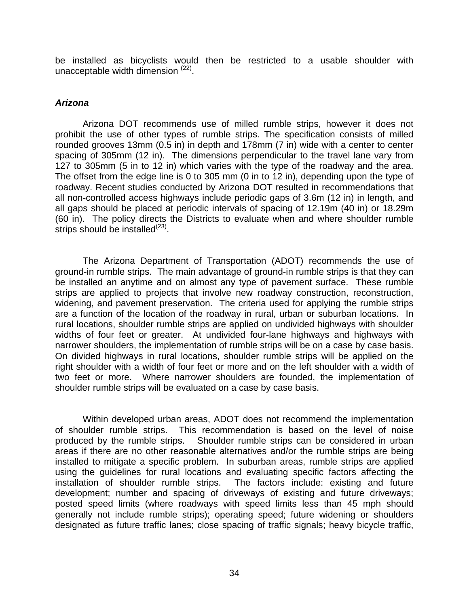be installed as bicyclists would then be restricted to a usable shoulder with unacceptable width dimension ([22\)](#page-70-1).

# *Arizona*

Arizona DOT recommends use of milled rumble strips, however it does not prohibit the use of other types of rumble strips. The specification consists of milled rounded grooves 13mm (0.5 in) in depth and 178mm (7 in) wide with a center to center spacing of 305mm (12 in). The dimensions perpendicular to the travel lane vary from 127 to 305mm (5 in to 12 in) which varies with the type of the roadway and the area. The offset from the edge line is 0 to 305 mm (0 in to 12 in), depending upon the type of roadway. Recent studies conducted by Arizona DOT resulted in recommendations that all non-controlled access highways include periodic gaps of 3.6m (12 in) in length, and all gaps should be placed at periodic intervals of spacing of 12.19m (40 in) or 18.29m (60 in). The policy directs the Districts to evaluate when and where shoulder rumble strips should be installed $^{(23)}$  $^{(23)}$  $^{(23)}$ .

<span id="page-43-0"></span>The Arizona Department of Transportation (ADOT) recommends the use of ground-in rumble strips. The main advantage of ground-in rumble strips is that they can be installed an anytime and on almost any type of pavement surface. These rumble strips are applied to projects that involve new roadway construction, reconstruction, widening, and pavement preservation. The criteria used for applying the rumble strips are a function of the location of the roadway in rural, urban or suburban locations. In rural locations, shoulder rumble strips are applied on undivided highways with shoulder widths of four feet or greater. At undivided four-lane highways and highways with narrower shoulders, the implementation of rumble strips will be on a case by case basis. On divided highways in rural locations, shoulder rumble strips will be applied on the right shoulder with a width of four feet or more and on the left shoulder with a width of two feet or more. Where narrower shoulders are founded, the implementation of shoulder rumble strips will be evaluated on a case by case basis.

Within developed urban areas, ADOT does not recommend the implementation of shoulder rumble strips. This recommendation is based on the level of noise produced by the rumble strips. Shoulder rumble strips can be considered in urban areas if there are no other reasonable alternatives and/or the rumble strips are being installed to mitigate a specific problem. In suburban areas, rumble strips are applied using the guidelines for rural locations and evaluating specific factors affecting the installation of shoulder rumble strips. The factors include: existing and future development; number and spacing of driveways of existing and future driveways; posted speed limits (where roadways with speed limits less than 45 mph should generally not include rumble strips); operating speed; future widening or shoulders designated as future traffic lanes; close spacing of traffic signals; heavy bicycle traffic,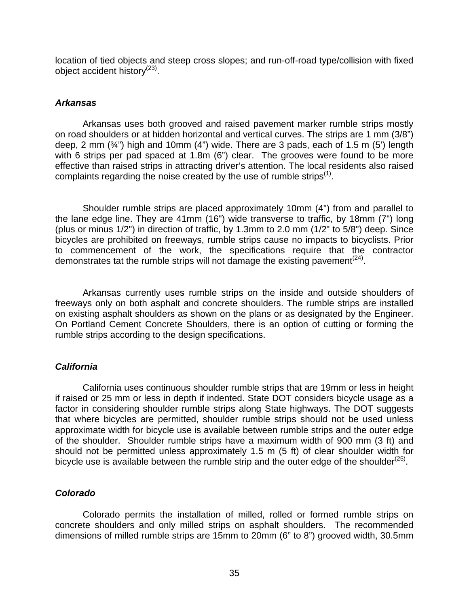location of tied objects and steep cross slopes; and run-off-road type/collision with fixed object accident history<sup>[\(23\)](#page-43-0)</sup>.

## *Arkansas*

Arkansas uses both grooved and raised pavement marker rumble strips mostly on road shoulders or at hidden horizontal and vertical curves. The strips are 1 mm (3/8") deep, 2 mm (¾") high and 10mm (4") wide. There are 3 pads, each of 1.5 m (5') length with 6 strips per pad spaced at 1.8m (6") clear. The grooves were found to be more effective than raised strips in attracting driver's attention. The local residents also raised complaints regarding the noise created by the use of rumble strips<sup> $(1)$ </sup>.

Shoulder rumble strips are placed approximately 10mm (4") from and parallel to the lane edge line. They are 41mm (16") wide transverse to traffic, by 18mm (7") long (plus or minus 1/2") in direction of traffic, by 1.3mm to 2.0 mm (1/2" to 5/8") deep. Since bicycles are prohibited on freeways, rumble strips cause no impacts to bicyclists. Prior to commencement of the work, the specifications require that the contractor demonstrates tat the rumble strips will not damage the existing pavement<sup>([24\)](#page-70-3)</sup>.

Arkansas currently uses rumble strips on the inside and outside shoulders of freeways only on both asphalt and concrete shoulders. The rumble strips are installed on existing asphalt shoulders as shown on the plans or as designated by the Engineer. On Portland Cement Concrete Shoulders, there is an option of cutting or forming the rumble strips according to the design specifications.

# *California*

California uses continuous shoulder rumble strips that are 19mm or less in height if raised or 25 mm or less in depth if indented. State DOT considers bicycle usage as a factor in considering shoulder rumble strips along State highways. The DOT suggests that where bicycles are permitted, shoulder rumble strips should not be used unless approximate width for bicycle use is available between rumble strips and the outer edge of the shoulder. Shoulder rumble strips have a maximum width of 900 mm (3 ft) and should not be permitted unless approximately 1.5 m (5 ft) of clear shoulder width for bicycle use is available between the rumble strip and the outer edge of the shoulder<sup>[\(25\)](#page-70-4)</sup>.

# *Colorado*

Colorado permits the installation of milled, rolled or formed rumble strips on concrete shoulders and only milled strips on asphalt shoulders. The recommended dimensions of milled rumble strips are 15mm to 20mm (6" to 8") grooved width, 30.5mm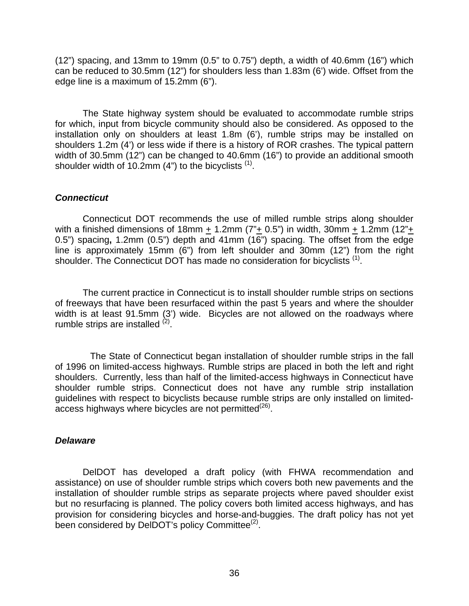(12") spacing, and 13mm to 19mm (0.5" to 0.75") depth, a width of 40.6mm (16") which can be reduced to 30.5mm (12") for shoulders less than 1.83m (6') wide. Offset from the edge line is a maximum of 15.2mm (6").

The State highway system should be evaluated to accommodate rumble strips for which, input from bicycle community should also be considered. As opposed to the installation only on shoulders at least 1.8m (6'), rumble strips may be installed on shoulders 1.2m (4') or less wide if there is a history of ROR crashes. The typical pattern width of 30.5mm (12") can be changed to 40.6mm (16") to provide an additional smooth shoulder width of  $10.2$ mm (4") to the bicyclists  $<sup>(1)</sup>$  $<sup>(1)</sup>$  $<sup>(1)</sup>$ .</sup>

# *Connecticut*

Connecticut DOT recommends the use of milled rumble strips along shoulder with a finished dimensions of 18mm  $\pm$  1.2mm ( $7^{\circ}$  $\pm$  0.5") in width, 30mm  $\pm$  1.2mm (12" $\pm$ 0.5") spacing**,** 1.2mm (0.5") depth and 41mm (16") spacing. The offset from the edge line is approximately 15mm (6") from left shoulder and 30mm (12") from the right shoulder. The Connecticut DOT has made no consideration for bicyclists <sup>([1\)](#page-10-1)</sup>.

The current practice in Connecticut is to install shoulder rumble strips on sections of freeways that have been resurfaced within the past 5 years and where the shoulder width is at least 91.5mm (3') wide. Bicycles are not allowed on the roadways where rumble strips are installed  $(2)$  $(2)$ .

The State of Connecticut began installation of shoulder rumble strips in the fall of 1996 on limited-access highways. Rumble strips are placed in both the left and right shoulders. Currently, less than half of the limited-access highways in Connecticut have shoulder rumble strips. Connecticut does not have any rumble strip installation guidelines with respect to bicyclists because rumble strips are only installed on limitedaccess highways where bicycles are not permitted $(26)$ .

## *Delaware*

DelDOT has developed a draft policy (with FHWA recommendation and assistance) on use of shoulder rumble strips which covers both new pavements and the installation of shoulder rumble strips as separate projects where paved shoulder exist but no resurfacing is planned. The policy covers both limited access highways, and has provision for considering bicycles and horse-and-buggies. The draft policy has not yet been considered by DelDOT's policy Committee $^{(2)}$  $^{(2)}$  $^{(2)}$ .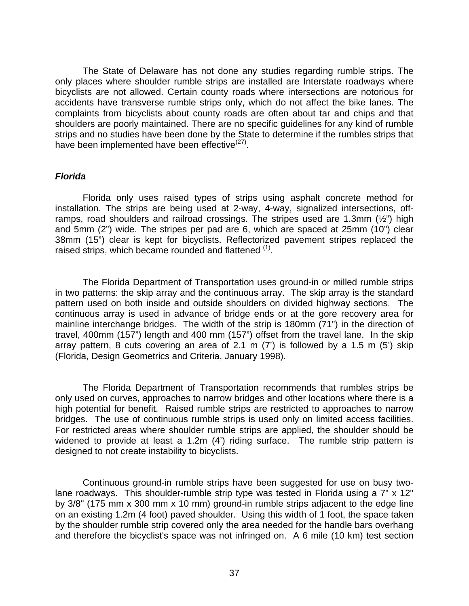The State of Delaware has not done any studies regarding rumble strips. The only places where shoulder rumble strips are installed are Interstate roadways where bicyclists are not allowed. Certain county roads where intersections are notorious for accidents have transverse rumble strips only, which do not affect the bike lanes. The complaints from bicyclists about county roads are often about tar and chips and that shoulders are poorly maintained. There are no specific guidelines for any kind of rumble strips and no studies have been done by the State to determine if the rumbles strips that have been implemented have been effective<sup>([27\)](#page-70-6)</sup>.

## *Florida*

Florida only uses raised types of strips using asphalt concrete method for installation. The strips are being used at 2-way, 4-way, signalized intersections, offramps, road shoulders and railroad crossings. The stripes used are 1.3mm  $(\frac{1}{2})$  high and 5mm (2") wide. The stripes per pad are 6, which are spaced at 25mm (10") clear 38mm (15") clear is kept for bicyclists. Reflectorized pavement stripes replaced the raised strips, which became rounded and flattened <sup>[\(1\)](#page-10-1)</sup>.

The Florida Department of Transportation uses ground-in or milled rumble strips in two patterns: the skip array and the continuous array. The skip array is the standard pattern used on both inside and outside shoulders on divided highway sections. The continuous array is used in advance of bridge ends or at the gore recovery area for mainline interchange bridges. The width of the strip is 180mm (71") in the direction of travel, 400mm (157") length and 400 mm (157") offset from the travel lane. In the skip array pattern, 8 cuts covering an area of 2.1 m  $(7')$  is followed by a 1.5 m  $(5')$  skip (Florida, Design Geometrics and Criteria, January 1998).

The Florida Department of Transportation recommends that rumbles strips be only used on curves, approaches to narrow bridges and other locations where there is a high potential for benefit. Raised rumble strips are restricted to approaches to narrow bridges. The use of continuous rumble strips is used only on limited access facilities. For restricted areas where shoulder rumble strips are applied, the shoulder should be widened to provide at least a 1.2m (4') riding surface. The rumble strip pattern is designed to not create instability to bicyclists.

Continuous ground-in rumble strips have been suggested for use on busy twolane roadways. This shoulder-rumble strip type was tested in Florida using a 7" x 12" by 3/8" (175 mm x 300 mm x 10 mm) ground-in rumble strips adjacent to the edge line on an existing 1.2m (4 foot) paved shoulder. Using this width of 1 foot, the space taken by the shoulder rumble strip covered only the area needed for the handle bars overhang and therefore the bicyclist's space was not infringed on. A 6 mile (10 km) test section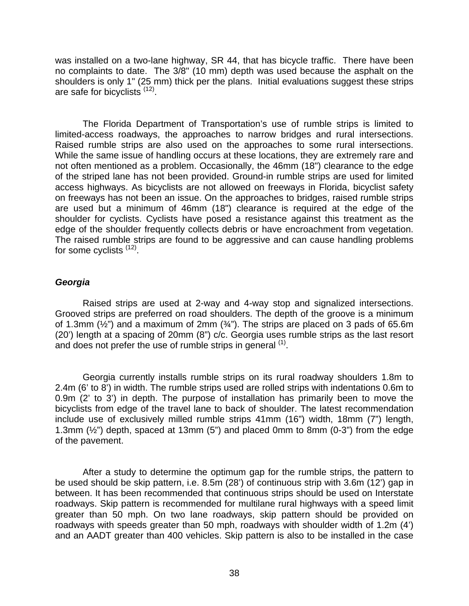was installed on a two-lane highway, SR 44, that has bicycle traffic. There have been no complaints to date. The 3/8" (10 mm) depth was used because the asphalt on the shoulders is only 1" (25 mm) thick per the plans. Initial evaluations suggest these strips are safe for bicyclists  $(12)$ .

The Florida Department of Transportation's use of rumble strips is limited to limited-access roadways, the approaches to narrow bridges and rural intersections. Raised rumble strips are also used on the approaches to some rural intersections. While the same issue of handling occurs at these locations, they are extremely rare and not often mentioned as a problem. Occasionally, the 46mm (18") clearance to the edge of the striped lane has not been provided. Ground-in rumble strips are used for limited access highways. As bicyclists are not allowed on freeways in Florida, bicyclist safety on freeways has not been an issue. On the approaches to bridges, raised rumble strips are used but a minimum of 46mm (18") clearance is required at the edge of the shoulder for cyclists. Cyclists have posed a resistance against this treatment as the edge of the shoulder frequently collects debris or have encroachment from vegetation. The raised rumble strips are found to be aggressive and can cause handling problems for some cyclists  $(12)$  $(12)$ .

# *Georgia*

Raised strips are used at 2-way and 4-way stop and signalized intersections. Grooved strips are preferred on road shoulders. The depth of the groove is a minimum of 1.3mm  $(\frac{1}{2})$  and a maximum of 2mm  $(\frac{3}{4})$ . The strips are placed on 3 pads of 65.6m (20') length at a spacing of 20mm (8") c/c. Georgia uses rumble strips as the last resort and does not prefer the use of rumble strips in general  $<sup>(1)</sup>$  $<sup>(1)</sup>$  $<sup>(1)</sup>$ .</sup>

Georgia currently installs rumble strips on its rural roadway shoulders 1.8m to 2.4m (6' to 8') in width. The rumble strips used are rolled strips with indentations 0.6m to 0.9m (2' to 3') in depth. The purpose of installation has primarily been to move the bicyclists from edge of the travel lane to back of shoulder. The latest recommendation include use of exclusively milled rumble strips 41mm (16") width, 18mm (7") length, 1.3mm  $(\frac{1}{2})$  depth, spaced at 13mm  $(5)$  and placed 0mm to 8mm  $(0-3)$  from the edge of the pavement.

After a study to determine the optimum gap for the rumble strips, the pattern to be used should be skip pattern, i.e. 8.5m (28') of continuous strip with 3.6m (12') gap in between. It has been recommended that continuous strips should be used on Interstate roadways. Skip pattern is recommended for multilane rural highways with a speed limit greater than 50 mph. On two lane roadways, skip pattern should be provided on roadways with speeds greater than 50 mph, roadways with shoulder width of 1.2m (4') and an AADT greater than 400 vehicles. Skip pattern is also to be installed in the case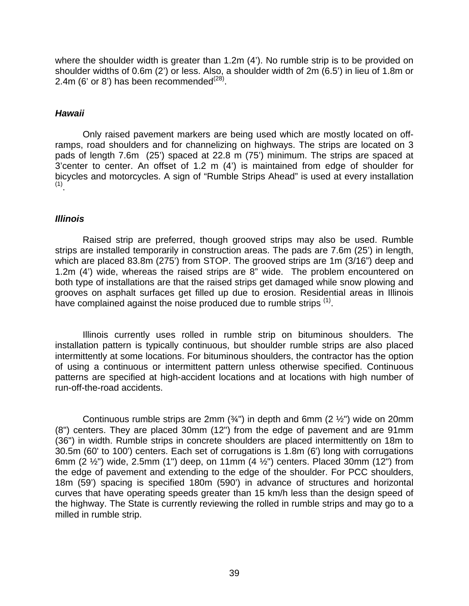where the shoulder width is greater than 1.2m (4'). No rumble strip is to be provided on shoulder widths of 0.6m (2') or less. Also, a shoulder width of 2m (6.5') in lieu of 1.8m or 2.4m (6' or 8') has been recommended $^{(28)}$  $^{(28)}$  $^{(28)}$ .

# *Hawaii*

Only raised pavement markers are being used which are mostly located on offramps, road shoulders and for channelizing on highways. The strips are located on 3 pads of length 7.6m (25') spaced at 22.8 m (75') minimum. The strips are spaced at 3'center to center. An offset of 1.2 m (4') is maintained from edge of shoulder for bicycles and motorcycles. A sign of "Rumble Strips Ahead" is used at every installation (1)

# *Illinois*

Raised strip are preferred, though grooved strips may also be used. Rumble strips are installed temporarily in construction areas. The pads are 7.6m (25') in length, which are placed 83.8m (275') from STOP. The grooved strips are 1m (3/16") deep and 1.2m (4') wide, whereas the raised strips are 8" wide. The problem encountered on both type of installations are that the raised strips get damaged while snow plowing and grooves on asphalt surfaces get filled up due to erosion. Residential areas in Illinois have complained against the noise produced due to rumble strips <sup>([1\)](#page-10-1)</sup>.

Illinois currently uses rolled in rumble strip on bituminous shoulders. The installation pattern is typically continuous, but shoulder rumble strips are also placed intermittently at some locations. For bituminous shoulders, the contractor has the option of using a continuous or intermittent pattern unless otherwise specified. Continuous patterns are specified at high-accident locations and at locations with high number of run-off-the-road accidents.

Continuous rumble strips are 2mm  $(3/4)$  in depth and 6mm  $(2 1/2)$  wide on 20mm (8") centers. They are placed 30mm (12") from the edge of pavement and are 91mm (36") in width. Rumble strips in concrete shoulders are placed intermittently on 18m to 30.5m (60' to 100') centers. Each set of corrugations is 1.8m (6') long with corrugations 6mm (2  $\frac{1}{2}$ ") wide, 2.5mm (1") deep, on 11mm (4  $\frac{1}{2}$ ") centers. Placed 30mm (12") from the edge of pavement and extending to the edge of the shoulder. For PCC shoulders, 18m (59') spacing is specified 180m (590') in advance of structures and horizontal curves that have operating speeds greater than 15 km/h less than the design speed of the highway. The State is currently reviewing the rolled in rumble strips and may go to a milled in rumble strip.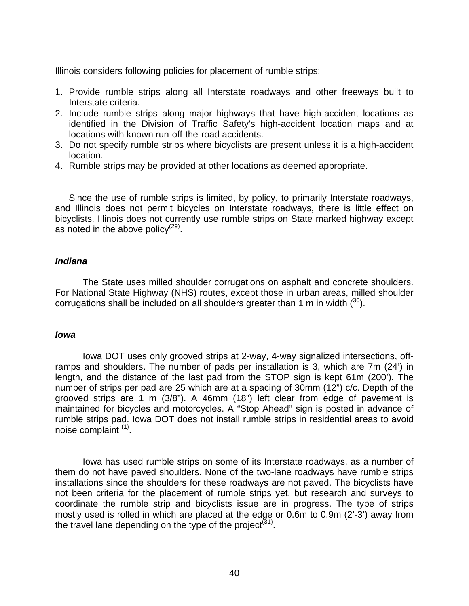Illinois considers following policies for placement of rumble strips:

- 1. Provide rumble strips along all Interstate roadways and other freeways built to Interstate criteria.
- 2. Include rumble strips along major highways that have high-accident locations as identified in the Division of Traffic Safety's high-accident location maps and at locations with known run-off-the-road accidents.
- 3. Do not specify rumble strips where bicyclists are present unless it is a high-accident location.
- 4. Rumble strips may be provided at other locations as deemed appropriate.

Since the use of rumble strips is limited, by policy, to primarily Interstate roadways, and Illinois does not permit bicycles on Interstate roadways, there is little effect on bicyclists. Illinois does not currently use rumble strips on State marked highway except as noted in the above policy $(29)$  $(29)$ .

## *Indiana*

The State uses milled shoulder corrugations on asphalt and concrete shoulders. For National State Highway (NHS) routes, except those in urban areas, milled shoulder corrugations shall be included on all shoulders greater than 1 m in width  $(30)$  $(30)$ .

## *Iowa*

Iowa DOT uses only grooved strips at 2-way, 4-way signalized intersections, offramps and shoulders. The number of pads per installation is 3, which are 7m (24') in length, and the distance of the last pad from the STOP sign is kept 61m (200'). The number of strips per pad are 25 which are at a spacing of 30mm (12") c/c. Depth of the grooved strips are 1 m (3/8"). A 46mm (18") left clear from edge of pavement is maintained for bicycles and motorcycles. A "Stop Ahead" sign is posted in advance of rumble strips pad. Iowa DOT does not install rumble strips in residential areas to avoid noise complaint [\(1\)](#page-10-1).

Iowa has used rumble strips on some of its Interstate roadways, as a number of them do not have paved shoulders. None of the two-lane roadways have rumble strips installations since the shoulders for these roadways are not paved. The bicyclists have not been criteria for the placement of rumble strips yet, but research and surveys to coordinate the rumble strip and bicyclists issue are in progress. The type of strips mostly used is rolled in which are placed at the edge or 0.6m to 0.9m (2'-3') away from the travel lane depending on the type of the project<sup>([31\)](#page-70-10)</sup>.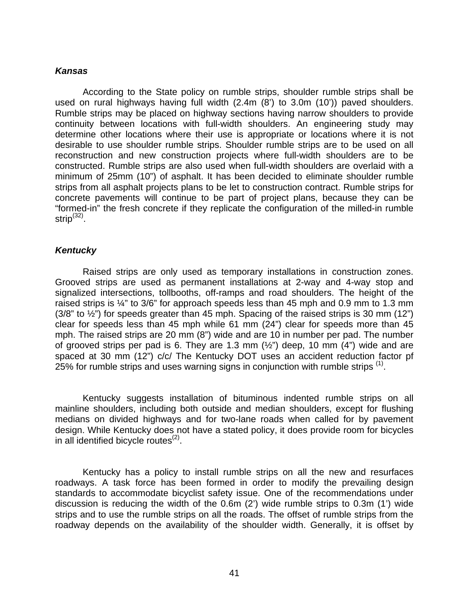## *Kansas*

According to the State policy on rumble strips, shoulder rumble strips shall be used on rural highways having full width (2.4m (8') to 3.0m (10')) paved shoulders. Rumble strips may be placed on highway sections having narrow shoulders to provide continuity between locations with full-width shoulders. An engineering study may determine other locations where their use is appropriate or locations where it is not desirable to use shoulder rumble strips. Shoulder rumble strips are to be used on all reconstruction and new construction projects where full-width shoulders are to be constructed. Rumble strips are also used when full-width shoulders are overlaid with a minimum of 25mm (10") of asphalt. It has been decided to eliminate shoulder rumble strips from all asphalt projects plans to be let to construction contract. Rumble strips for concrete pavements will continue to be part of project plans, because they can be "formed-in" the fresh concrete if they replicate the configuration of the milled-in rumble strip<sup>([32\)](#page-70-11)</sup>.

# *Kentucky*

Raised strips are only used as temporary installations in construction zones. Grooved strips are used as permanent installations at 2-way and 4-way stop and signalized intersections, tollbooths, off-ramps and road shoulders. The height of the raised strips is ¼" to 3/6" for approach speeds less than 45 mph and 0.9 mm to 1.3 mm  $(3/8"$  to  $\frac{1}{2"})$  for speeds greater than 45 mph. Spacing of the raised strips is 30 mm  $(12")$ clear for speeds less than 45 mph while 61 mm (24") clear for speeds more than 45 mph. The raised strips are 20 mm (8") wide and are 10 in number per pad. The number of grooved strips per pad is 6. They are 1.3 mm  $(\frac{1}{2})$  deep, 10 mm  $(4)$  wide and are spaced at 30 mm (12") c/c/ The Kentucky DOT uses an accident reduction factor pf 25% for rumble strips and uses warning signs in conjunction with rumble strips  $<sup>(1)</sup>$  $<sup>(1)</sup>$  $<sup>(1)</sup>$ .</sup>

Kentucky suggests installation of bituminous indented rumble strips on all mainline shoulders, including both outside and median shoulders, except for flushing medians on divided highways and for two-lane roads when called for by pavement design. While Kentucky does not have a stated policy, it does provide room for bicycles in all identified bicycle routes $(2)$ .

Kentucky has a policy to install rumble strips on all the new and resurfaces roadways. A task force has been formed in order to modify the prevailing design standards to accommodate bicyclist safety issue. One of the recommendations under discussion is reducing the width of the 0.6m (2') wide rumble strips to 0.3m (1') wide strips and to use the rumble strips on all the roads. The offset of rumble strips from the roadway depends on the availability of the shoulder width. Generally, it is offset by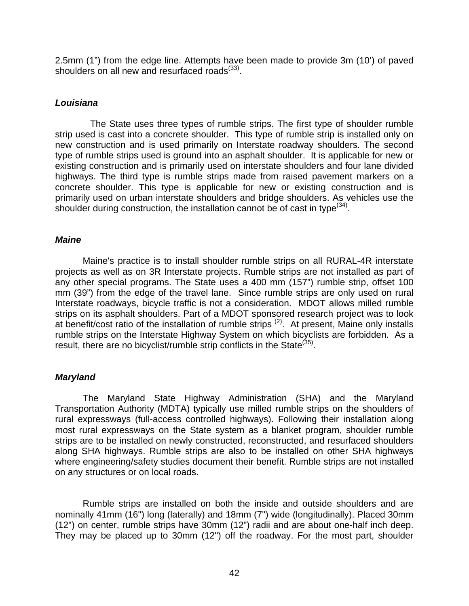2.5mm (1") from the edge line. Attempts have been made to provide 3m (10') of paved shoulders on all new and resurfaced roads<sup>([33\)](#page-70-12)</sup>.

# *Louisiana*

The State uses three types of rumble strips. The first type of shoulder rumble strip used is cast into a concrete shoulder. This type of rumble strip is installed only on new construction and is used primarily on Interstate roadway shoulders. The second type of rumble strips used is ground into an asphalt shoulder. It is applicable for new or existing construction and is primarily used on interstate shoulders and four lane divided highways. The third type is rumble strips made from raised pavement markers on a concrete shoulder. This type is applicable for new or existing construction and is primarily used on urban interstate shoulders and bridge shoulders. As vehicles use the shoulder during construction, the installation cannot be of cast in type $^{(34)}$  $^{(34)}$  $^{(34)}$ .

# *Maine*

Maine's practice is to install shoulder rumble strips on all RURAL-4R interstate projects as well as on 3R Interstate projects. Rumble strips are not installed as part of any other special programs. The State uses a 400 mm (157") rumble strip, offset 100 mm (39") from the edge of the travel lane. Since rumble strips are only used on rural Interstate roadways, bicycle traffic is not a consideration. MDOT allows milled rumble strips on its asphalt shoulders. Part of a MDOT sponsored research project was to look at benefit/cost ratio of the installation of rumble strips ([2\)](#page-10-0). At present, Maine only installs rumble strips on the Interstate Highway System on which bicyclists are forbidden. As a result, there are no bicyclist/rumble strip conflicts in the State<sup>([35\)](#page-70-14)</sup>.

# *Maryland*

The Maryland State Highway Administration (SHA) and the Maryland Transportation Authority (MDTA) typically use milled rumble strips on the shoulders of rural expressways (full-access controlled highways). Following their installation along most rural expressways on the State system as a blanket program, shoulder rumble strips are to be installed on newly constructed, reconstructed, and resurfaced shoulders along SHA highways. Rumble strips are also to be installed on other SHA highways where engineering/safety studies document their benefit. Rumble strips are not installed on any structures or on local roads.

Rumble strips are installed on both the inside and outside shoulders and are nominally 41mm (16") long (laterally) and 18mm (7") wide (longitudinally). Placed 30mm (12") on center, rumble strips have 30mm (12") radii and are about one-half inch deep. They may be placed up to 30mm (12") off the roadway. For the most part, shoulder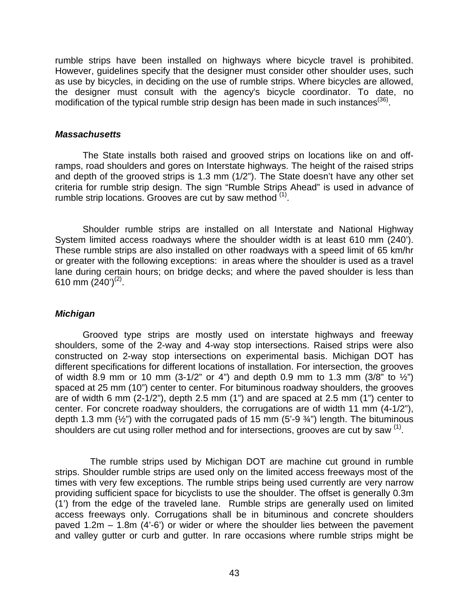rumble strips have been installed on highways where bicycle travel is prohibited. However, guidelines specify that the designer must consider other shoulder uses, such as use by bicycles, in deciding on the use of rumble strips. Where bicycles are allowed, the designer must consult with the agency's bicycle coordinator. To date, no modification of the typical rumble strip design has been made in such instances<sup>([36\)](#page-70-15)</sup>.

## *Massachusetts*

The State installs both raised and grooved strips on locations like on and offramps, road shoulders and gores on Interstate highways. The height of the raised strips and depth of the grooved strips is 1.3 mm (1/2"). The State doesn't have any other set criteria for rumble strip design. The sign "Rumble Strips Ahead" is used in advance of rumble strip locations. Grooves are cut by saw method  $(1)$  $(1)$ .

Shoulder rumble strips are installed on all Interstate and National Highway System limited access roadways where the shoulder width is at least 610 mm (240'). These rumble strips are also installed on other roadways with a speed limit of 65 km/hr or greater with the following exceptions: in areas where the shoulder is used as a travel lane during certain hours; on bridge decks; and where the paved shoulder is less than 610 mm  $(240')^{(2)}$  $(240')^{(2)}$  $(240')^{(2)}$ .

## *Michigan*

Grooved type strips are mostly used on interstate highways and freeway shoulders, some of the 2-way and 4-way stop intersections. Raised strips were also constructed on 2-way stop intersections on experimental basis. Michigan DOT has different specifications for different locations of installation. For intersection, the grooves of width 8.9 mm or 10 mm (3-1/2" or 4") and depth 0.9 mm to 1.3 mm (3/8" to  $\frac{1}{2}$ ") spaced at 25 mm (10") center to center. For bituminous roadway shoulders, the grooves are of width 6 mm (2-1/2"), depth 2.5 mm (1") and are spaced at 2.5 mm (1") center to center. For concrete roadway shoulders, the corrugations are of width 11 mm (4-1/2"), depth 1.3 mm  $(\frac{1}{2})$  with the corrugated pads of 15 mm  $(5-9\frac{3}{4})$  length. The bituminous shoulders are cut using roller method and for intersections, grooves are cut by saw  $(1)$  $(1)$ .

The rumble strips used by Michigan DOT are machine cut ground in rumble strips. Shoulder rumble strips are used only on the limited access freeways most of the times with very few exceptions. The rumble strips being used currently are very narrow providing sufficient space for bicyclists to use the shoulder. The offset is generally 0.3m (1') from the edge of the traveled lane. Rumble strips are generally used on limited access freeways only. Corrugations shall be in bituminous and concrete shoulders paved 1.2m – 1.8m (4'-6') or wider or where the shoulder lies between the pavement and valley gutter or curb and gutter. In rare occasions where rumble strips might be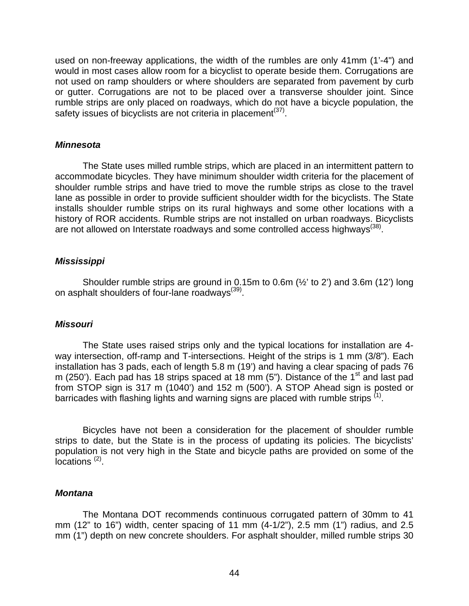used on non-freeway applications, the width of the rumbles are only 41mm (1'-4") and would in most cases allow room for a bicyclist to operate beside them. Corrugations are not used on ramp shoulders or where shoulders are separated from pavement by curb or gutter. Corrugations are not to be placed over a transverse shoulder joint. Since rumble strips are only placed on roadways, which do not have a bicycle population, the safety issues of bicyclists are not criteria in placement<sup>[\(37\)](#page-70-16)</sup>.

#### *Minnesota*

The State uses milled rumble strips, which are placed in an intermittent pattern to accommodate bicycles. They have minimum shoulder width criteria for the placement of shoulder rumble strips and have tried to move the rumble strips as close to the travel lane as possible in order to provide sufficient shoulder width for the bicyclists. The State installs shoulder rumble strips on its rural highways and some other locations with a history of ROR accidents. Rumble strips are not installed on urban roadways. Bicyclists are not allowed on Interstate roadways and some controlled access highways<sup>([38\)](#page-70-17)</sup>.

## *Mississippi*

Shoulder rumble strips are ground in 0.15m to 0.6m (½' to 2') and 3.6m (12') long on asphalt shoulders of four-lane roadways<sup>([39\)](#page-70-18)</sup>.

## *Missouri*

The State uses raised strips only and the typical locations for installation are 4 way intersection, off-ramp and T-intersections. Height of the strips is 1 mm (3/8"). Each installation has 3 pads, each of length 5.8 m (19') and having a clear spacing of pads 76 m (250'). Each pad has 18 strips spaced at 18 mm (5"). Distance of the 1<sup>st</sup> and last pad from STOP sign is 317 m (1040') and 152 m (500'). A STOP Ahead sign is posted or barricades with flashing lights and warning signs are placed with rumble strips <sup>([1\)](#page-10-1)</sup>.

Bicycles have not been a consideration for the placement of shoulder rumble strips to date, but the State is in the process of updating its policies. The bicyclists' population is not very high in the State and bicycle paths are provided on some of the ocations<sup>[\(2\)](#page-10-0)</sup>.

## *Montana*

The Montana DOT recommends continuous corrugated pattern of 30mm to 41 mm (12" to 16") width, center spacing of 11 mm (4-1/2"), 2.5 mm (1") radius, and 2.5 mm (1") depth on new concrete shoulders. For asphalt shoulder, milled rumble strips 30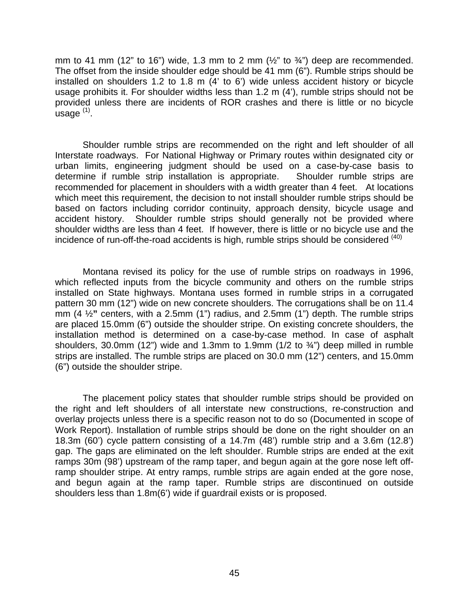mm to 41 mm (12" to 16") wide, 1.3 mm to 2 mm ( $\frac{1}{2}$ " to  $\frac{3}{4}$ ") deep are recommended. The offset from the inside shoulder edge should be 41 mm (6"). Rumble strips should be installed on shoulders 1.2 to 1.8 m (4' to 6') wide unless accident history or bicycle usage prohibits it. For shoulder widths less than 1.2 m (4'), rumble strips should not be provided unless there are incidents of ROR crashes and there is little or no bicycle usage [\(1\)](#page-10-1).

Shoulder rumble strips are recommended on the right and left shoulder of all Interstate roadways. For National Highway or Primary routes within designated city or urban limits, engineering judgment should be used on a case-by-case basis to determine if rumble strip installation is appropriate. Shoulder rumble strips are recommended for placement in shoulders with a width greater than 4 feet. At locations which meet this requirement, the decision to not install shoulder rumble strips should be based on factors including corridor continuity, approach density, bicycle usage and accident history. Shoulder rumble strips should generally not be provided where shoulder widths are less than 4 feet. If however, there is little or no bicycle use and the incidence of run-off-the-road accidents is high, rumble strips should be considered  $(40)$  $(40)$ 

Montana revised its policy for the use of rumble strips on roadways in 1996, which reflected inputs from the bicycle community and others on the rumble strips installed on State highways. Montana uses formed in rumble strips in a corrugated pattern 30 mm (12") wide on new concrete shoulders. The corrugations shall be on 11.4 mm (4 ½**"** centers, with a 2.5mm (1") radius, and 2.5mm (1") depth. The rumble strips are placed 15.0mm (6") outside the shoulder stripe. On existing concrete shoulders, the installation method is determined on a case-by-case method. In case of asphalt shoulders, 30.0mm (12") wide and 1.3mm to 1.9mm (1/2 to  $\frac{3}{4}$ ") deep milled in rumble strips are installed. The rumble strips are placed on 30.0 mm (12") centers, and 15.0mm (6") outside the shoulder stripe.

The placement policy states that shoulder rumble strips should be provided on the right and left shoulders of all interstate new constructions, re-construction and overlay projects unless there is a specific reason not to do so (Documented in scope of Work Report). Installation of rumble strips should be done on the right shoulder on an 18.3m (60') cycle pattern consisting of a 14.7m (48') rumble strip and a 3.6m (12.8') gap. The gaps are eliminated on the left shoulder. Rumble strips are ended at the exit ramps 30m (98') upstream of the ramp taper, and begun again at the gore nose left offramp shoulder stripe. At entry ramps, rumble strips are again ended at the gore nose, and begun again at the ramp taper. Rumble strips are discontinued on outside shoulders less than 1.8m(6') wide if guardrail exists or is proposed.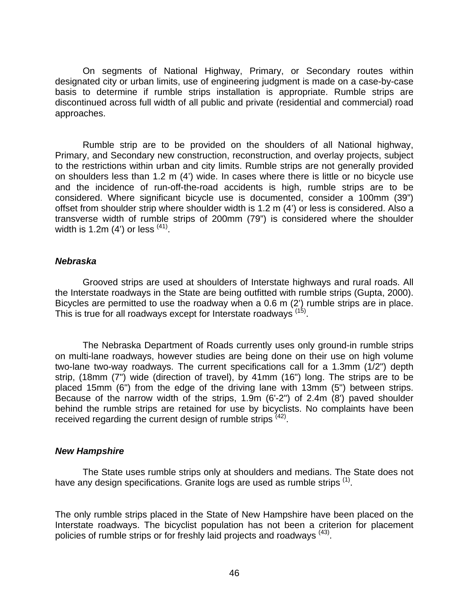On segments of National Highway, Primary, or Secondary routes within designated city or urban limits, use of engineering judgment is made on a case-by-case basis to determine if rumble strips installation is appropriate. Rumble strips are discontinued across full width of all public and private (residential and commercial) road approaches.

Rumble strip are to be provided on the shoulders of all National highway, Primary, and Secondary new construction, reconstruction, and overlay projects, subject to the restrictions within urban and city limits. Rumble strips are not generally provided on shoulders less than 1.2 m (4') wide. In cases where there is little or no bicycle use and the incidence of run-off-the-road accidents is high, rumble strips are to be considered. Where significant bicycle use is documented, consider a 100mm (39") offset from shoulder strip where shoulder width is 1.2 m (4') or less is considered. Also a transverse width of rumble strips of 200mm (79") is considered where the shoulder width is 1.2m (4') or less  $(41)$  $(41)$ .

## *Nebraska*

Grooved strips are used at shoulders of Interstate highways and rural roads. All the Interstate roadways in the State are being outfitted with rumble strips (Gupta, 2000). Bicycles are permitted to use the roadway when a 0.6 m (2') rumble strips are in place. This is true for all roadways except for Interstate roadways [\(15\)](#page-24-0).

The Nebraska Department of Roads currently uses only ground-in rumble strips on multi-lane roadways, however studies are being done on their use on high volume two-lane two-way roadways. The current specifications call for a 1.3mm (1/2") depth strip, (18mm (7") wide (direction of travel), by 41mm (16") long. The strips are to be placed 15mm (6") from the edge of the driving lane with 13mm (5") between strips. Because of the narrow width of the strips, 1.9m (6'-2") of 2.4m (8') paved shoulder behind the rumble strips are retained for use by bicyclists. No complaints have been received regarding the current design of rumble strips  $(42)$ .

# *New Hampshire*

The State uses rumble strips only at shoulders and medians. The State does not have any design specifications. Granite logs are used as rumble strips <sup>[\(1\)](#page-10-1)</sup>.

The only rumble strips placed in the State of New Hampshire have been placed on the Interstate roadways. The bicyclist population has not been a criterion for placement policies of rumble strips or for freshly laid projects and roadways ([43\)](#page-70-22).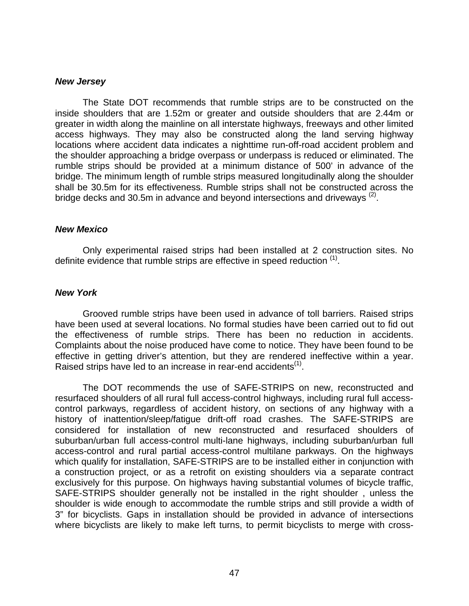#### *New Jersey*

The State DOT recommends that rumble strips are to be constructed on the inside shoulders that are 1.52m or greater and outside shoulders that are 2.44m or greater in width along the mainline on all interstate highways, freeways and other limited access highways. They may also be constructed along the land serving highway locations where accident data indicates a nighttime run-off-road accident problem and the shoulder approaching a bridge overpass or underpass is reduced or eliminated. The rumble strips should be provided at a minimum distance of 500' in advance of the bridge. The minimum length of rumble strips measured longitudinally along the shoulder shall be 30.5m for its effectiveness. Rumble strips shall not be constructed across the bridge decks and 30.5m in advance and beyond intersections and driveways  $(2)$ .

#### *New Mexico*

Only experimental raised strips had been installed at 2 construction sites. No definite evidence that rumble strips are effective in speed reduction <sup>([1\)](#page-10-1)</sup>.

#### *New York*

Grooved rumble strips have been used in advance of toll barriers. Raised strips have been used at several locations. No formal studies have been carried out to fid out the effectiveness of rumble strips. There has been no reduction in accidents. Complaints about the noise produced have come to notice. They have been found to be effective in getting driver's attention, but they are rendered ineffective within a year. Raised strips have led to an increase in rear-end accidents<sup>[\(1\)](#page-10-1)</sup>.

The DOT recommends the use of SAFE-STRIPS on new, reconstructed and resurfaced shoulders of all rural full access-control highways, including rural full accesscontrol parkways, regardless of accident history, on sections of any highway with a history of inattention/sleep/fatigue drift-off road crashes. The SAFE-STRIPS are considered for installation of new reconstructed and resurfaced shoulders of suburban/urban full access-control multi-lane highways, including suburban/urban full access-control and rural partial access-control multilane parkways. On the highways which qualify for installation, SAFE-STRIPS are to be installed either in conjunction with a construction project, or as a retrofit on existing shoulders via a separate contract exclusively for this purpose. On highways having substantial volumes of bicycle traffic, SAFE-STRIPS shoulder generally not be installed in the right shoulder , unless the shoulder is wide enough to accommodate the rumble strips and still provide a width of 3" for bicyclists. Gaps in installation should be provided in advance of intersections where bicyclists are likely to make left turns, to permit bicyclists to merge with cross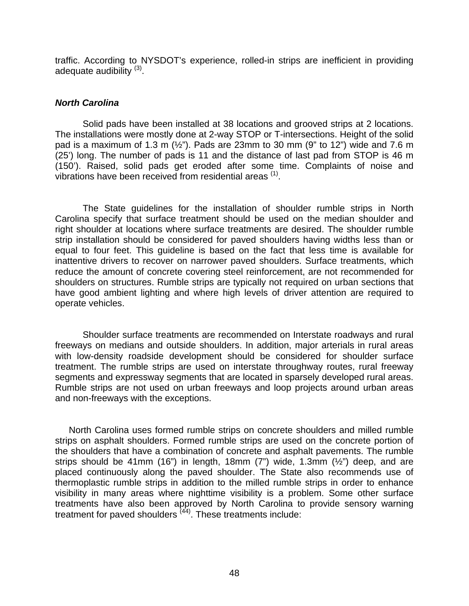traffic. According to NYSDOT's experience, rolled-in strips are inefficient in providing adequate audibility  $(3)$ .

## *North Carolina*

Solid pads have been installed at 38 locations and grooved strips at 2 locations. The installations were mostly done at 2-way STOP or T-intersections. Height of the solid pad is a maximum of 1.3 m  $(\frac{1}{2})$ . Pads are 23mm to 30 mm (9" to 12") wide and 7.6 m (25') long. The number of pads is 11 and the distance of last pad from STOP is 46 m (150'). Raised, solid pads get eroded after some time. Complaints of noise and vibrations have been received from residential areas <sup>[\(1\)](#page-10-1)</sup>.

The State guidelines for the installation of shoulder rumble strips in North Carolina specify that surface treatment should be used on the median shoulder and right shoulder at locations where surface treatments are desired. The shoulder rumble strip installation should be considered for paved shoulders having widths less than or equal to four feet. This guideline is based on the fact that less time is available for inattentive drivers to recover on narrower paved shoulders. Surface treatments, which reduce the amount of concrete covering steel reinforcement, are not recommended for shoulders on structures. Rumble strips are typically not required on urban sections that have good ambient lighting and where high levels of driver attention are required to operate vehicles.

Shoulder surface treatments are recommended on Interstate roadways and rural freeways on medians and outside shoulders. In addition, major arterials in rural areas with low-density roadside development should be considered for shoulder surface treatment. The rumble strips are used on interstate throughway routes, rural freeway segments and expressway segments that are located in sparsely developed rural areas. Rumble strips are not used on urban freeways and loop projects around urban areas and non-freeways with the exceptions.

North Carolina uses formed rumble strips on concrete shoulders and milled rumble strips on asphalt shoulders. Formed rumble strips are used on the concrete portion of the shoulders that have a combination of concrete and asphalt pavements. The rumble strips should be 41mm (16") in length, 18mm (7") wide, 1.3mm ( $\frac{1}{2}$ ") deep, and are placed continuously along the paved shoulder. The State also recommends use of thermoplastic rumble strips in addition to the milled rumble strips in order to enhance visibility in many areas where nighttime visibility is a problem. Some other surface treatments have also been approved by North Carolina to provide sensory warning treatment for paved shoulders <sup>([44\)](#page-70-23)</sup>. These treatments include: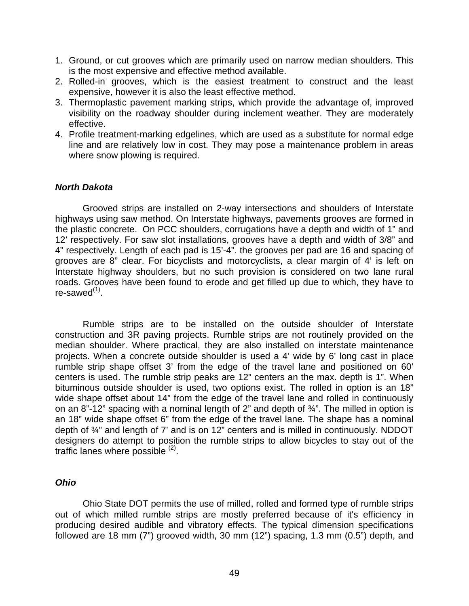- 1. Ground, or cut grooves which are primarily used on narrow median shoulders. This is the most expensive and effective method available.
- 2. Rolled-in grooves, which is the easiest treatment to construct and the least expensive, however it is also the least effective method.
- 3. Thermoplastic pavement marking strips, which provide the advantage of, improved visibility on the roadway shoulder during inclement weather. They are moderately effective.
- 4. Profile treatment-marking edgelines, which are used as a substitute for normal edge line and are relatively low in cost. They may pose a maintenance problem in areas where snow plowing is required.

## *North Dakota*

Grooved strips are installed on 2-way intersections and shoulders of Interstate highways using saw method. On Interstate highways, pavements grooves are formed in the plastic concrete. On PCC shoulders, corrugations have a depth and width of 1" and 12' respectively. For saw slot installations, grooves have a depth and width of 3/8" and 4" respectively. Length of each pad is 15'-4". the grooves per pad are 16 and spacing of grooves are 8" clear. For bicyclists and motorcyclists, a clear margin of 4' is left on Interstate highway shoulders, but no such provision is considered on two lane rural roads. Grooves have been found to erode and get filled up due to which, they have to re-sawed $<sup>(1)</sup>$  $<sup>(1)</sup>$  $<sup>(1)</sup>$ .</sup>

Rumble strips are to be installed on the outside shoulder of Interstate construction and 3R paving projects. Rumble strips are not routinely provided on the median shoulder. Where practical, they are also installed on interstate maintenance projects. When a concrete outside shoulder is used a 4' wide by 6' long cast in place rumble strip shape offset 3' from the edge of the travel lane and positioned on 60' centers is used. The rumble strip peaks are 12" centers an the max. depth is 1". When bituminous outside shoulder is used, two options exist. The rolled in option is an 18" wide shape offset about 14" from the edge of the travel lane and rolled in continuously on an 8"-12" spacing with a nominal length of 2" and depth of  $\frac{3}{4}$ ". The milled in option is an 18" wide shape offset 6" from the edge of the travel lane. The shape has a nominal depth of ¾" and length of 7' and is on 12" centers and is milled in continuously. NDDOT designers do attempt to position the rumble strips to allow bicycles to stay out of the traffic lanes where possible <sup>([2\)](#page-10-0)</sup>.

## *Ohio*

Ohio State DOT permits the use of milled, rolled and formed type of rumble strips out of which milled rumble strips are mostly preferred because of it's efficiency in producing desired audible and vibratory effects. The typical dimension specifications followed are 18 mm (7") grooved width, 30 mm (12") spacing, 1.3 mm (0.5") depth, and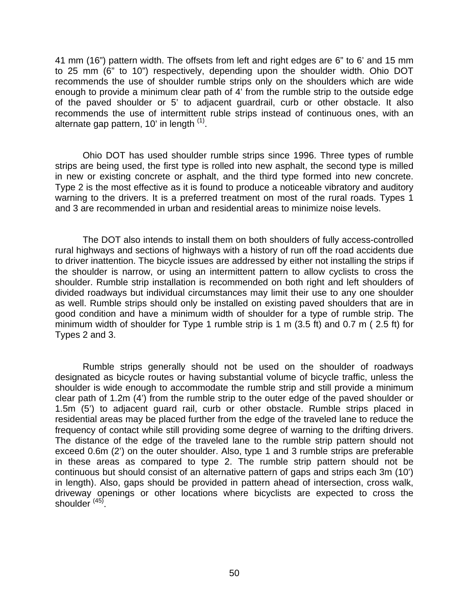41 mm (16") pattern width. The offsets from left and right edges are 6" to 6' and 15 mm to 25 mm (6" to 10") respectively, depending upon the shoulder width. Ohio DOT recommends the use of shoulder rumble strips only on the shoulders which are wide enough to provide a minimum clear path of 4' from the rumble strip to the outside edge of the paved shoulder or 5' to adjacent guardrail, curb or other obstacle. It also recommends the use of intermittent ruble strips instead of continuous ones, with an alternate gap pattern,  $10'$  in length  $<sup>(1)</sup>$  $<sup>(1)</sup>$  $<sup>(1)</sup>$ .</sup>

Ohio DOT has used shoulder rumble strips since 1996. Three types of rumble strips are being used, the first type is rolled into new asphalt, the second type is milled in new or existing concrete or asphalt, and the third type formed into new concrete. Type 2 is the most effective as it is found to produce a noticeable vibratory and auditory warning to the drivers. It is a preferred treatment on most of the rural roads. Types 1 and 3 are recommended in urban and residential areas to minimize noise levels.

The DOT also intends to install them on both shoulders of fully access-controlled rural highways and sections of highways with a history of run off the road accidents due to driver inattention. The bicycle issues are addressed by either not installing the strips if the shoulder is narrow, or using an intermittent pattern to allow cyclists to cross the shoulder. Rumble strip installation is recommended on both right and left shoulders of divided roadways but individual circumstances may limit their use to any one shoulder as well. Rumble strips should only be installed on existing paved shoulders that are in good condition and have a minimum width of shoulder for a type of rumble strip. The minimum width of shoulder for Type 1 rumble strip is 1 m (3.5 ft) and 0.7 m ( 2.5 ft) for Types 2 and 3.

Rumble strips generally should not be used on the shoulder of roadways designated as bicycle routes or having substantial volume of bicycle traffic, unless the shoulder is wide enough to accommodate the rumble strip and still provide a minimum clear path of 1.2m (4') from the rumble strip to the outer edge of the paved shoulder or 1.5m (5') to adjacent guard rail, curb or other obstacle. Rumble strips placed in residential areas may be placed further from the edge of the traveled lane to reduce the frequency of contact while still providing some degree of warning to the drifting drivers. The distance of the edge of the traveled lane to the rumble strip pattern should not exceed 0.6m (2') on the outer shoulder. Also, type 1 and 3 rumble strips are preferable in these areas as compared to type 2. The rumble strip pattern should not be continuous but should consist of an alternative pattern of gaps and strips each 3m (10') in length). Also, gaps should be provided in pattern ahead of intersection, cross walk, driveway openings or other locations where bicyclists are expected to cross the shoulder<sup>[\(45\)](#page-70-24)</sup>.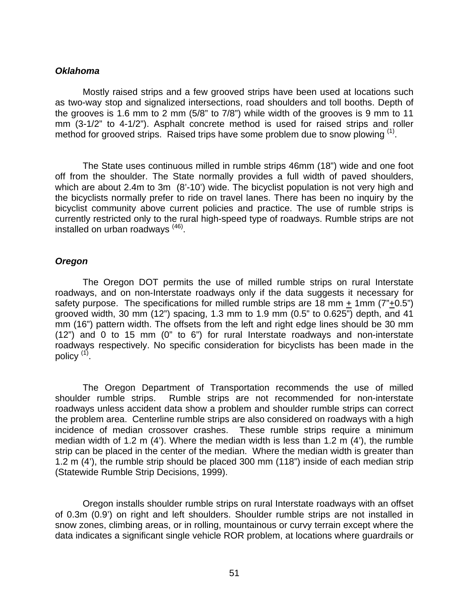### *Oklahoma*

Mostly raised strips and a few grooved strips have been used at locations such as two-way stop and signalized intersections, road shoulders and toll booths. Depth of the grooves is 1.6 mm to 2 mm (5/8" to 7/8") while width of the grooves is 9 mm to 11 mm (3-1/2" to 4-1/2"). Asphalt concrete method is used for raised strips and roller method for grooved strips. Raised trips have some problem due to snow plowing  $(1)$ .

The State uses continuous milled in rumble strips 46mm (18") wide and one foot off from the shoulder. The State normally provides a full width of paved shoulders, which are about 2.4m to 3m (8'-10') wide. The bicyclist population is not very high and the bicyclists normally prefer to ride on travel lanes. There has been no inquiry by the bicyclist community above current policies and practice. The use of rumble strips is currently restricted only to the rural high-speed type of roadways. Rumble strips are not installed on urban roadways [\(46\)](#page-70-25) .

## *Oregon*

The Oregon DOT permits the use of milled rumble strips on rural Interstate roadways, and on non-Interstate roadways only if the data suggests it necessary for safety purpose. The specifications for milled rumble strips are 18 mm + 1mm (7"+0.5") grooved width, 30 mm (12") spacing, 1.3 mm to 1.9 mm (0.5" to 0.625") depth, and 41 mm (16") pattern width. The offsets from the left and right edge lines should be 30 mm (12") and 0 to 15 mm (0" to 6") for rural Interstate roadways and non-interstate roadways respectively. No specific consideration for bicyclists has been made in the policy <sup>[\(1\)](#page-10-1)</sup>.

The Oregon Department of Transportation recommends the use of milled shoulder rumble strips. Rumble strips are not recommended for non-interstate roadways unless accident data show a problem and shoulder rumble strips can correct the problem area. Centerline rumble strips are also considered on roadways with a high incidence of median crossover crashes. These rumble strips require a minimum median width of 1.2 m (4'). Where the median width is less than 1.2 m (4'), the rumble strip can be placed in the center of the median. Where the median width is greater than 1.2 m (4'), the rumble strip should be placed 300 mm (118") inside of each median strip (Statewide Rumble Strip Decisions, 1999).

Oregon installs shoulder rumble strips on rural Interstate roadways with an offset of 0.3m (0.9') on right and left shoulders. Shoulder rumble strips are not installed in snow zones, climbing areas, or in rolling, mountainous or curvy terrain except where the data indicates a significant single vehicle ROR problem, at locations where guardrails or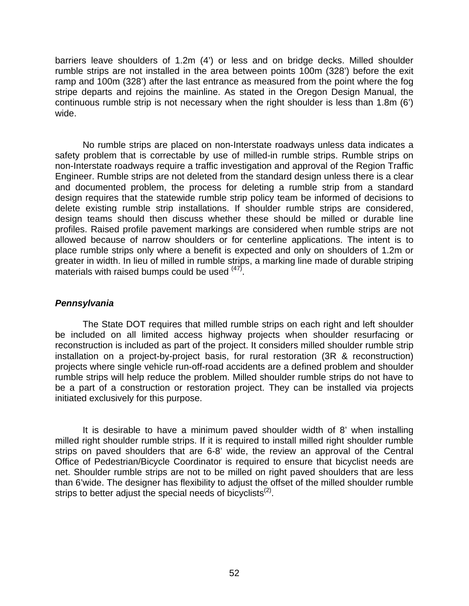barriers leave shoulders of 1.2m (4') or less and on bridge decks. Milled shoulder rumble strips are not installed in the area between points 100m (328') before the exit ramp and 100m (328') after the last entrance as measured from the point where the fog stripe departs and rejoins the mainline. As stated in the Oregon Design Manual, the continuous rumble strip is not necessary when the right shoulder is less than 1.8m (6') wide.

No rumble strips are placed on non-Interstate roadways unless data indicates a safety problem that is correctable by use of milled-in rumble strips. Rumble strips on non-Interstate roadways require a traffic investigation and approval of the Region Traffic Engineer. Rumble strips are not deleted from the standard design unless there is a clear and documented problem, the process for deleting a rumble strip from a standard design requires that the statewide rumble strip policy team be informed of decisions to delete existing rumble strip installations. If shoulder rumble strips are considered, design teams should then discuss whether these should be milled or durable line profiles. Raised profile pavement markings are considered when rumble strips are not allowed because of narrow shoulders or for centerline applications. The intent is to place rumble strips only where a benefit is expected and only on shoulders of 1.2m or greater in width. In lieu of milled in rumble strips, a marking line made of durable striping materials with raised bumps could be used  $(47)$  $(47)$ .

# *Pennsylvania*

The State DOT requires that milled rumble strips on each right and left shoulder be included on all limited access highway projects when shoulder resurfacing or reconstruction is included as part of the project. It considers milled shoulder rumble strip installation on a project-by-project basis, for rural restoration (3R & reconstruction) projects where single vehicle run-off-road accidents are a defined problem and shoulder rumble strips will help reduce the problem. Milled shoulder rumble strips do not have to be a part of a construction or restoration project. They can be installed via projects initiated exclusively for this purpose.

It is desirable to have a minimum paved shoulder width of 8' when installing milled right shoulder rumble strips. If it is required to install milled right shoulder rumble strips on paved shoulders that are 6-8' wide, the review an approval of the Central Office of Pedestrian/Bicycle Coordinator is required to ensure that bicyclist needs are net. Shoulder rumble strips are not to be milled on right paved shoulders that are less than 6'wide. The designer has flexibility to adjust the offset of the milled shoulder rumble strips to better adjust the special needs of bicyclists<sup> $(2)$ </sup>.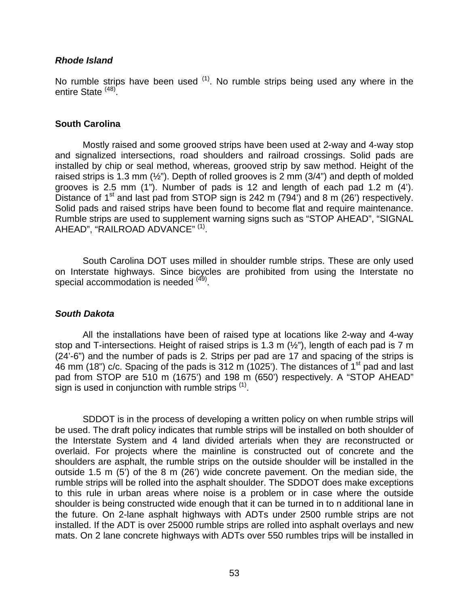## *Rhode Island*

No rumble strips have been used  $(1)$ . No rumble strips being used any where in the entire State <sup>([48\)](#page-70-27)</sup>.

#### **South Carolina**

Mostly raised and some grooved strips have been used at 2-way and 4-way stop and signalized intersections, road shoulders and railroad crossings. Solid pads are installed by chip or seal method, whereas, grooved strip by saw method. Height of the raised strips is 1.3 mm  $(\frac{1}{2})$ . Depth of rolled grooves is 2 mm (3/4") and depth of molded grooves is 2.5 mm (1"). Number of pads is 12 and length of each pad 1.2 m (4'). Distance of  $1<sup>st</sup>$  and last pad from STOP sign is 242 m (794') and 8 m (26') respectively. Solid pads and raised strips have been found to become flat and require maintenance. Rumble strips are used to supplement warning signs such as "STOP AHEAD", "SIGNAL AHEAD", "RAILROAD ADVANCE" ([1\).](#page-10-1)

South Carolina DOT uses milled in shoulder rumble strips. These are only used on Interstate highways. Since bicycles are prohibited from using the Interstate no special accommodation is needed ([49\)](#page-70-28).

## *South Dakota*

All the installations have been of raised type at locations like 2-way and 4-way stop and T-intersections. Height of raised strips is 1.3 m (½"), length of each pad is 7 m (24'-6") and the number of pads is 2. Strips per pad are 17 and spacing of the strips is 46 mm (18") c/c. Spacing of the pads is 312 m (1025'). The distances of 1<sup>st</sup> pad and last pad from STOP are 510 m (1675') and 198 m (650') respectively. A "STOP AHEAD" sign is used in conjunction with rumble strips  $(1)$ .

SDDOT is in the process of developing a written policy on when rumble strips will be used. The draft policy indicates that rumble strips will be installed on both shoulder of the Interstate System and 4 land divided arterials when they are reconstructed or overlaid. For projects where the mainline is constructed out of concrete and the shoulders are asphalt, the rumble strips on the outside shoulder will be installed in the outside 1.5 m (5') of the 8 m (26') wide concrete pavement. On the median side, the rumble strips will be rolled into the asphalt shoulder. The SDDOT does make exceptions to this rule in urban areas where noise is a problem or in case where the outside shoulder is being constructed wide enough that it can be turned in to n additional lane in the future. On 2-lane asphalt highways with ADTs under 2500 rumble strips are not installed. If the ADT is over 25000 rumble strips are rolled into asphalt overlays and new mats. On 2 lane concrete highways with ADTs over 550 rumbles trips will be installed in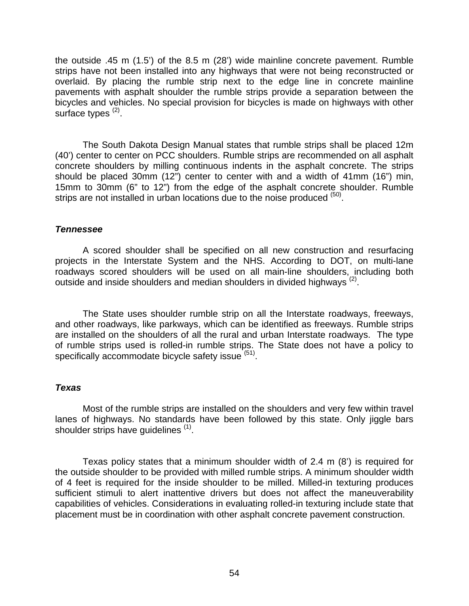the outside .45 m (1.5') of the 8.5 m (28') wide mainline concrete pavement. Rumble strips have not been installed into any highways that were not being reconstructed or overlaid. By placing the rumble strip next to the edge line in concrete mainline pavements with asphalt shoulder the rumble strips provide a separation between the bicycles and vehicles. No special provision for bicycles is made on highways with other surface types  $(2)$ .

The South Dakota Design Manual states that rumble strips shall be placed 12m (40') center to center on PCC shoulders. Rumble strips are recommended on all asphalt concrete shoulders by milling continuous indents in the asphalt concrete. The strips should be placed 30mm (12") center to center with and a width of 41mm (16") min, 15mm to 30mm (6" to 12") from the edge of the asphalt concrete shoulder. Rumble strips are not installed in urban locations due to the noise produced  $(50)$ .

## *Tennessee*

A scored shoulder shall be specified on all new construction and resurfacing projects in the Interstate System and the NHS. According to DOT, on multi-lane roadways scored shoulders will be used on all main-line shoulders, including both outside and inside shoulders and median shoulders in divided highways <sup>(2)</sup>.

The State uses shoulder rumble strip on all the Interstate roadways, freeways, and other roadways, like parkways, which can be identified as freeways. Rumble strips are installed on the shoulders of all the rural and urban Interstate roadways. The type of rumble strips used is rolled-in rumble strips. The State does not have a policy to specifically accommodate bicycle safety issue <sup>([51\)](#page-70-30)</sup>.

# *Texas*

Most of the rumble strips are installed on the shoulders and very few within travel lanes of highways. No standards have been followed by this state. Only jiggle bars shoulder strips have guidelines [\(1\)](#page-10-1).

Texas policy states that a minimum shoulder width of 2.4 m (8') is required for the outside shoulder to be provided with milled rumble strips. A minimum shoulder width of 4 feet is required for the inside shoulder to be milled. Milled-in texturing produces sufficient stimuli to alert inattentive drivers but does not affect the maneuverability capabilities of vehicles. Considerations in evaluating rolled-in texturing include state that placement must be in coordination with other asphalt concrete pavement construction.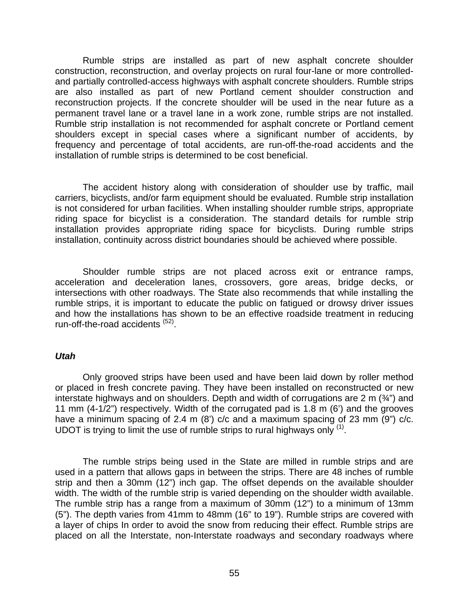Rumble strips are installed as part of new asphalt concrete shoulder construction, reconstruction, and overlay projects on rural four-lane or more controlledand partially controlled-access highways with asphalt concrete shoulders. Rumble strips are also installed as part of new Portland cement shoulder construction and reconstruction projects. If the concrete shoulder will be used in the near future as a permanent travel lane or a travel lane in a work zone, rumble strips are not installed. Rumble strip installation is not recommended for asphalt concrete or Portland cement shoulders except in special cases where a significant number of accidents, by frequency and percentage of total accidents, are run-off-the-road accidents and the installation of rumble strips is determined to be cost beneficial.

The accident history along with consideration of shoulder use by traffic, mail carriers, bicyclists, and/or farm equipment should be evaluated. Rumble strip installation is not considered for urban facilities. When installing shoulder rumble strips, appropriate riding space for bicyclist is a consideration. The standard details for rumble strip installation provides appropriate riding space for bicyclists. During rumble strips installation, continuity across district boundaries should be achieved where possible.

Shoulder rumble strips are not placed across exit or entrance ramps, acceleration and deceleration lanes, crossovers, gore areas, bridge decks, or intersections with other roadways. The State also recommends that while installing the rumble strips, it is important to educate the public on fatigued or drowsy driver issues and how the installations has shown to be an effective roadside treatment in reducing run-off-the-road accidents <sup>[\(52\)](#page-70-31)</sup>.

## *Utah*

Only grooved strips have been used and have been laid down by roller method or placed in fresh concrete paving. They have been installed on reconstructed or new interstate highways and on shoulders. Depth and width of corrugations are 2 m  $(34)$  and 11 mm (4-1/2") respectively. Width of the corrugated pad is 1.8 m (6') and the grooves have a minimum spacing of 2.4 m (8') c/c and a maximum spacing of 23 mm (9") c/c. UDOT is trying to limit the use of rumble strips to rural highways only  $<sup>(1)</sup>$  $<sup>(1)</sup>$  $<sup>(1)</sup>$ .</sup>

The rumble strips being used in the State are milled in rumble strips and are used in a pattern that allows gaps in between the strips. There are 48 inches of rumble strip and then a 30mm (12") inch gap. The offset depends on the available shoulder width. The width of the rumble strip is varied depending on the shoulder width available. The rumble strip has a range from a maximum of 30mm (12") to a minimum of 13mm (5"). The depth varies from 41mm to 48mm (16" to 19"). Rumble strips are covered with a layer of chips In order to avoid the snow from reducing their effect. Rumble strips are placed on all the Interstate, non-Interstate roadways and secondary roadways where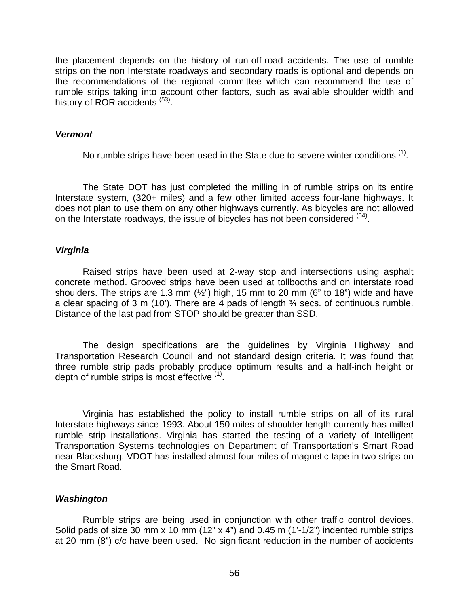the placement depends on the history of run-off-road accidents. The use of rumble strips on the non Interstate roadways and secondary roads is optional and depends on the recommendations of the regional committee which can recommend the use of rumble strips taking into account other factors, such as available shoulder width and history of ROR accidents<sup> ([53\)](#page-70-32)</sup>.

#### *Vermont*

No rumble strips have been used in the State due to severe winter conditions  $^{(1)}$  $^{(1)}$  $^{(1)}$ .

The State DOT has just completed the milling in of rumble strips on its entire Interstate system, (320+ miles) and a few other limited access four-lane highways. It does not plan to use them on any other highways currently. As bicycles are not allowed on the Interstate roadways, the issue of bicycles has not been considered <sup>([54\)](#page-70-33)</sup>.

## *Virginia*

Raised strips have been used at 2-way stop and intersections using asphalt concrete method. Grooved strips have been used at tollbooths and on interstate road shoulders. The strips are 1.3 mm  $(\frac{1}{2})$  high, 15 mm to 20 mm (6" to 18") wide and have a clear spacing of 3 m (10'). There are 4 pads of length  $\frac{3}{4}$  secs. of continuous rumble. Distance of the last pad from STOP should be greater than SSD.

The design specifications are the guidelines by Virginia Highway and Transportation Research Council and not standard design criteria. It was found that three rumble strip pads probably produce optimum results and a half-inch height or depth of rumble strips is most effective <sup>([1\)](#page-10-1)</sup>.

Virginia has established the policy to install rumble strips on all of its rural Interstate highways since 1993. About 150 miles of shoulder length currently has milled rumble strip installations. Virginia has started the testing of a variety of Intelligent Transportation Systems technologies on Department of Transportation's Smart Road near Blacksburg. VDOT has installed almost four miles of magnetic tape in two strips on the Smart Road.

## *Washington*

Rumble strips are being used in conjunction with other traffic control devices. Solid pads of size 30 mm x 10 mm (12" x 4") and 0.45 m (1'-1/2") indented rumble strips at 20 mm (8") c/c have been used. No significant reduction in the number of accidents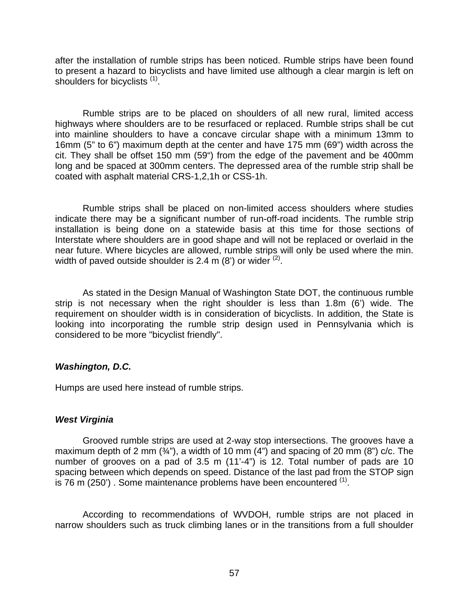after the installation of rumble strips has been noticed. Rumble strips have been found to present a hazard to bicyclists and have limited use although a clear margin is left on shoulders for bicyclists  $(1)$ .

Rumble strips are to be placed on shoulders of all new rural, limited access highways where shoulders are to be resurfaced or replaced. Rumble strips shall be cut into mainline shoulders to have a concave circular shape with a minimum 13mm to 16mm (5" to 6") maximum depth at the center and have 175 mm (69") width across the cit. They shall be offset 150 mm (59") from the edge of the pavement and be 400mm long and be spaced at 300mm centers. The depressed area of the rumble strip shall be coated with asphalt material CRS-1,2,1h or CSS-1h.

Rumble strips shall be placed on non-limited access shoulders where studies indicate there may be a significant number of run-off-road incidents. The rumble strip installation is being done on a statewide basis at this time for those sections of Interstate where shoulders are in good shape and will not be replaced or overlaid in the near future. Where bicycles are allowed, rumble strips will only be used where the min. width of paved outside shoulder is 2.4 m  $(8')$  or wider  $(2)$  $(2)$ .

As stated in the Design Manual of Washington State DOT, the continuous rumble strip is not necessary when the right shoulder is less than 1.8m (6') wide. The requirement on shoulder width is in consideration of bicyclists. In addition, the State is looking into incorporating the rumble strip design used in Pennsylvania which is considered to be more "bicyclist friendly".

# *Washington, D.C.*

Humps are used here instead of rumble strips.

# *West Virginia*

Grooved rumble strips are used at 2-way stop intersections. The grooves have a maximum depth of 2 mm  $(34)$ , a width of 10 mm  $(4)$  and spacing of 20 mm  $(8)$  c/c. The number of grooves on a pad of 3.5 m (11'-4") is 12. Total number of pads are 10 spacing between which depends on speed. Distance of the last pad from the STOP sign is 76 m (250'). Some maintenance problems have been encountered  $<sup>(1)</sup>$  $<sup>(1)</sup>$  $<sup>(1)</sup>$ .</sup>

According to recommendations of WVDOH, rumble strips are not placed in narrow shoulders such as truck climbing lanes or in the transitions from a full shoulder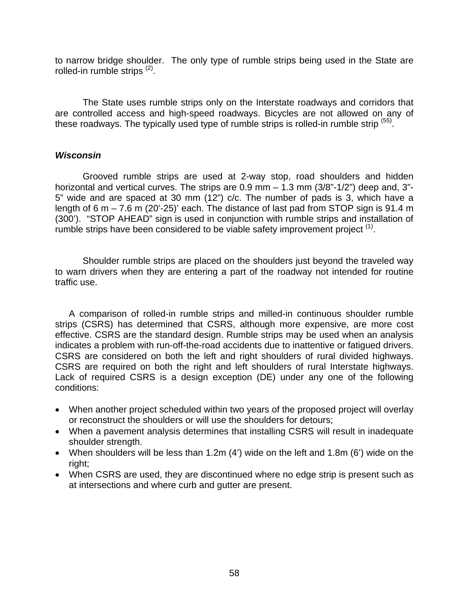to narrow bridge shoulder. The only type of rumble strips being used in the State are rolled-in rumble strips <sup>([2\)](#page-10-0)</sup>.

The State uses rumble strips only on the Interstate roadways and corridors that are controlled access and high-speed roadways. Bicycles are not allowed on any of these roadways. The typically used type of rumble strips is rolled-in rumble strip <sup>[\(55\)](#page-70-34)</sup>.

## *Wisconsin*

Grooved rumble strips are used at 2-way stop, road shoulders and hidden horizontal and vertical curves. The strips are  $0.9$  mm  $- 1.3$  mm  $(3/8"$ -1/2") deep and, 3"-5" wide and are spaced at 30 mm (12") c/c. The number of pads is 3, which have a length of 6 m  $-$  7.6 m (20'-25)' each. The distance of last pad from STOP sign is 91.4 m (300'). "STOP AHEAD" sign is used in conjunction with rumble strips and installation of rumble strips have been considered to be viable safety improvement project <sup>[\(1\)](#page-10-1)</sup>.

Shoulder rumble strips are placed on the shoulders just beyond the traveled way to warn drivers when they are entering a part of the roadway not intended for routine traffic use.

A comparison of rolled-in rumble strips and milled-in continuous shoulder rumble strips (CSRS) has determined that CSRS, although more expensive, are more cost effective. CSRS are the standard design. Rumble strips may be used when an analysis indicates a problem with run-off-the-road accidents due to inattentive or fatigued drivers. CSRS are considered on both the left and right shoulders of rural divided highways. CSRS are required on both the right and left shoulders of rural Interstate highways. Lack of required CSRS is a design exception (DE) under any one of the following conditions:

- When another project scheduled within two years of the proposed project will overlay or reconstruct the shoulders or will use the shoulders for detours;
- When a pavement analysis determines that installing CSRS will result in inadequate shoulder strength.
- When shoulders will be less than 1.2m (4') wide on the left and 1.8m (6') wide on the right;
- When CSRS are used, they are discontinued where no edge strip is present such as at intersections and where curb and gutter are present.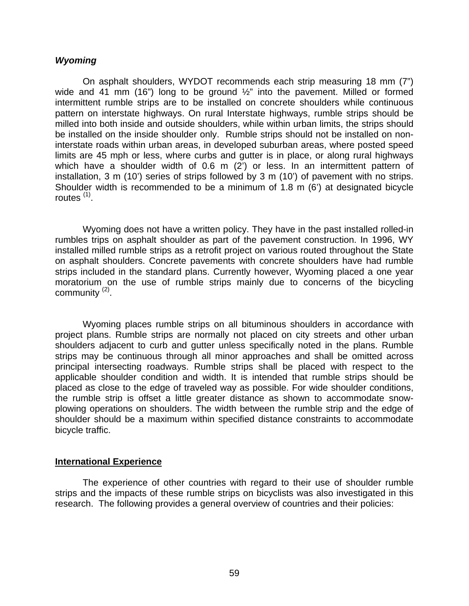### *Wyoming*

On asphalt shoulders, WYDOT recommends each strip measuring 18 mm (7") wide and 41 mm (16") long to be ground  $\frac{1}{2}$ " into the pavement. Milled or formed intermittent rumble strips are to be installed on concrete shoulders while continuous pattern on interstate highways. On rural Interstate highways, rumble strips should be milled into both inside and outside shoulders, while within urban limits, the strips should be installed on the inside shoulder only. Rumble strips should not be installed on noninterstate roads within urban areas, in developed suburban areas, where posted speed limits are 45 mph or less, where curbs and gutter is in place, or along rural highways which have a shoulder width of 0.6 m (2') or less. In an intermittent pattern of installation, 3 m (10') series of strips followed by 3 m (10') of pavement with no strips. Shoulder width is recommended to be a minimum of 1.8 m (6') at designated bicycle routes  $(1)$ .

Wyoming does not have a written policy. They have in the past installed rolled-in rumbles trips on asphalt shoulder as part of the pavement construction. In 1996, WY installed milled rumble strips as a retrofit project on various routed throughout the State on asphalt shoulders. Concrete pavements with concrete shoulders have had rumble strips included in the standard plans. Currently however, Wyoming placed a one year moratorium on the use of rumble strips mainly due to concerns of the bicycling community  $(2)$  $(2)$ .

Wyoming places rumble strips on all bituminous shoulders in accordance with project plans. Rumble strips are normally not placed on city streets and other urban shoulders adjacent to curb and gutter unless specifically noted in the plans. Rumble strips may be continuous through all minor approaches and shall be omitted across principal intersecting roadways. Rumble strips shall be placed with respect to the applicable shoulder condition and width. It is intended that rumble strips should be placed as close to the edge of traveled way as possible. For wide shoulder conditions, the rumble strip is offset a little greater distance as shown to accommodate snowplowing operations on shoulders. The width between the rumble strip and the edge of shoulder should be a maximum within specified distance constraints to accommodate bicycle traffic.

#### **International Experience**

The experience of other countries with regard to their use of shoulder rumble strips and the impacts of these rumble strips on bicyclists was also investigated in this research. The following provides a general overview of countries and their policies: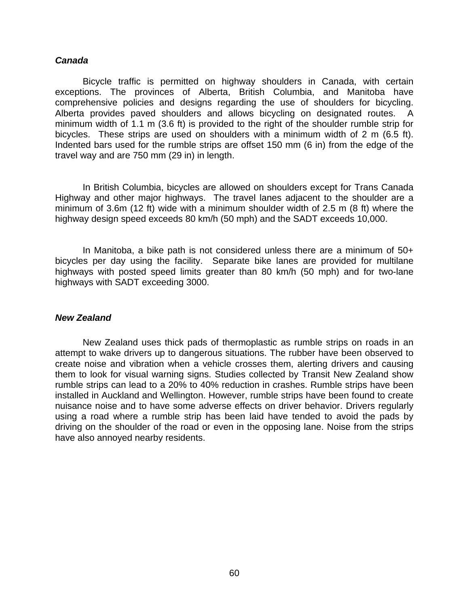#### *Canada*

Bicycle traffic is permitted on highway shoulders in Canada, with certain exceptions. The provinces of Alberta, British Columbia, and Manitoba have comprehensive policies and designs regarding the use of shoulders for bicycling. Alberta provides paved shoulders and allows bicycling on designated routes. A minimum width of 1.1 m (3.6 ft) is provided to the right of the shoulder rumble strip for bicycles. These strips are used on shoulders with a minimum width of 2 m (6.5 ft). Indented bars used for the rumble strips are offset 150 mm (6 in) from the edge of the travel way and are 750 mm (29 in) in length.

In British Columbia, bicycles are allowed on shoulders except for Trans Canada Highway and other major highways. The travel lanes adjacent to the shoulder are a minimum of 3.6m (12 ft) wide with a minimum shoulder width of 2.5 m (8 ft) where the highway design speed exceeds 80 km/h (50 mph) and the SADT exceeds 10,000.

In Manitoba, a bike path is not considered unless there are a minimum of 50+ bicycles per day using the facility. Separate bike lanes are provided for multilane highways with posted speed limits greater than 80 km/h (50 mph) and for two-lane highways with SADT exceeding 3000.

## *New Zealand*

New Zealand uses thick pads of thermoplastic as rumble strips on roads in an attempt to wake drivers up to dangerous situations. The rubber have been observed to create noise and vibration when a vehicle crosses them, alerting drivers and causing them to look for visual warning signs. Studies collected by Transit New Zealand show rumble strips can lead to a 20% to 40% reduction in crashes. Rumble strips have been installed in Auckland and Wellington. However, rumble strips have been found to create nuisance noise and to have some adverse effects on driver behavior. Drivers regularly using a road where a rumble strip has been laid have tended to avoid the pads by driving on the shoulder of the road or even in the opposing lane. Noise from the strips have also annoyed nearby residents.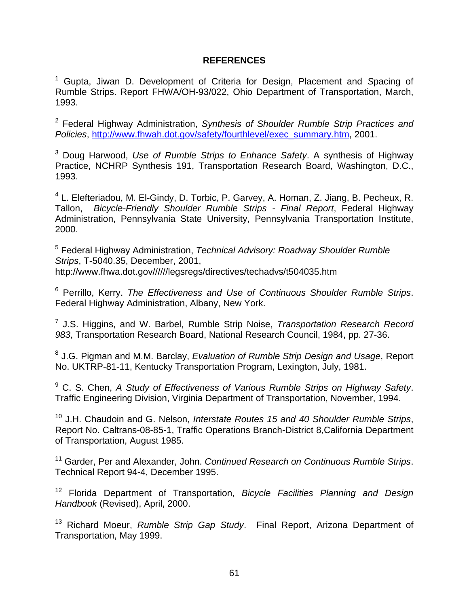## **REFERENCES**

<span id="page-70-33"></span><span id="page-70-18"></span><span id="page-70-5"></span>1 Gupta, Jiwan D. Development of Criteria for Design, Placement and *S*pacing of Rumble Strips. Report FHWA/OH-93/022, Ohio Department of Transportation, March, 1993.

<span id="page-70-34"></span><span id="page-70-20"></span><span id="page-70-19"></span><span id="page-70-6"></span>2 Federal Highway Administration, *Synthesis of Shoulder Rumble Strip Practices and Policies*, [http://www.fhwah.dot.gov/safety/fourthlevel/exec\\_summary.htm](http://www.fhwah.dot.gov/safety/fourthlevel/exec_summary.htm), 2001.

<span id="page-70-21"></span><span id="page-70-7"></span>3 Doug Harwood, *Use of Rumble Strips to Enhance Safety*. A synthesis of Highway Practice, NCHRP Synthesis 191, Transportation Research Board, Washington, D.C., 1993.

<span id="page-70-22"></span><span id="page-70-8"></span><sup>4</sup> L. Elefteriadou, M. El-Gindy, D. Torbic, P. Garvey, A. Homan, Z. Jiang, B. Pecheux, R. Tallon, *Bicycle-Friendly Shoulder Rumble Strips - Final Report*, Federal Highway Administration, Pennsylvania State University, Pennsylvania Transportation Institute, 2000.

<span id="page-70-24"></span><span id="page-70-23"></span><span id="page-70-10"></span><span id="page-70-9"></span>5 Federal Highway Administration, *Technical Advisory: Roadway Shoulder Rumble Strips*, T-5040.35, December, 2001, http://www.fhwa.dot.gov//////legsregs/directives/techadvs/t504035.htm

<span id="page-70-25"></span><span id="page-70-11"></span>6 Perrillo, Kerry. *The Effectiveness and Use of Continuous Shoulder Rumble Strips*. Federal Highway Administration, Albany, New York.

<span id="page-70-26"></span><span id="page-70-12"></span>7 J.S. Higgins, and W. Barbel, Rumble Strip Noise, *Transportation Research Record 983*, Transportation Research Board, National Research Council, 1984, pp. 27-36.

<span id="page-70-27"></span><span id="page-70-13"></span>8 J.G. Pigman and M.M. Barclay, *Evaluation of Rumble Strip Design and Usage*, Report No. UKTRP-81-11, Kentucky Transportation Program, Lexington, July, 1981.

<span id="page-70-28"></span><span id="page-70-14"></span><span id="page-70-0"></span>9 C. S. Chen, *A Study of Effectiveness of Various Rumble Strips on Highway Safety*. Traffic Engineering Division, Virginia Department of Transportation, November, 1994.

<span id="page-70-29"></span><span id="page-70-15"></span><span id="page-70-1"></span>10 J.H. Chaudoin and G. Nelson, *Interstate Routes 15 and 40 Shoulder Rumble Strips*, Report No. Caltrans-08-85-1, Traffic Operations Branch-District 8,California Department of Transportation, August 1985.

<span id="page-70-30"></span><span id="page-70-16"></span><span id="page-70-2"></span>11 Garder, Per and Alexander, John. *Continued Research on Continuous Rumble Strips*. Technical Report 94-4, December 1995.

<span id="page-70-31"></span><span id="page-70-17"></span><span id="page-70-3"></span>12 Florida Department of Transportation, *Bicycle Facilities Planning and Design Handbook* (Revised), April, 2000.

<span id="page-70-32"></span><span id="page-70-4"></span>13 Richard Moeur, *Rumble Strip Gap Study*. Final Report, Arizona Department of Transportation, May 1999.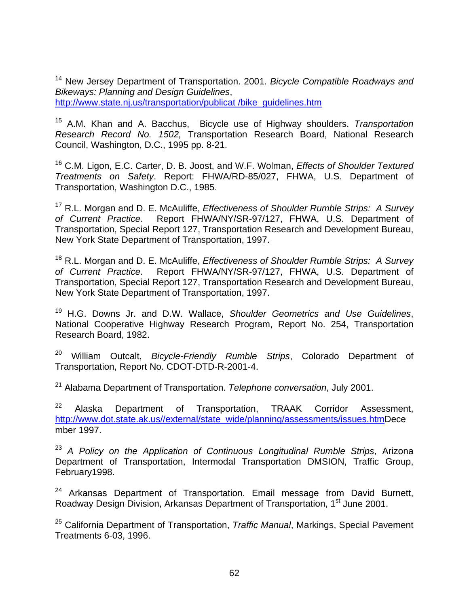14 New Jersey Department of Transportation. 2001. *Bicycle Compatible Roadways and Bikeways: Planning and Design Guidelines*, [http://www.state.nj.us/transportation/publicat /bike\\_guidelines.htm](http://www.state.nj.us/transportation/publicat /bike_guidelines.htm)

15 A.M. Khan and A. Bacchus, Bicycle use of Highway shoulders. *Transportation Research Record No. 1502,* Transportation Research Board, National Research Council, Washington, D.C., 1995 pp. 8-21.

16 C.M. Ligon, E.C. Carter, D. B. Joost, and W.F. Wolman, *Effects of Shoulder Textured Treatments on Safety*. Report: FHWA/RD-85/027, FHWA, U.S. Department of Transportation, Washington D.C., 1985.

17 R.L. Morgan and D. E. McAuliffe, *Effectiveness of Shoulder Rumble Strips: A Survey of Current Practice*. Report FHWA/NY/SR-97/127, FHWA, U.S. Department of Transportation, Special Report 127, Transportation Research and Development Bureau, New York State Department of Transportation, 1997.

18 R.L. Morgan and D. E. McAuliffe, *Effectiveness of Shoulder Rumble Strips: A Survey of Current Practice*. Report FHWA/NY/SR-97/127, FHWA, U.S. Department of Transportation, Special Report 127, Transportation Research and Development Bureau, New York State Department of Transportation, 1997.

19 H.G. Downs Jr. and D.W. Wallace, *Shoulder Geometrics and Use Guidelines*, National Cooperative Highway Research Program, Report No. 254, Transportation Research Board, 1982.

20 William Outcalt, *Bicycle-Friendly Rumble Strips*, Colorado Department of Transportation, Report No. CDOT-DTD-R-2001-4.

21 Alabama Department of Transportation. *Telephone conversation*, July 2001.

 $22$  Alaska Department of Transportation, TRAAK Corridor Assessment, [http://www.dot.state.ak.us//external/state\\_wide/planning/assessments/issues.htm](http://www.dot.state.ak.us//external/state_wide/planning/assessments/issues.htm)Dece mber 1997.

<sup>23</sup> *A Policy on the Application of Continuous Longitudinal Rumble Strips*, Arizona Department of Transportation, Intermodal Transportation DMSION, Traffic Group, February1998.

 $24$  Arkansas Department of Transportation. Email message from David Burnett, Roadway Design Division, Arkansas Department of Transportation, 1st June 2001.

25 California Department of Transportation, *Traffic Manual*, Markings, Special Pavement Treatments 6-03, 1996.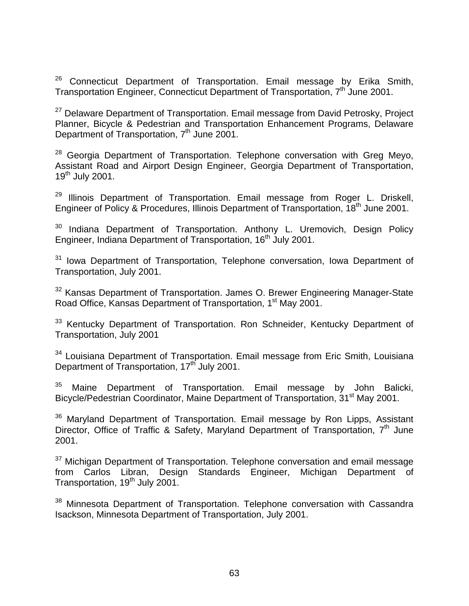$26$  Connecticut Department of Transportation. Email message by Erika Smith, Transportation Engineer, Connecticut Department of Transportation, 7<sup>th</sup> June 2001.

<sup>27</sup> Delaware Department of Transportation. Email message from David Petrosky, Project Planner, Bicycle & Pedestrian and Transportation Enhancement Programs, Delaware Department of Transportation, 7<sup>th</sup> June 2001.

 $28$  Georgia Department of Transportation. Telephone conversation with Greg Meyo, Assistant Road and Airport Design Engineer, Georgia Department of Transportation, 19<sup>th</sup> July 2001.

 $29$  Illinois Department of Transportation. Email message from Roger L. Driskell, Engineer of Policy & Procedures, Illinois Department of Transportation, 18<sup>th</sup> June 2001.

<sup>30</sup> Indiana Department of Transportation. Anthony L. Uremovich, Design Policy Engineer, Indiana Department of Transportation, 16<sup>th</sup> July 2001.

<sup>31</sup> Iowa Department of Transportation, Telephone conversation, Iowa Department of Transportation, July 2001.

<sup>32</sup> Kansas Department of Transportation. James O. Brewer Engineering Manager-State Road Office, Kansas Department of Transportation, 1<sup>st</sup> May 2001.

<sup>33</sup> Kentucky Department of Transportation. Ron Schneider, Kentucky Department of Transportation, July 2001

<sup>34</sup> Louisiana Department of Transportation. Email message from Eric Smith, Louisiana Department of Transportation, 17<sup>th</sup> July 2001.

<sup>35</sup> Maine Department of Transportation. Email message by John Balicki, Bicycle/Pedestrian Coordinator, Maine Department of Transportation, 31<sup>st</sup> May 2001.

<sup>36</sup> Maryland Department of Transportation. Email message by Ron Lipps, Assistant Director, Office of Traffic & Safety, Maryland Department of Transportation, 7<sup>th</sup> June 2001.

 $37$  Michigan Department of Transportation. Telephone conversation and email message from Carlos Libran, Design Standards Engineer, Michigan Department of Transportation, 19<sup>th</sup> July 2001.

<sup>38</sup> Minnesota Department of Transportation. Telephone conversation with Cassandra Isackson, Minnesota Department of Transportation, July 2001.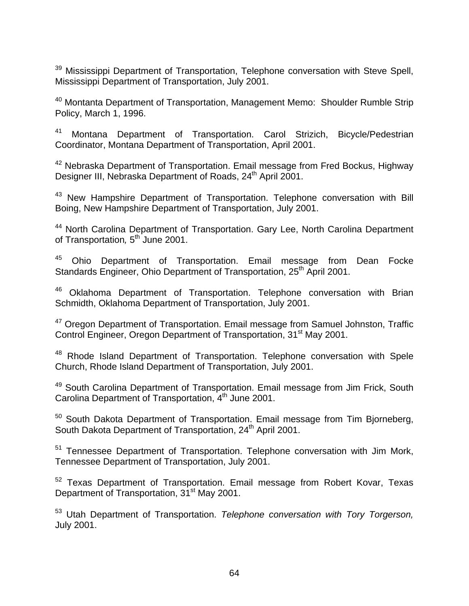<sup>39</sup> Mississippi Department of Transportation, Telephone conversation with Steve Spell, Mississippi Department of Transportation, July 2001.

<sup>40</sup> Montanta Department of Transportation, Management Memo: Shoulder Rumble Strip Policy, March 1, 1996.

<sup>41</sup> Montana Department of Transportation. Carol Strizich, Bicycle/Pedestrian Coordinator, Montana Department of Transportation, April 2001.

42 Nebraska Department of Transportation. Email message from Fred Bockus, Highway Designer III, Nebraska Department of Roads, 24<sup>th</sup> April 2001.

43 New Hampshire Department of Transportation. Telephone conversation with Bill Boing, New Hampshire Department of Transportation, July 2001.

44 North Carolina Department of Transportation. Gary Lee, North Carolina Department of Transportation, 5<sup>th</sup> June 2001.

<sup>45</sup> Ohio Department of Transportation. Email message from Dean Focke Standards Engineer, Ohio Department of Transportation, 25<sup>th</sup> April 2001.

<sup>46</sup> Oklahoma Department of Transportation. Telephone conversation with Brian Schmidth, Oklahoma Department of Transportation, July 2001.

<sup>47</sup> Oregon Department of Transportation. Email message from Samuel Johnston, Traffic Control Engineer, Oregon Department of Transportation, 31<sup>st</sup> May 2001.

<sup>48</sup> Rhode Island Department of Transportation. Telephone conversation with Spele Church, Rhode Island Department of Transportation, July 2001.

49 South Carolina Department of Transportation. Email message from Jim Frick, South Carolina Department of Transportation, 4<sup>th</sup> June 2001.

 $50$  South Dakota Department of Transportation. Email message from Tim Biorneberg, South Dakota Department of Transportation, 24<sup>th</sup> April 2001.

<sup>51</sup> Tennessee Department of Transportation. Telephone conversation with Jim Mork, Tennessee Department of Transportation, July 2001.

52 Texas Department of Transportation. Email message from Robert Kovar, Texas Department of Transportation, 31<sup>st</sup> May 2001.

53 Utah Department of Transportation. *Telephone conversation with Tory Torgerson,* July 2001.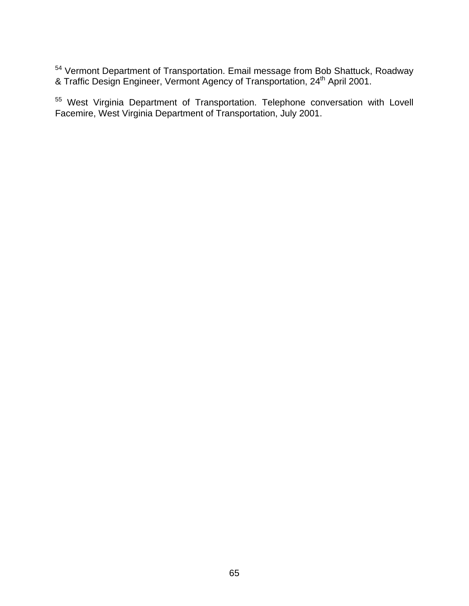<sup>54</sup> Vermont Department of Transportation. Email message from Bob Shattuck, Roadway & Traffic Design Engineer, Vermont Agency of Transportation, 24<sup>th</sup> April 2001.

55 West Virginia Department of Transportation. Telephone conversation with Lovell Facemire, West Virginia Department of Transportation, July 2001.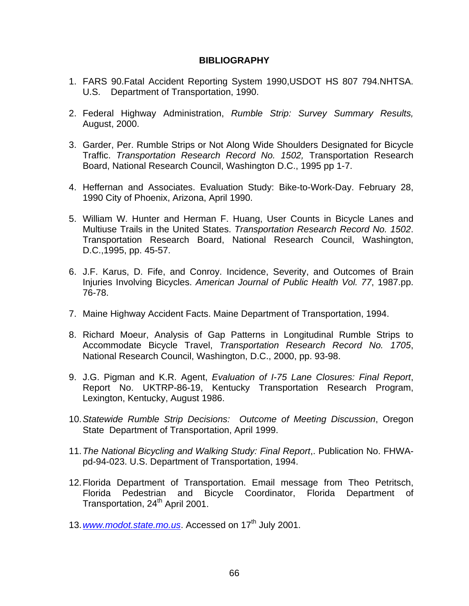## **BIBLIOGRAPHY**

- 1. FARS 90.Fatal Accident Reporting System 1990,USDOT HS 807 794.NHTSA. U.S. Department of Transportation, 1990.
- 2. Federal Highway Administration, *Rumble Strip: Survey Summary Results,*  August, 2000.
- 3. Garder, Per. Rumble Strips or Not Along Wide Shoulders Designated for Bicycle Traffic. *Transportation Research Record No. 1502,* Transportation Research Board, National Research Council, Washington D.C., 1995 pp 1-7.
- 4. Heffernan and Associates. Evaluation Study: Bike-to-Work-Day. February 28, 1990 City of Phoenix, Arizona, April 1990.
- 5. William W. Hunter and Herman F. Huang, User Counts in Bicycle Lanes and Multiuse Trails in the United States. *Transportation Research Record No. 1502*. Transportation Research Board, National Research Council, Washington, D.C.,1995, pp. 45-57.
- 6. J.F. Karus, D. Fife, and Conroy. Incidence, Severity, and Outcomes of Brain Injuries Involving Bicycles. *American Journal of Public Health Vol. 77*, 1987.pp. 76-78.
- 7. Maine Highway Accident Facts. Maine Department of Transportation, 1994.
- 8. Richard Moeur, Analysis of Gap Patterns in Longitudinal Rumble Strips to Accommodate Bicycle Travel, *Transportation Research Record No. 1705*, National Research Council, Washington, D.C., 2000, pp. 93-98.
- 9. J.G. Pigman and K.R. Agent, *Evaluation of I-75 Lane Closures: Final Report*, Report No. UKTRP-86-19, Kentucky Transportation Research Program, Lexington, Kentucky, August 1986.
- 10. *Statewide Rumble Strip Decisions: Outcome of Meeting Discussion*, Oregon State Department of Transportation, April 1999.
- 11. *The National Bicycling and Walking Study: Final Report*,. Publication No. FHWApd-94-023. U.S. Department of Transportation, 1994.
- 12. Florida Department of Transportation. Email message from Theo Petritsch, Florida Pedestrian and Bicycle Coordinator, Florida Department of Transportation, 24<sup>th</sup> April 2001.
- 13. [www.modot.state.mo.us](http://www.modot.state.mo.us/). Accessed on 17<sup>th</sup> July 2001.